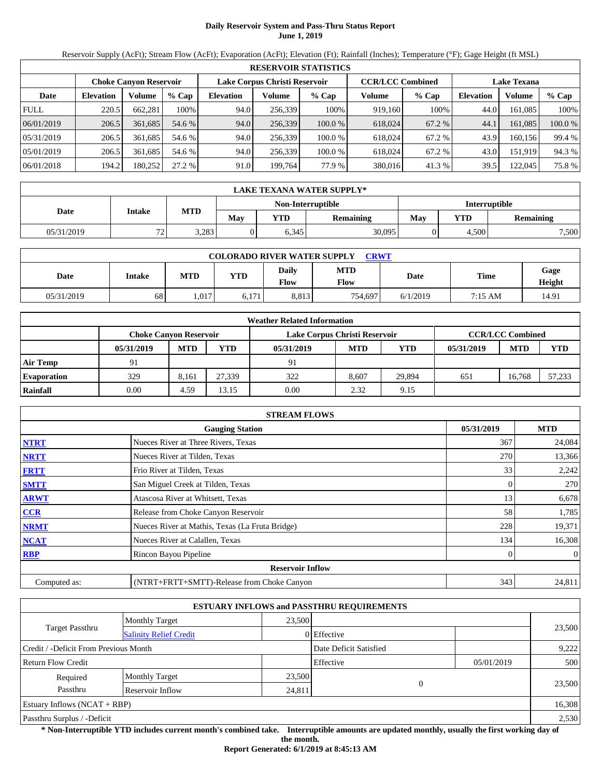# **Daily Reservoir System and Pass-Thru Status Report June 1, 2019**

Reservoir Supply (AcFt); Stream Flow (AcFt); Evaporation (AcFt); Elevation (Ft); Rainfall (Inches); Temperature (°F); Gage Height (ft MSL)

|             | <b>RESERVOIR STATISTICS</b>                                                                                     |         |         |                  |         |         |         |        |                  |         |         |  |  |
|-------------|-----------------------------------------------------------------------------------------------------------------|---------|---------|------------------|---------|---------|---------|--------|------------------|---------|---------|--|--|
|             | Lake Corpus Christi Reservoir<br><b>CCR/LCC Combined</b><br><b>Lake Texana</b><br><b>Choke Canvon Reservoir</b> |         |         |                  |         |         |         |        |                  |         |         |  |  |
| Date        | <b>Elevation</b>                                                                                                | Volume  | $%$ Cap | <b>Elevation</b> | Volume  | $%$ Cap | Volume  | % Cap  | <b>Elevation</b> | Volume  | $%$ Cap |  |  |
| <b>FULL</b> | 220.5                                                                                                           | 662.281 | 100%    | 94.0             | 256.339 | 100%    | 919,160 | 100%   | 44.0             | 161.085 | 100%    |  |  |
| 06/01/2019  | 206.5                                                                                                           | 361,685 | 54.6 %  | 94.0             | 256,339 | 100.0 % | 618,024 | 67.2 % | 44.1             | 161.085 | 100.0 % |  |  |
| 05/31/2019  | 206.5                                                                                                           | 361,685 | 54.6 %  | 94.0             | 256.339 | 100.0 % | 618,024 | 67.2 % | 43.9             | 160.156 | 99.4 %  |  |  |
| 05/01/2019  | 206.5                                                                                                           | 361.685 | 54.6 %  | 94.0             | 256.339 | 100.0 % | 618,024 | 67.2 % | 43.0             | 151.919 | 94.3 %  |  |  |
| 06/01/2018  | 194.2                                                                                                           | 180,252 | 27.2 %  | 91.0             | 199,764 | 77.9 %  | 380,016 | 41.3 % | 39.5             | 122,045 | 75.8%   |  |  |

|                                    | LAKE TEXANA WATER SUPPLY*                                                    |       |  |       |        |  |            |                  |  |  |  |  |
|------------------------------------|------------------------------------------------------------------------------|-------|--|-------|--------|--|------------|------------------|--|--|--|--|
| Interruptible<br>Non-Interruptible |                                                                              |       |  |       |        |  |            |                  |  |  |  |  |
|                                    | <b>MTD</b><br>Date<br>Intake<br>May<br><b>YTD</b><br>May<br><b>Remaining</b> |       |  |       |        |  | <b>YTD</b> | <b>Remaining</b> |  |  |  |  |
| 05/31/2019                         | $\overline{\phantom{a}}$<br><u>.</u>                                         | 3,283 |  | 6,345 | 30,095 |  | 4.500      | 7,500            |  |  |  |  |

| <b>COLORADO RIVER WATER SUPPLY</b><br><b>CRWT</b> |        |            |            |                      |                    |          |         |                |  |  |  |
|---------------------------------------------------|--------|------------|------------|----------------------|--------------------|----------|---------|----------------|--|--|--|
| Date                                              | Intake | <b>MTD</b> | <b>YTD</b> | <b>Daily</b><br>Flow | <b>MTD</b><br>Flow | Date     | Time    | Gage<br>Height |  |  |  |
| 05/31/2019                                        | 68     | 1,017      | 6.171      | 8.813                | 754.697            | 6/1/2019 | 7:15 AM | 14.91          |  |  |  |

|                    | <b>Weather Related Information</b> |            |        |                               |            |            |            |                         |            |  |  |  |
|--------------------|------------------------------------|------------|--------|-------------------------------|------------|------------|------------|-------------------------|------------|--|--|--|
|                    | <b>Choke Canvon Reservoir</b>      |            |        | Lake Corpus Christi Reservoir |            |            |            | <b>CCR/LCC Combined</b> |            |  |  |  |
|                    | 05/31/2019                         | <b>MTD</b> | YTD    | 05/31/2019                    | <b>MTD</b> | <b>YTD</b> | 05/31/2019 | <b>MTD</b>              | <b>YTD</b> |  |  |  |
| <b>Air Temp</b>    | 91                                 |            |        | 91                            |            |            |            |                         |            |  |  |  |
| <b>Evaporation</b> | 329                                | 8.161      | 27.339 | 322                           | 8.607      | 29.894     | 651        | 16.768                  | 57,233     |  |  |  |
| Rainfall           | 0.00                               | 4.59       | 13.15  | 0.00                          | 2.32       | 9.15       |            |                         |            |  |  |  |

|              | <b>STREAM FLOWS</b>                             |            |                |
|--------------|-------------------------------------------------|------------|----------------|
|              | <b>Gauging Station</b>                          | 05/31/2019 | <b>MTD</b>     |
| <b>NTRT</b>  | Nueces River at Three Rivers, Texas             | 367        | 24,084         |
| <b>NRTT</b>  | Nueces River at Tilden, Texas                   | 270        | 13,366         |
| <b>FRTT</b>  | Frio River at Tilden, Texas                     | 33         | 2,242          |
| <b>SMTT</b>  | San Miguel Creek at Tilden, Texas               |            | 270            |
| <b>ARWT</b>  | Atascosa River at Whitsett, Texas               | 13         | 6,678          |
| <b>CCR</b>   | Release from Choke Canyon Reservoir             | 58         | 1,785          |
| <b>NRMT</b>  | Nueces River at Mathis, Texas (La Fruta Bridge) | 228        | 19,371         |
| <b>NCAT</b>  | Nueces River at Calallen, Texas                 | 134        | 16,308         |
| <b>RBP</b>   | Rincon Bayou Pipeline                           |            | $\overline{0}$ |
|              | <b>Reservoir Inflow</b>                         |            |                |
| Computed as: | (NTRT+FRTT+SMTT)-Release from Choke Canyon      | 343        | 24,811         |

|                                       |                               |        | <b>ESTUARY INFLOWS and PASSTHRU REQUIREMENTS</b> |          |            |        |
|---------------------------------------|-------------------------------|--------|--------------------------------------------------|----------|------------|--------|
|                                       | <b>Monthly Target</b>         | 23,500 |                                                  |          |            |        |
| Target Passthru                       | <b>Salinity Relief Credit</b> |        | 0 Effective                                      |          | 23,500     |        |
| Credit / -Deficit From Previous Month |                               |        | Date Deficit Satisfied                           |          |            | 9,222  |
| <b>Return Flow Credit</b>             |                               |        | Effective                                        |          | 05/01/2019 | 500    |
| Required                              | <b>Monthly Target</b>         | 23,500 |                                                  |          |            |        |
| Passthru                              | Reservoir Inflow<br>24,811    |        |                                                  | $\Omega$ |            | 23,500 |
| Estuary Inflows $(NCAT + RBP)$        |                               |        |                                                  |          |            | 16,308 |
| Passthru Surplus / -Deficit           |                               |        |                                                  |          |            | 2,530  |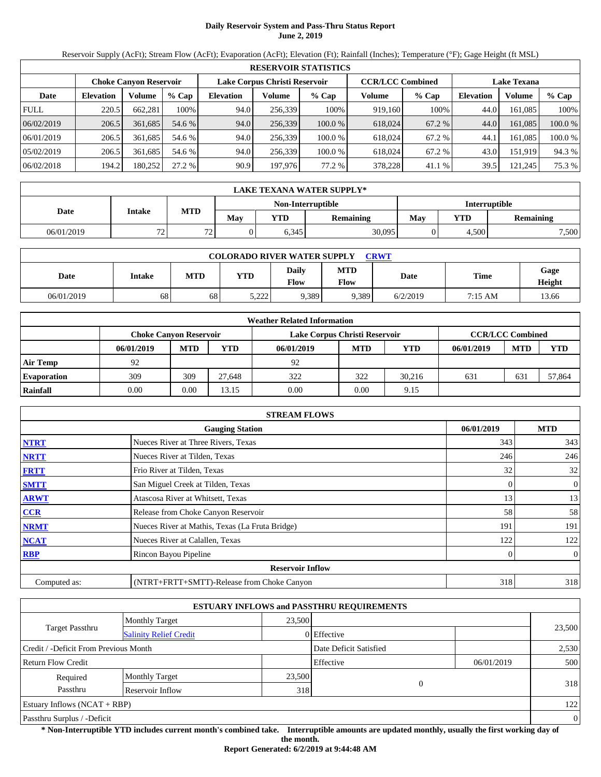# **Daily Reservoir System and Pass-Thru Status Report June 2, 2019**

Reservoir Supply (AcFt); Stream Flow (AcFt); Evaporation (AcFt); Elevation (Ft); Rainfall (Inches); Temperature (°F); Gage Height (ft MSL)

|             | <b>RESERVOIR STATISTICS</b>                                                                                     |         |         |                  |         |         |         |         |                  |         |         |  |  |
|-------------|-----------------------------------------------------------------------------------------------------------------|---------|---------|------------------|---------|---------|---------|---------|------------------|---------|---------|--|--|
|             | Lake Corpus Christi Reservoir<br><b>CCR/LCC Combined</b><br><b>Lake Texana</b><br><b>Choke Canvon Reservoir</b> |         |         |                  |         |         |         |         |                  |         |         |  |  |
| Date        | <b>Elevation</b>                                                                                                | Volume  | $%$ Cap | <b>Elevation</b> | Volume  | $%$ Cap | Volume  | $%$ Cap | <b>Elevation</b> | Volume  | $%$ Cap |  |  |
| <b>FULL</b> | 220.5                                                                                                           | 662.281 | 100%    | 94.0             | 256.339 | 100%    | 919.160 | 100%    | 44.0             | 161.085 | 100%    |  |  |
| 06/02/2019  | 206.5                                                                                                           | 361,685 | 54.6 %  | 94.0             | 256,339 | 100.0%  | 618,024 | 67.2 %  | 44.0             | 161.085 | 100.0 % |  |  |
| 06/01/2019  | 206.5                                                                                                           | 361.685 | 54.6 %  | 94.0             | 256,339 | 100.0 % | 618,024 | 67.2 %  | 44.1             | 161.085 | 100.0 % |  |  |
| 05/02/2019  | 206.5                                                                                                           | 361.685 | 54.6 %  | 94.0             | 256.339 | 100.0 % | 618,024 | 67.2 %  | 43.0             | 151,919 | 94.3 %  |  |  |
| 06/02/2018  | 194.2                                                                                                           | 180,252 | 27.2 %  | 90.9             | 197,976 | 77.2 %  | 378,228 | 41.1 %  | 39.5             | 121,245 | 75.3 %  |  |  |

|                                    | LAKE TEXANA WATER SUPPLY*      |                  |     |       |           |     |                  |       |  |  |  |  |
|------------------------------------|--------------------------------|------------------|-----|-------|-----------|-----|------------------|-------|--|--|--|--|
| Interruptible<br>Non-Interruptible |                                |                  |     |       |           |     |                  |       |  |  |  |  |
| Date                               | Intake                         | <b>MTD</b>       | May | YTD   | Remaining | May | <b>Remaining</b> |       |  |  |  |  |
| 06/01/2019                         | 72<br>$\overline{\phantom{a}}$ | 72<br>. <u>.</u> |     | 6,345 | 30,095    |     | 4,500            | 7,500 |  |  |  |  |

| <b>COLORADO RIVER WATER SUPPLY</b><br><b>CRWT</b> |        |     |                  |               |                    |          |         |                |  |  |  |
|---------------------------------------------------|--------|-----|------------------|---------------|--------------------|----------|---------|----------------|--|--|--|
| Date                                              | Intake | MTD | <b>YTD</b>       | Daily<br>Flow | <b>MTD</b><br>Flow | Date     | Time    | Gage<br>Height |  |  |  |
| 06/01/2019                                        | 68     | 68  | 5.222.<br>ے کہ ک | 9,389         | 9,389              | 6/2/2019 | 7:15 AM | 13.66          |  |  |  |

|                    | <b>Weather Related Information</b> |            |            |                               |            |        |            |                         |            |  |  |  |
|--------------------|------------------------------------|------------|------------|-------------------------------|------------|--------|------------|-------------------------|------------|--|--|--|
|                    | <b>Choke Canvon Reservoir</b>      |            |            | Lake Corpus Christi Reservoir |            |        |            | <b>CCR/LCC Combined</b> |            |  |  |  |
|                    | 06/01/2019                         | <b>MTD</b> | <b>YTD</b> | 06/01/2019                    | <b>MTD</b> | YTD    | 06/01/2019 | <b>MTD</b>              | <b>YTD</b> |  |  |  |
| <b>Air Temp</b>    | 92                                 |            |            | 92                            |            |        |            |                         |            |  |  |  |
| <b>Evaporation</b> | 309                                | 309        | 27.648     | 322                           | 322        | 30.216 | 631        | 631                     | 57,864     |  |  |  |
| Rainfall           | 0.00                               | 0.00       | 13.15      | 0.00                          | 0.00       | 9.15   |            |                         |            |  |  |  |

|              | <b>STREAM FLOWS</b>                             |            |                |
|--------------|-------------------------------------------------|------------|----------------|
|              | <b>Gauging Station</b>                          | 06/01/2019 | <b>MTD</b>     |
| <b>NTRT</b>  | Nueces River at Three Rivers, Texas             | 343        | 343            |
| <b>NRTT</b>  | Nueces River at Tilden, Texas                   | 246        | 246            |
| <b>FRTT</b>  | Frio River at Tilden, Texas                     | 32         | 32             |
| <b>SMTT</b>  | San Miguel Creek at Tilden, Texas               | 0          | $\overline{0}$ |
| <b>ARWT</b>  | Atascosa River at Whitsett, Texas               | 13         | 13             |
| <b>CCR</b>   | Release from Choke Canyon Reservoir             | 58         | 58             |
| <b>NRMT</b>  | Nueces River at Mathis, Texas (La Fruta Bridge) | 191        | 191            |
| <b>NCAT</b>  | Nueces River at Calallen, Texas                 | 122        | 122            |
| <b>RBP</b>   | Rincon Bayou Pipeline                           | 0          | $\overline{0}$ |
|              | <b>Reservoir Inflow</b>                         |            |                |
| Computed as: | (NTRT+FRTT+SMTT)-Release from Choke Canyon      | 318        | 318            |

|                                       |                               |        | <b>ESTUARY INFLOWS and PASSTHRU REQUIREMENTS</b> |            |                |
|---------------------------------------|-------------------------------|--------|--------------------------------------------------|------------|----------------|
|                                       | <b>Monthly Target</b>         | 23,500 |                                                  |            |                |
| Target Passthru                       | <b>Salinity Relief Credit</b> |        | 0 Effective                                      |            | 23,500         |
| Credit / -Deficit From Previous Month |                               |        | Date Deficit Satisfied                           |            | 2,530          |
| <b>Return Flow Credit</b>             |                               |        | Effective                                        | 06/01/2019 | 500            |
| Required                              | <b>Monthly Target</b>         | 23,500 |                                                  |            |                |
| Passthru                              | Reservoir Inflow              | 318    | $\theta$                                         |            | 318            |
| Estuary Inflows $(NCAT + RBP)$        |                               |        |                                                  |            | 122            |
| Passthru Surplus / -Deficit           |                               |        |                                                  |            | $\overline{0}$ |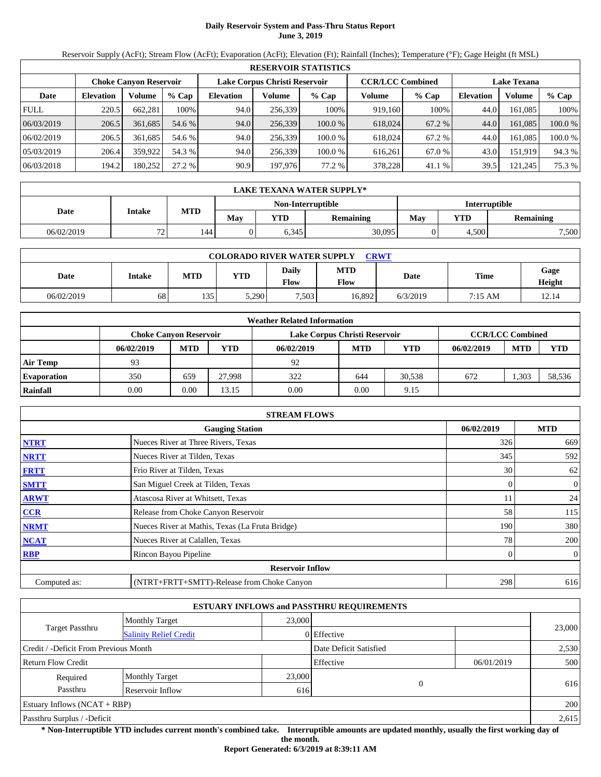# **Daily Reservoir System and Pass-Thru Status Report June 3, 2019**

Reservoir Supply (AcFt); Stream Flow (AcFt); Evaporation (AcFt); Elevation (Ft); Rainfall (Inches); Temperature (°F); Gage Height (ft MSL)

|             | <b>RESERVOIR STATISTICS</b> |                               |         |                  |                               |         |                         |        |                    |         |         |  |  |
|-------------|-----------------------------|-------------------------------|---------|------------------|-------------------------------|---------|-------------------------|--------|--------------------|---------|---------|--|--|
|             |                             | <b>Choke Canvon Reservoir</b> |         |                  | Lake Corpus Christi Reservoir |         | <b>CCR/LCC Combined</b> |        | <b>Lake Texana</b> |         |         |  |  |
| Date        | <b>Elevation</b>            | Volume                        | $%$ Cap | <b>Elevation</b> | Volume                        | $%$ Cap | Volume                  | % Cap  | <b>Elevation</b>   | Volume  | $%$ Cap |  |  |
| <b>FULL</b> | 220.5                       | 662.281                       | 100%    | 94.0             | 256,339                       | 100%    | 919,160                 | 100%   | 44.0               | 161.085 | 100%    |  |  |
| 06/03/2019  | 206.5                       | 361,685                       | 54.6 %  | 94.0             | 256,339                       | 100.0%  | 618,024                 | 67.2 % | 44.0               | 161.085 | 100.0 % |  |  |
| 06/02/2019  | 206.5                       | 361.685                       | 54.6 %  | 94.0             | 256,339                       | 100.0%  | 618,024                 | 67.2 % | 44.0               | 161.085 | 100.0 % |  |  |
| 05/03/2019  | 206.4                       | 359,922                       | 54.3 %  | 94.0             | 256,339                       | 100.0%  | 616,261                 | 67.0 % | 43.0               | 151,919 | 94.3 %  |  |  |
| 06/03/2018  | 194.2                       | 180,252                       | 27.2 %  | 90.9             | 197,976                       | 77.2 %  | 378.228                 | 41.1 % | 39.5               | 121,245 | 75.3 %  |  |  |

|            | <b>LAKE TEXANA WATER SUPPLY*</b> |            |     |            |                   |                      |            |                  |  |  |  |
|------------|----------------------------------|------------|-----|------------|-------------------|----------------------|------------|------------------|--|--|--|
|            |                                  |            |     |            | Non-Interruptible | <b>Interruptible</b> |            |                  |  |  |  |
| Date       | Intake                           | <b>MTD</b> | May | <b>YTD</b> | Remaining         | May                  | <b>YTD</b> | <b>Remaining</b> |  |  |  |
| 06/02/2019 | 72<br><u>_</u>                   | 144.       |     | 6,345      | 30,095            |                      | 4.500      | 7,500            |  |  |  |

| <b>COLORADO RIVER WATER SUPPLY</b><br><b>CRWT</b> |        |            |            |               |             |          |             |                |  |  |  |
|---------------------------------------------------|--------|------------|------------|---------------|-------------|----------|-------------|----------------|--|--|--|
| Date                                              | Intake | <b>MTD</b> | <b>YTD</b> | Daily<br>Flow | MTD<br>Flow | Date     | <b>Time</b> | Gage<br>Height |  |  |  |
| 06/02/2019                                        | 68     | 135        | 5,290      | 7,503         | 16.892      | 6/3/2019 | 7:15 AM     | 12.14          |  |  |  |

|                    | <b>Weather Related Information</b> |            |            |                               |                         |        |            |            |            |  |  |  |
|--------------------|------------------------------------|------------|------------|-------------------------------|-------------------------|--------|------------|------------|------------|--|--|--|
|                    | <b>Choke Canvon Reservoir</b>      |            |            | Lake Corpus Christi Reservoir | <b>CCR/LCC Combined</b> |        |            |            |            |  |  |  |
|                    | 06/02/2019                         | <b>MTD</b> | <b>YTD</b> | 06/02/2019                    | <b>MTD</b>              | YTD    | 06/02/2019 | <b>MTD</b> | <b>YTD</b> |  |  |  |
| <b>Air Temp</b>    | 93                                 |            |            | 92                            |                         |        |            |            |            |  |  |  |
| <b>Evaporation</b> | 350                                | 659        | 27.998     | 322                           | 644                     | 30.538 | 672        | ,303       | 58,536     |  |  |  |
| Rainfall           | 0.00                               | 0.00       | 13.15      | 0.00                          | 0.00                    | 9.15   |            |            |            |  |  |  |

|              | <b>STREAM FLOWS</b>                             |            |                |
|--------------|-------------------------------------------------|------------|----------------|
|              | <b>Gauging Station</b>                          | 06/02/2019 | <b>MTD</b>     |
| <b>NTRT</b>  | Nueces River at Three Rivers, Texas             | 326        | 669            |
| <b>NRTT</b>  | Nueces River at Tilden, Texas                   | 345        | 592            |
| <b>FRTT</b>  | Frio River at Tilden, Texas                     | 30         | 62             |
| <b>SMTT</b>  | San Miguel Creek at Tilden, Texas               | 0          | $\overline{0}$ |
| <b>ARWT</b>  | Atascosa River at Whitsett, Texas               | 11         | 24             |
| CCR          | Release from Choke Canyon Reservoir             | 58         | 115            |
| <b>NRMT</b>  | Nueces River at Mathis, Texas (La Fruta Bridge) | 190        | 380            |
| <b>NCAT</b>  | Nueces River at Calallen, Texas                 | 78         | 200            |
| <b>RBP</b>   | Rincon Bayou Pipeline                           | 0          | $\overline{0}$ |
|              | <b>Reservoir Inflow</b>                         |            |                |
| Computed as: | (NTRT+FRTT+SMTT)-Release from Choke Canyon      | 298        | 616            |

|                                       |                               |                 | <b>ESTUARY INFLOWS and PASSTHRU REQUIREMENTS</b> |            |        |  |  |
|---------------------------------------|-------------------------------|-----------------|--------------------------------------------------|------------|--------|--|--|
|                                       | <b>Monthly Target</b>         | 23,000          |                                                  |            | 23,000 |  |  |
| Target Passthru                       | <b>Salinity Relief Credit</b> |                 | 0 Effective                                      |            |        |  |  |
| Credit / -Deficit From Previous Month |                               |                 | Date Deficit Satisfied                           |            | 2,530  |  |  |
| <b>Return Flow Credit</b>             |                               |                 | Effective                                        | 06/01/2019 | 500    |  |  |
| Required                              | <b>Monthly Target</b>         | 23,000          |                                                  |            |        |  |  |
| Passthru                              | Reservoir Inflow              | $\theta$<br>616 |                                                  | 616        |        |  |  |
| Estuary Inflows $(NCAT + RBP)$        |                               |                 |                                                  |            | 200    |  |  |
| Passthru Surplus / -Deficit           |                               |                 |                                                  |            | 2,615  |  |  |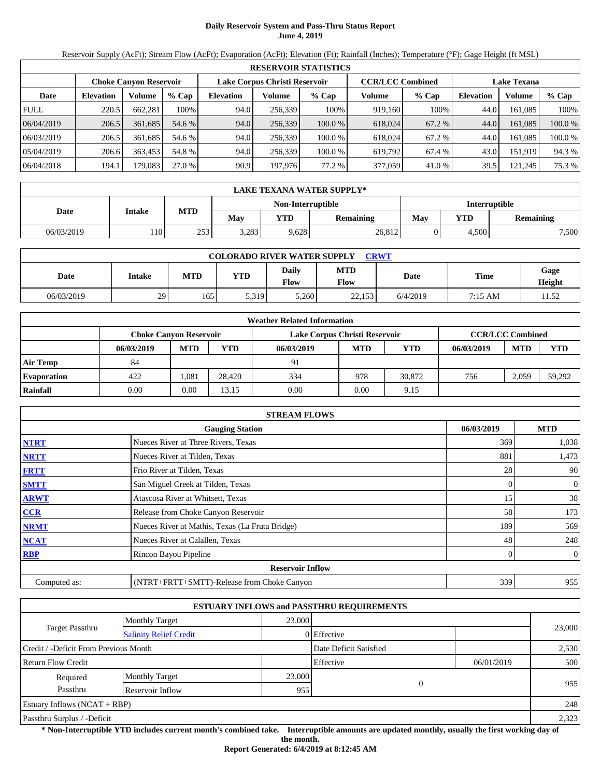# **Daily Reservoir System and Pass-Thru Status Report June 4, 2019**

Reservoir Supply (AcFt); Stream Flow (AcFt); Evaporation (AcFt); Elevation (Ft); Rainfall (Inches); Temperature (°F); Gage Height (ft MSL)

|             | <b>RESERVOIR STATISTICS</b> |                               |         |                  |                               |           |                         |        |                    |         |         |  |  |
|-------------|-----------------------------|-------------------------------|---------|------------------|-------------------------------|-----------|-------------------------|--------|--------------------|---------|---------|--|--|
|             |                             | <b>Choke Canvon Reservoir</b> |         |                  | Lake Corpus Christi Reservoir |           | <b>CCR/LCC Combined</b> |        | <b>Lake Texana</b> |         |         |  |  |
| Date        | <b>Elevation</b>            | Volume                        | $%$ Cap | <b>Elevation</b> | Volume                        | $%$ Cap   | Volume                  | % Cap  | <b>Elevation</b>   | Volume  | % Cap   |  |  |
| <b>FULL</b> | 220.5                       | 662.281                       | 100%    | 94.0             | 256,339                       | 100%      | 919,160                 | 100%   | 44.0               | 161,085 | 100%    |  |  |
| 06/04/2019  | 206.5                       | 361,685                       | 54.6 %  | 94.0             | 256,339                       | 100.0%    | 618,024                 | 67.2 % | 44.0               | 161.085 | 100.0 % |  |  |
| 06/03/2019  | 206.5                       | 361,685                       | 54.6 %  | 94.0             | 256,339                       | $100.0\%$ | 618,024                 | 67.2 % | 44.0               | 161.085 | 100.0%  |  |  |
| 05/04/2019  | 206.6                       | 363,453                       | 54.8 %  | 94.0             | 256,339                       | 100.0%    | 619.792                 | 67.4 % | 43.0               | 151,919 | 94.3 %  |  |  |
| 06/04/2018  | 194.1                       | 179,083                       | 27.0 %  | 90.9             | 197,976                       | 77.2 %    | 377,059                 | 41.0 % | 39.5               | 121,245 | 75.3 %  |  |  |

|            | LAKE TEXANA WATER SUPPLY* |            |       |                   |                  |                      |              |                  |  |  |  |
|------------|---------------------------|------------|-------|-------------------|------------------|----------------------|--------------|------------------|--|--|--|
|            |                           |            |       | Non-Interruptible |                  | <b>Interruptible</b> |              |                  |  |  |  |
| Date       | Intake                    | <b>MTD</b> | May   | $_{\rm VTD}$      | <b>Remaining</b> | May                  | $_{\rm VTD}$ | <b>Remaining</b> |  |  |  |
| 06/03/2019 | 110                       | 253        | 3,283 | 9,628             | 26,812           |                      | 4.500        | 7,500            |  |  |  |

| <b>COLORADO RIVER WATER SUPPLY</b><br><b>CRWT</b> |        |            |       |               |             |          |             |                |  |  |  |
|---------------------------------------------------|--------|------------|-------|---------------|-------------|----------|-------------|----------------|--|--|--|
| Date                                              | Intake | <b>MTD</b> | YTD   | Daily<br>Flow | MTD<br>Flow | Date     | <b>Time</b> | Gage<br>Height |  |  |  |
| 06/03/2019                                        | 29     | 165        | 5,319 | 5.260         | 22.153      | 6/4/2019 | 7:15 AM     | 1.52           |  |  |  |

|                    | <b>Weather Related Information</b> |            |            |                               |                         |        |            |            |            |  |  |  |
|--------------------|------------------------------------|------------|------------|-------------------------------|-------------------------|--------|------------|------------|------------|--|--|--|
|                    | <b>Choke Canvon Reservoir</b>      |            |            | Lake Corpus Christi Reservoir | <b>CCR/LCC Combined</b> |        |            |            |            |  |  |  |
|                    | 06/03/2019                         | <b>MTD</b> | <b>YTD</b> | 06/03/2019                    | <b>MTD</b>              | YTD    | 06/03/2019 | <b>MTD</b> | <b>YTD</b> |  |  |  |
| <b>Air Temp</b>    | 84                                 |            |            | 91                            |                         |        |            |            |            |  |  |  |
| <b>Evaporation</b> | 422                                | L081       | 28.420     | 334                           | 978                     | 30,872 | 756        | 2,059      | 59,292     |  |  |  |
| Rainfall           | 0.00                               | 0.00       | 13.15      | 0.00                          | 0.00                    | 9.15   |            |            |            |  |  |  |

|              | <b>STREAM FLOWS</b>                             |            |                  |
|--------------|-------------------------------------------------|------------|------------------|
|              | <b>Gauging Station</b>                          | 06/03/2019 | <b>MTD</b>       |
| <b>NTRT</b>  | Nueces River at Three Rivers, Texas             | 369        | 1,038            |
| <b>NRTT</b>  | Nueces River at Tilden, Texas                   | 881        | 1,473            |
| <b>FRTT</b>  | Frio River at Tilden, Texas                     | 28         | 90               |
| <b>SMTT</b>  | San Miguel Creek at Tilden, Texas               | 0          | $\boldsymbol{0}$ |
| <b>ARWT</b>  | Atascosa River at Whitsett, Texas               | 15         | 38               |
| <b>CCR</b>   | Release from Choke Canyon Reservoir             | 58         | 173              |
| <b>NRMT</b>  | Nueces River at Mathis, Texas (La Fruta Bridge) | 189        | 569              |
| <b>NCAT</b>  | Nueces River at Calallen, Texas                 | 48         | 248              |
| <b>RBP</b>   | Rincon Bayou Pipeline                           |            | $\overline{0}$   |
|              | <b>Reservoir Inflow</b>                         |            |                  |
| Computed as: | (NTRT+FRTT+SMTT)-Release from Choke Canyon      | 339        | 955              |

|                                       |                               |        | <b>ESTUARY INFLOWS and PASSTHRU REQUIREMENTS</b> |            |        |
|---------------------------------------|-------------------------------|--------|--------------------------------------------------|------------|--------|
|                                       | <b>Monthly Target</b>         | 23,000 |                                                  |            |        |
| Target Passthru                       | <b>Salinity Relief Credit</b> |        | 0 Effective                                      |            | 23,000 |
| Credit / -Deficit From Previous Month |                               |        | Date Deficit Satisfied                           |            | 2,530  |
| <b>Return Flow Credit</b>             |                               |        | Effective                                        | 06/01/2019 | 500    |
| Required                              | <b>Monthly Target</b>         | 23,000 |                                                  |            |        |
| Passthru<br>Reservoir Inflow          |                               |        | 955                                              | $\Omega$   | 955    |
| Estuary Inflows $(NCAT + RBP)$        |                               |        |                                                  |            | 248    |
| Passthru Surplus / -Deficit           |                               |        |                                                  |            | 2,323  |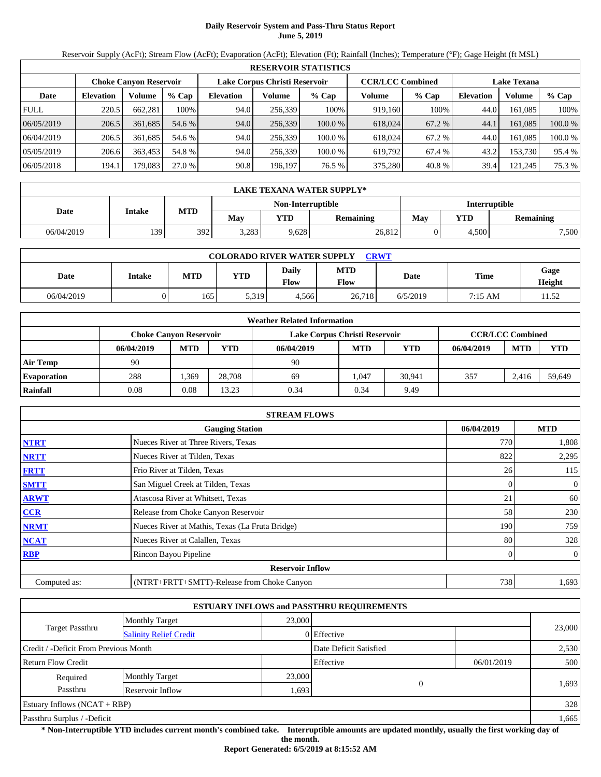# **Daily Reservoir System and Pass-Thru Status Report June 5, 2019**

Reservoir Supply (AcFt); Stream Flow (AcFt); Evaporation (AcFt); Elevation (Ft); Rainfall (Inches); Temperature (°F); Gage Height (ft MSL)

|             | <b>RESERVOIR STATISTICS</b> |                               |         |                  |                               |         |                         |         |                    |         |         |  |  |
|-------------|-----------------------------|-------------------------------|---------|------------------|-------------------------------|---------|-------------------------|---------|--------------------|---------|---------|--|--|
|             |                             | <b>Choke Canvon Reservoir</b> |         |                  | Lake Corpus Christi Reservoir |         | <b>CCR/LCC Combined</b> |         | <b>Lake Texana</b> |         |         |  |  |
| Date        | <b>Elevation</b>            | Volume                        | $%$ Cap | <b>Elevation</b> | Volume                        | $%$ Cap | Volume                  | $%$ Cap | <b>Elevation</b>   | Volume  | % Cap   |  |  |
| <b>FULL</b> | 220.5                       | 662.281                       | 100%    | 94.0             | 256,339                       | 100%    | 919.160                 | 100%    | 44.0               | 161.085 | 100%    |  |  |
| 06/05/2019  | 206.5                       | 361,685                       | 54.6 %  | 94.0             | 256,339                       | 100.0 % | 618,024                 | 67.2 %  | 44.1               | 161.085 | 100.0 % |  |  |
| 06/04/2019  | 206.5                       | 361.685                       | 54.6 %  | 94.0             | 256,339                       | 100.0 % | 618,024                 | 67.2 %  | 44.0               | 161.085 | 100.0 % |  |  |
| 05/05/2019  | 206.6                       | 363.453                       | 54.8%   | 94.0             | 256,339                       | 100.0 % | 619.792                 | 67.4 %  | 43.2               | 153.730 | 95.4 %  |  |  |
| 06/05/2018  | 194.1                       | 179.083                       | 27.0 %  | 90.8             | 196,197                       | 76.5 %  | 375,280                 | 40.8 %  | 39.4               | 121,245 | 75.3 %  |  |  |

|            | LAKE TEXANA WATER SUPPLY* |            |       |                   |           |                      |       |                  |  |  |  |  |
|------------|---------------------------|------------|-------|-------------------|-----------|----------------------|-------|------------------|--|--|--|--|
|            |                           |            |       | Non-Interruptible |           | <b>Interruptible</b> |       |                  |  |  |  |  |
| Date       | Intake                    | <b>MTD</b> | May   | VTD               | Remaining | May                  | VTD   | <b>Remaining</b> |  |  |  |  |
| 06/04/2019 | 139                       | 392        | 3,283 | 9,628             | 26,812    |                      | 4,500 | 7,500            |  |  |  |  |

| <b>COLORADO RIVER WATER SUPPLY</b><br>CRWT |        |            |            |                             |             |          |             |                |  |  |  |
|--------------------------------------------|--------|------------|------------|-----------------------------|-------------|----------|-------------|----------------|--|--|--|
| Date                                       | Intake | <b>MTD</b> | <b>YTD</b> | <b>Daily</b><br><b>Flow</b> | MTD<br>Flow | Date     | <b>Time</b> | Gage<br>Height |  |  |  |
| 06/04/2019                                 |        | 165        | 5,319      | 4.566                       | 26.718      | 6/5/2019 | 7:15 AM     | 11.52          |  |  |  |

|                    |                               |            |            | <b>Weather Related Information</b> |            |        |            |                         |            |
|--------------------|-------------------------------|------------|------------|------------------------------------|------------|--------|------------|-------------------------|------------|
|                    | <b>Choke Canvon Reservoir</b> |            |            | Lake Corpus Christi Reservoir      |            |        |            | <b>CCR/LCC Combined</b> |            |
|                    | 06/04/2019                    | <b>MTD</b> | <b>YTD</b> | 06/04/2019                         | <b>MTD</b> | YTD    | 06/04/2019 | <b>MTD</b>              | <b>YTD</b> |
| <b>Air Temp</b>    | 90                            |            |            | 90                                 |            |        |            |                         |            |
| <b>Evaporation</b> | 288                           | .369       | 28,708     | 69                                 | .047       | 30.941 | 357        | 2.416                   | 59,649     |
| Rainfall           | 0.08                          | 0.08       | 13.23      | 0.34                               | 0.34       | 9.49   |            |                         |            |

|              | <b>STREAM FLOWS</b>                             |            |                  |
|--------------|-------------------------------------------------|------------|------------------|
|              | <b>Gauging Station</b>                          | 06/04/2019 | <b>MTD</b>       |
| <b>NTRT</b>  | Nueces River at Three Rivers, Texas             | 770        | 1,808            |
| <b>NRTT</b>  | Nueces River at Tilden, Texas                   | 822        | 2,295            |
| <b>FRTT</b>  | Frio River at Tilden, Texas                     | 26         | 115              |
| <b>SMTT</b>  | San Miguel Creek at Tilden, Texas               | 0          | $\boldsymbol{0}$ |
| <b>ARWT</b>  | Atascosa River at Whitsett, Texas               | 21         | 60               |
| <b>CCR</b>   | Release from Choke Canyon Reservoir             | 58         | 230              |
| <b>NRMT</b>  | Nueces River at Mathis, Texas (La Fruta Bridge) | 190        | 759              |
| <b>NCAT</b>  | Nueces River at Calallen, Texas                 | 80         | 328              |
| <b>RBP</b>   | Rincon Bayou Pipeline                           |            | $\overline{0}$   |
|              | <b>Reservoir Inflow</b>                         |            |                  |
| Computed as: | (NTRT+FRTT+SMTT)-Release from Choke Canyon      | 738        | 1,693            |

|                                                  |                       |        | <b>ESTUARY INFLOWS and PASSTHRU REQUIREMENTS</b> |            |        |  |  |
|--------------------------------------------------|-----------------------|--------|--------------------------------------------------|------------|--------|--|--|
|                                                  | <b>Monthly Target</b> | 23,000 |                                                  |            |        |  |  |
| Target Passthru<br><b>Salinity Relief Credit</b> |                       |        | 0 Effective                                      |            | 23,000 |  |  |
| Credit / -Deficit From Previous Month            |                       |        | Date Deficit Satisfied                           |            | 2,530  |  |  |
| <b>Return Flow Credit</b>                        |                       |        | Effective                                        | 06/01/2019 | 500    |  |  |
| Required                                         | <b>Monthly Target</b> | 23,000 |                                                  |            |        |  |  |
| Passthru                                         | Reservoir Inflow      | 1,693  | $\theta$                                         |            | 1,693  |  |  |
| Estuary Inflows $(NCAT + RBP)$                   |                       |        |                                                  |            | 328    |  |  |
| Passthru Surplus / -Deficit                      |                       |        |                                                  |            |        |  |  |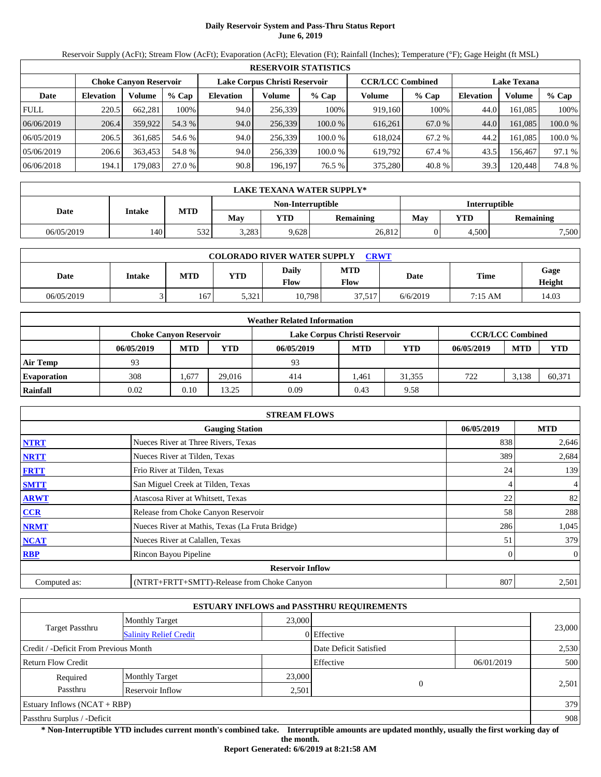# **Daily Reservoir System and Pass-Thru Status Report June 6, 2019**

Reservoir Supply (AcFt); Stream Flow (AcFt); Evaporation (AcFt); Elevation (Ft); Rainfall (Inches); Temperature (°F); Gage Height (ft MSL)

|             | <b>RESERVOIR STATISTICS</b> |                               |         |                  |                               |         |                         |         |                    |         |         |  |  |
|-------------|-----------------------------|-------------------------------|---------|------------------|-------------------------------|---------|-------------------------|---------|--------------------|---------|---------|--|--|
|             |                             | <b>Choke Canvon Reservoir</b> |         |                  | Lake Corpus Christi Reservoir |         | <b>CCR/LCC Combined</b> |         | <b>Lake Texana</b> |         |         |  |  |
| Date        | <b>Elevation</b>            | Volume                        | $%$ Cap | <b>Elevation</b> | Volume                        | $%$ Cap | Volume                  | $%$ Cap | <b>Elevation</b>   | Volume  | % Cap   |  |  |
| <b>FULL</b> | 220.5                       | 662.281                       | 100%    | 94.0             | 256,339                       | 100%    | 919.160                 | 100%    | 44.0               | 161.085 | 100%    |  |  |
| 06/06/2019  | 206.4                       | 359,922                       | 54.3 %  | 94.0             | 256,339                       | 100.0 % | 616.261                 | 67.0 %  | 44.0               | 161.085 | 100.0 % |  |  |
| 06/05/2019  | 206.5                       | 361.685                       | 54.6 %  | 94.0             | 256,339                       | 100.0 % | 618,024                 | 67.2 %  | 44.2               | 161.085 | 100.0 % |  |  |
| 05/06/2019  | 206.6                       | 363.453                       | 54.8%   | 94.0             | 256,339                       | 100.0 % | 619.792                 | 67.4 %  | 43.5               | 156.467 | 97.1 %  |  |  |
| 06/06/2018  | 194.1                       | 179.083                       | 27.0 %  | 90.8             | 196,197                       | 76.5 %  | 375,280                 | 40.8 %  | 39.3               | 120,448 | 74.8 %  |  |  |

|            | LAKE TEXANA WATER SUPPLY* |            |                   |       |           |     |                      |                  |  |  |  |  |
|------------|---------------------------|------------|-------------------|-------|-----------|-----|----------------------|------------------|--|--|--|--|
|            |                           |            | Non-Interruptible |       |           |     | <b>Interruptible</b> |                  |  |  |  |  |
| Date       | Intake                    | <b>MTD</b> | May               | VTD   | Remaining | May | VTD                  | <b>Remaining</b> |  |  |  |  |
| 06/05/2019 | 140                       | 532        | 3,283             | 9,628 | 26,812    |     | 4,500                | 7,500            |  |  |  |  |

| <b>COLORADO RIVER WATER SUPPLY</b><br><b>CRWT</b> |        |            |            |               |                    |          |         |                |  |  |  |
|---------------------------------------------------|--------|------------|------------|---------------|--------------------|----------|---------|----------------|--|--|--|
| Date                                              | Intake | <b>MTD</b> | <b>YTD</b> | Daily<br>Flow | <b>MTD</b><br>Flow | Date     | Time    | Gage<br>Height |  |  |  |
| 06/05/2019                                        |        | 167        | 5,321      | 10,798        | 37.517             | 6/6/2019 | 7:15 AM | 14.03          |  |  |  |

|                    |                               |            |            | <b>Weather Related Information</b> |            |            |            |                         |            |
|--------------------|-------------------------------|------------|------------|------------------------------------|------------|------------|------------|-------------------------|------------|
|                    | <b>Choke Canvon Reservoir</b> |            |            | Lake Corpus Christi Reservoir      |            |            |            | <b>CCR/LCC Combined</b> |            |
|                    | 06/05/2019                    | <b>MTD</b> | <b>YTD</b> | 06/05/2019                         | <b>MTD</b> | <b>YTD</b> | 06/05/2019 | <b>MTD</b>              | <b>YTD</b> |
| <b>Air Temp</b>    | 93                            |            |            | 93                                 |            |            |            |                         |            |
| <b>Evaporation</b> | 308                           | .,677      | 29.016     | 414                                | .461       | 31.355     | 722        | 3.138                   | 60,371     |
| Rainfall           | 0.02                          | 0.10       | 13.25      | 0.09                               | 0.43       | 9.58       |            |                         |            |

|              | <b>STREAM FLOWS</b>                             |              |                |
|--------------|-------------------------------------------------|--------------|----------------|
|              | <b>Gauging Station</b>                          | 06/05/2019   | <b>MTD</b>     |
| <b>NTRT</b>  | Nueces River at Three Rivers, Texas             | 838          | 2,646          |
| <b>NRTT</b>  | Nueces River at Tilden, Texas                   | 389          | 2,684          |
| <b>FRTT</b>  | Frio River at Tilden, Texas                     | 24           | 139            |
| <b>SMTT</b>  | San Miguel Creek at Tilden, Texas               | 4            | 4              |
| <b>ARWT</b>  | Atascosa River at Whitsett, Texas               | 22           | 82             |
| CCR          | Release from Choke Canyon Reservoir             | 58           | 288            |
| <b>NRMT</b>  | Nueces River at Mathis, Texas (La Fruta Bridge) | 286          | 1,045          |
| <b>NCAT</b>  | Nueces River at Calallen, Texas                 | 51           | 379            |
| <b>RBP</b>   | Rincon Bayou Pipeline                           | $\mathbf{0}$ | $\overline{0}$ |
|              | <b>Reservoir Inflow</b>                         |              |                |
| Computed as: | (NTRT+FRTT+SMTT)-Release from Choke Canyon      | 807          | 2,501          |

|                                                  |                       |        | <b>ESTUARY INFLOWS and PASSTHRU REQUIREMENTS</b> |            |        |
|--------------------------------------------------|-----------------------|--------|--------------------------------------------------|------------|--------|
|                                                  | <b>Monthly Target</b> | 23,000 |                                                  |            |        |
| Target Passthru<br><b>Salinity Relief Credit</b> |                       |        | 0 Effective                                      |            | 23,000 |
| Credit / -Deficit From Previous Month            |                       |        | Date Deficit Satisfied                           |            | 2,530  |
| Return Flow Credit                               |                       |        | Effective                                        | 06/01/2019 | 500    |
| Required                                         | <b>Monthly Target</b> | 23,000 |                                                  |            |        |
| Passthru                                         | Reservoir Inflow      | 2,501  | 0                                                |            | 2,501  |
| Estuary Inflows $(NCAT + RBP)$                   |                       |        |                                                  |            | 379    |
| Passthru Surplus / -Deficit                      |                       |        |                                                  |            | 908    |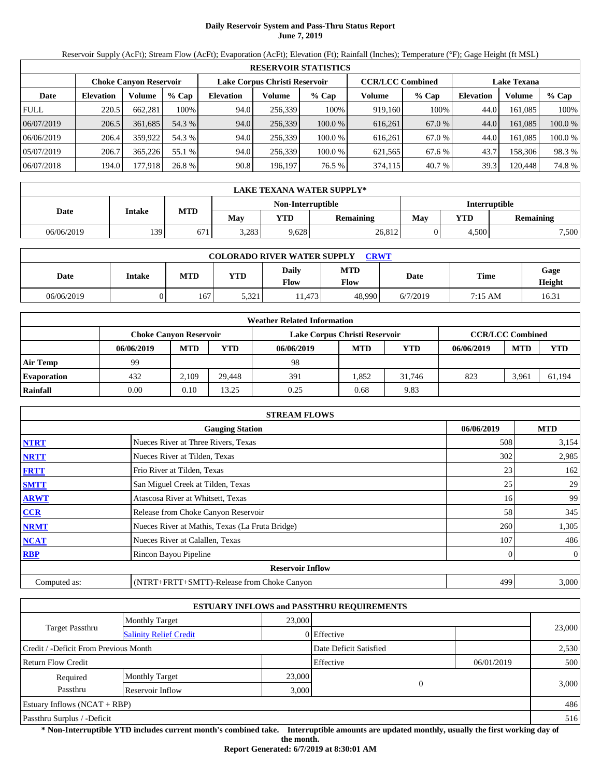# **Daily Reservoir System and Pass-Thru Status Report June 7, 2019**

Reservoir Supply (AcFt); Stream Flow (AcFt); Evaporation (AcFt); Elevation (Ft); Rainfall (Inches); Temperature (°F); Gage Height (ft MSL)

|             | <b>RESERVOIR STATISTICS</b>                                                                                     |         |         |                  |         |         |         |         |                  |         |         |  |  |
|-------------|-----------------------------------------------------------------------------------------------------------------|---------|---------|------------------|---------|---------|---------|---------|------------------|---------|---------|--|--|
|             | Lake Corpus Christi Reservoir<br><b>CCR/LCC Combined</b><br><b>Choke Canvon Reservoir</b><br><b>Lake Texana</b> |         |         |                  |         |         |         |         |                  |         |         |  |  |
| Date        | <b>Elevation</b>                                                                                                | Volume  | $%$ Cap | <b>Elevation</b> | Volume  | $%$ Cap | Volume  | $%$ Cap | <b>Elevation</b> | Volume  | % Cap   |  |  |
| <b>FULL</b> | 220.5                                                                                                           | 662.281 | 100%    | 94.0             | 256,339 | 100%    | 919.160 | 100%    | 44.0             | 161.085 | 100%    |  |  |
| 06/07/2019  | 206.5                                                                                                           | 361,685 | 54.3 %  | 94.0             | 256,339 | 100.0 % | 616,261 | 67.0 %  | 44.0             | 161.085 | 100.0%  |  |  |
| 06/06/2019  | 206.4                                                                                                           | 359,922 | 54.3 %  | 94.0             | 256,339 | 100.0 % | 616,261 | 67.0 %  | 44.0             | 161.085 | 100.0 % |  |  |
| 05/07/2019  | 206.7                                                                                                           | 365,226 | 55.1 %  | 94.0             | 256,339 | 100.0 % | 621,565 | 67.6 %  | 43.7             | 158,306 | 98.3%   |  |  |
| 06/07/2018  | 194.0                                                                                                           | 177,918 | 26.8 %  | 90.8             | 196,197 | 76.5 %  | 374,115 | 40.7 %  | 39.3             | 120,448 | 74.8%   |  |  |

|                                    | LAKE TEXANA WATER SUPPLY* |            |       |       |                  |     |                   |                  |  |  |  |  |
|------------------------------------|---------------------------|------------|-------|-------|------------------|-----|-------------------|------------------|--|--|--|--|
| Non-Interruptible<br>Interruptible |                           |            |       |       |                  |     |                   |                  |  |  |  |  |
| Date                               | Intake                    | <b>MTD</b> | May   | VTD   | <b>Remaining</b> | May | $\mathbf{v_{TD}}$ | <b>Remaining</b> |  |  |  |  |
| 06/06/2019                         | 139                       | 671        | 3,283 | 9,628 | 26,812           |     | 4,500             | 7,500            |  |  |  |  |

| <b>COLORADO RIVER WATER SUPPLY</b><br><b>CRWT</b> |        |            |            |               |                    |          |             |                |  |  |  |
|---------------------------------------------------|--------|------------|------------|---------------|--------------------|----------|-------------|----------------|--|--|--|
| Date                                              | Intake | <b>MTD</b> | <b>YTD</b> | Daily<br>Flow | <b>MTD</b><br>Flow | Date     | <b>Time</b> | Gage<br>Height |  |  |  |
| 06/06/2019                                        |        | 167        | 5,321      | 11.473        | 48,990             | 6/7/2019 | 7:15 AM     | 16.31          |  |  |  |

|                    | <b>Weather Related Information</b>                                                        |            |            |            |            |        |            |            |            |  |  |  |
|--------------------|-------------------------------------------------------------------------------------------|------------|------------|------------|------------|--------|------------|------------|------------|--|--|--|
|                    | <b>CCR/LCC Combined</b><br>Lake Corpus Christi Reservoir<br><b>Choke Canvon Reservoir</b> |            |            |            |            |        |            |            |            |  |  |  |
|                    | 06/06/2019                                                                                | <b>MTD</b> | <b>YTD</b> | 06/06/2019 | <b>MTD</b> | YTD    | 06/06/2019 | <b>MTD</b> | <b>YTD</b> |  |  |  |
| <b>Air Temp</b>    | 99                                                                                        |            |            | 98         |            |        |            |            |            |  |  |  |
| <b>Evaporation</b> | 432                                                                                       | 2.109      | 29.448     | 391        | 1.852      | 31.746 | 823        | 3.961      | 61,194     |  |  |  |
| Rainfall           | 0.00                                                                                      | $0.10\,$   | 13.25      | 0.25       | 0.68       | 9.83   |            |            |            |  |  |  |

|              | <b>STREAM FLOWS</b>                             |            |                |
|--------------|-------------------------------------------------|------------|----------------|
|              | <b>Gauging Station</b>                          | 06/06/2019 | <b>MTD</b>     |
| <b>NTRT</b>  | Nueces River at Three Rivers, Texas             | 508        | 3,154          |
| <b>NRTT</b>  | Nueces River at Tilden, Texas                   | 302        | 2,985          |
| <b>FRTT</b>  | Frio River at Tilden, Texas                     | 23         | 162            |
| <b>SMTT</b>  | San Miguel Creek at Tilden, Texas               | 25         | 29             |
| <b>ARWT</b>  | Atascosa River at Whitsett, Texas               | 16         | 99             |
| <b>CCR</b>   | Release from Choke Canyon Reservoir             | 58         | 345            |
| <b>NRMT</b>  | Nueces River at Mathis, Texas (La Fruta Bridge) | 260        | 1,305          |
| <b>NCAT</b>  | Nueces River at Calallen, Texas                 | 107        | 486            |
| <b>RBP</b>   | Rincon Bayou Pipeline                           |            | $\overline{0}$ |
|              | <b>Reservoir Inflow</b>                         |            |                |
| Computed as: | (NTRT+FRTT+SMTT)-Release from Choke Canyon      | 499        | 3,000          |

|                                       |                               |        | <b>ESTUARY INFLOWS and PASSTHRU REQUIREMENTS</b> |          |            |        |  |
|---------------------------------------|-------------------------------|--------|--------------------------------------------------|----------|------------|--------|--|
|                                       | <b>Monthly Target</b>         | 23,000 |                                                  |          |            | 23,000 |  |
| Target Passthru                       | <b>Salinity Relief Credit</b> |        | 0 Effective                                      |          |            |        |  |
| Credit / -Deficit From Previous Month |                               |        | Date Deficit Satisfied                           |          |            | 2,530  |  |
| <b>Return Flow Credit</b>             |                               |        | Effective                                        |          | 06/01/2019 | 500    |  |
| Required                              | <b>Monthly Target</b>         | 23,000 |                                                  |          |            |        |  |
| Passthru<br>Reservoir Inflow          |                               |        | 3,000                                            | $\Omega$ |            | 3,000  |  |
| Estuary Inflows $(NCAT + RBP)$        |                               |        |                                                  |          |            | 486    |  |
| Passthru Surplus / -Deficit           |                               |        |                                                  |          |            |        |  |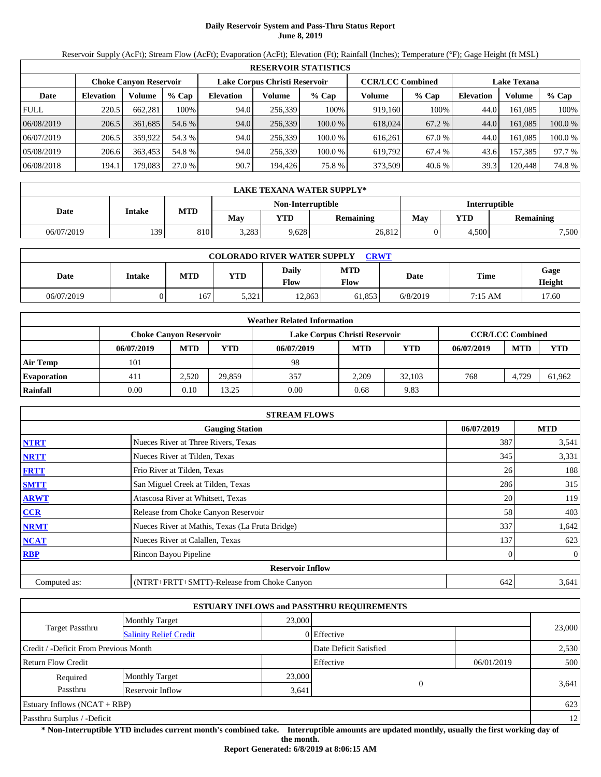# **Daily Reservoir System and Pass-Thru Status Report June 8, 2019**

Reservoir Supply (AcFt); Stream Flow (AcFt); Evaporation (AcFt); Elevation (Ft); Rainfall (Inches); Temperature (°F); Gage Height (ft MSL)

|             | <b>RESERVOIR STATISTICS</b>                                                                                     |         |         |                  |         |         |         |         |                  |         |         |  |  |
|-------------|-----------------------------------------------------------------------------------------------------------------|---------|---------|------------------|---------|---------|---------|---------|------------------|---------|---------|--|--|
|             | Lake Corpus Christi Reservoir<br><b>CCR/LCC Combined</b><br><b>Choke Canvon Reservoir</b><br><b>Lake Texana</b> |         |         |                  |         |         |         |         |                  |         |         |  |  |
| Date        | <b>Elevation</b>                                                                                                | Volume  | $%$ Cap | <b>Elevation</b> | Volume  | $%$ Cap | Volume  | $%$ Cap | <b>Elevation</b> | Volume  | % Cap   |  |  |
| <b>FULL</b> | 220.5                                                                                                           | 662.281 | 100%    | 94.0             | 256,339 | 100%    | 919.160 | 100%    | 44.0             | 161.085 | 100%    |  |  |
| 06/08/2019  | 206.5                                                                                                           | 361,685 | 54.6 %  | 94.0             | 256,339 | 100.0 % | 618,024 | 67.2 %  | 44.0             | 161.085 | 100.0 % |  |  |
| 06/07/2019  | 206.5                                                                                                           | 359.922 | 54.3 %  | 94.0             | 256,339 | 100.0 % | 616.261 | 67.0 %  | 44.0             | 161.085 | 100.0 % |  |  |
| 05/08/2019  | 206.6                                                                                                           | 363.453 | 54.8 %  | 94.0             | 256,339 | 100.0 % | 619.792 | 67.4 %  | 43.6             | 157.385 | 97.7 %  |  |  |
| 06/08/2018  | 194.1                                                                                                           | 179.083 | 27.0 %  | 90.7             | 194,426 | 75.8 %  | 373,509 | 40.6%   | 39.3             | 120,448 | 74.8 %  |  |  |

|                                           | <b>LAKE TEXANA WATER SUPPLY*</b> |            |       |            |                  |     |            |                  |  |  |  |  |
|-------------------------------------------|----------------------------------|------------|-------|------------|------------------|-----|------------|------------------|--|--|--|--|
| <b>Interruptible</b><br>Non-Interruptible |                                  |            |       |            |                  |     |            |                  |  |  |  |  |
| Date                                      | Intake                           | <b>MTD</b> | May   | <b>VTD</b> | <b>Remaining</b> | May | <b>YTD</b> | <b>Remaining</b> |  |  |  |  |
| 06/07/2019                                | 139                              | 810        | 3,283 | 9,628      | 26,812           |     | 4.500      | 7,500            |  |  |  |  |

| <b>COLORADO RIVER WATER SUPPLY</b><br><b>CRWT</b> |        |            |            |                      |                    |          |         |                |  |  |  |
|---------------------------------------------------|--------|------------|------------|----------------------|--------------------|----------|---------|----------------|--|--|--|
| Date                                              | Intake | <b>MTD</b> | <b>YTD</b> | Daily<br><b>Flow</b> | <b>MTD</b><br>Flow | Date     | Time    | Gage<br>Height |  |  |  |
| 06/07/2019                                        |        | 167        | 5,321      | 12.863               | 61.853             | 6/8/2019 | 7:15 AM | 17.60          |  |  |  |

|                    | <b>Weather Related Information</b>                                                        |            |            |            |            |        |            |            |            |  |  |  |  |
|--------------------|-------------------------------------------------------------------------------------------|------------|------------|------------|------------|--------|------------|------------|------------|--|--|--|--|
|                    | <b>CCR/LCC Combined</b><br>Lake Corpus Christi Reservoir<br><b>Choke Canvon Reservoir</b> |            |            |            |            |        |            |            |            |  |  |  |  |
|                    | 06/07/2019                                                                                | <b>MTD</b> | <b>YTD</b> | 06/07/2019 | <b>MTD</b> | YTD    | 06/07/2019 | <b>MTD</b> | <b>YTD</b> |  |  |  |  |
| <b>Air Temp</b>    | 101                                                                                       |            |            | 98         |            |        |            |            |            |  |  |  |  |
| <b>Evaporation</b> | 411                                                                                       | 2.520      | 29,859     | 357        | 2.209      | 32.103 | 768        | 4.729      | 61.962     |  |  |  |  |
| Rainfall           | 0.00                                                                                      | 0.10       | 13.25      | 0.00       | 0.68       | 9.83   |            |            |            |  |  |  |  |

|              | <b>STREAM FLOWS</b>                             |            |                |
|--------------|-------------------------------------------------|------------|----------------|
|              | <b>Gauging Station</b>                          | 06/07/2019 | <b>MTD</b>     |
| <b>NTRT</b>  | Nueces River at Three Rivers, Texas             | 387        | 3,541          |
| <b>NRTT</b>  | Nueces River at Tilden, Texas                   | 345        | 3,331          |
| <b>FRTT</b>  | Frio River at Tilden, Texas                     | 26         | 188            |
| <b>SMTT</b>  | San Miguel Creek at Tilden, Texas               | 286        | 315            |
| <b>ARWT</b>  | Atascosa River at Whitsett, Texas               | 20         | 119            |
| <b>CCR</b>   | Release from Choke Canyon Reservoir             | 58         | 403            |
| <b>NRMT</b>  | Nueces River at Mathis, Texas (La Fruta Bridge) | 337        | 1,642          |
| <b>NCAT</b>  | Nueces River at Calallen, Texas                 | 137        | 623            |
| <b>RBP</b>   | Rincon Bayou Pipeline                           |            | $\overline{0}$ |
|              | <b>Reservoir Inflow</b>                         |            |                |
| Computed as: | (NTRT+FRTT+SMTT)-Release from Choke Canyon      | 642        | 3,641          |

|                                       |                               |                        | <b>ESTUARY INFLOWS and PASSTHRU REQUIREMENTS</b> |            |        |  |  |
|---------------------------------------|-------------------------------|------------------------|--------------------------------------------------|------------|--------|--|--|
|                                       | <b>Monthly Target</b>         | 23,000                 |                                                  |            | 23,000 |  |  |
| Target Passthru                       | <b>Salinity Relief Credit</b> |                        | 0 Effective                                      |            |        |  |  |
| Credit / -Deficit From Previous Month |                               | Date Deficit Satisfied |                                                  | 2,530      |        |  |  |
| <b>Return Flow Credit</b>             |                               |                        | Effective                                        | 06/01/2019 | 500    |  |  |
| Required                              | <b>Monthly Target</b>         | 23,000                 |                                                  |            |        |  |  |
| Passthru<br>Reservoir Inflow          |                               |                        | $\Omega$<br>3,641                                |            | 3,641  |  |  |
| Estuary Inflows $(NCAT + RBP)$        |                               |                        |                                                  |            | 623    |  |  |
| Passthru Surplus / -Deficit           |                               |                        |                                                  |            | 12     |  |  |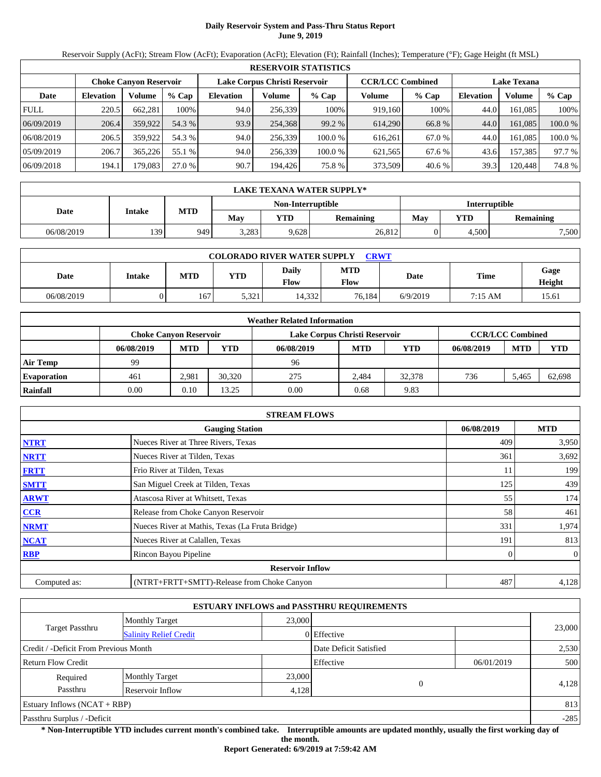# **Daily Reservoir System and Pass-Thru Status Report June 9, 2019**

Reservoir Supply (AcFt); Stream Flow (AcFt); Evaporation (AcFt); Elevation (Ft); Rainfall (Inches); Temperature (°F); Gage Height (ft MSL)

|             | <b>RESERVOIR STATISTICS</b> |                               |         |                  |                               |         |                         |         |                    |         |         |  |
|-------------|-----------------------------|-------------------------------|---------|------------------|-------------------------------|---------|-------------------------|---------|--------------------|---------|---------|--|
|             |                             | <b>Choke Canvon Reservoir</b> |         |                  | Lake Corpus Christi Reservoir |         | <b>CCR/LCC Combined</b> |         | <b>Lake Texana</b> |         |         |  |
| Date        | <b>Elevation</b>            | Volume                        | $%$ Cap | <b>Elevation</b> | Volume                        | $%$ Cap | Volume                  | $%$ Cap | <b>Elevation</b>   | Volume  | % Cap   |  |
| <b>FULL</b> | 220.5                       | 662.281                       | 100%    | 94.0             | 256,339                       | 100%    | 919.160                 | 100%    | 44.0               | 161.085 | 100%    |  |
| 06/09/2019  | 206.4                       | 359,922                       | 54.3 %  | 93.9             | 254,368                       | 99.2 %  | 614.290                 | 66.8 %  | 44.0               | 161.085 | 100.0 % |  |
| 06/08/2019  | 206.5                       | 359,922                       | 54.3 %  | 94.0             | 256,339                       | 100.0 % | 616.261                 | 67.0 %  | 44.0               | 161.085 | 100.0 % |  |
| 05/09/2019  | 206.7                       | 365.226                       | 55.1 %  | 94.0             | 256,339                       | 100.0 % | 621,565                 | 67.6 %  | 43.6               | 157.385 | 97.7 %  |  |
| 06/09/2018  | 194.1                       | 179.083                       | 27.0 %  | 90.7             | 194,426                       | 75.8 %  | 373,509                 | 40.6%   | 39.3               | 120,448 | 74.8 %  |  |

|            | LAKE TEXANA WATER SUPPLY* |            |       |                   |           |                      |       |                  |  |  |  |
|------------|---------------------------|------------|-------|-------------------|-----------|----------------------|-------|------------------|--|--|--|
|            |                           |            |       | Non-Interruptible |           | <b>Interruptible</b> |       |                  |  |  |  |
| Date       | Intake                    | <b>MTD</b> | May   | VTD               | Remaining | May                  | VTD   | <b>Remaining</b> |  |  |  |
| 06/08/2019 | 139                       | 9491       | 3,283 | 9,628             | 26,812    |                      | 4,500 | 7,500            |  |  |  |

| <b>COLORADO RIVER WATER SUPPLY</b><br><b>CRWT</b> |        |            |            |               |                    |          |         |                |  |  |
|---------------------------------------------------|--------|------------|------------|---------------|--------------------|----------|---------|----------------|--|--|
| Date                                              | Intake | <b>MTD</b> | <b>YTD</b> | Daily<br>Flow | <b>MTD</b><br>Flow | Date     | Time    | Gage<br>Height |  |  |
| 06/08/2019                                        |        | 167        | 5,321      | 14.332        | 76.184             | 6/9/2019 | 7:15 AM | 15.61          |  |  |

|                    |                               |            |            | <b>Weather Related Information</b> |                         |        |            |            |            |
|--------------------|-------------------------------|------------|------------|------------------------------------|-------------------------|--------|------------|------------|------------|
|                    | <b>Choke Canvon Reservoir</b> |            |            | Lake Corpus Christi Reservoir      | <b>CCR/LCC Combined</b> |        |            |            |            |
|                    | 06/08/2019                    | <b>MTD</b> | <b>YTD</b> | 06/08/2019                         | <b>MTD</b>              | YTD    | 06/08/2019 | <b>MTD</b> | <b>YTD</b> |
| <b>Air Temp</b>    | 99                            |            |            | 96                                 |                         |        |            |            |            |
| <b>Evaporation</b> | 461                           | 2.981      | 30.320     | 275                                | 2.484                   | 32.378 | 736        | 5.465      | 62,698     |
| Rainfall           | 0.00                          | $0.10\,$   | 13.25      | 0.00                               | 0.68                    | 9.83   |            |            |            |

|              | <b>STREAM FLOWS</b>                             |            |                |
|--------------|-------------------------------------------------|------------|----------------|
|              | <b>Gauging Station</b>                          | 06/08/2019 | <b>MTD</b>     |
| <b>NTRT</b>  | Nueces River at Three Rivers, Texas             | 409        | 3,950          |
| <b>NRTT</b>  | Nueces River at Tilden, Texas                   | 361        | 3,692          |
| <b>FRTT</b>  | Frio River at Tilden, Texas                     | 11         | 199            |
| <b>SMTT</b>  | San Miguel Creek at Tilden, Texas               | 125        | 439            |
| <b>ARWT</b>  | Atascosa River at Whitsett, Texas               | 55         | 174            |
| <b>CCR</b>   | Release from Choke Canyon Reservoir             | 58         | 461            |
| <b>NRMT</b>  | Nueces River at Mathis, Texas (La Fruta Bridge) | 331        | 1,974          |
| <b>NCAT</b>  | Nueces River at Calallen, Texas                 | 191        | 813            |
| <b>RBP</b>   | Rincon Bayou Pipeline                           |            | $\overline{0}$ |
|              | <b>Reservoir Inflow</b>                         |            |                |
| Computed as: | (NTRT+FRTT+SMTT)-Release from Choke Canyon      | 487        | 4,128          |

|                                       |                               |        | <b>ESTUARY INFLOWS and PASSTHRU REQUIREMENTS</b> |            |        |
|---------------------------------------|-------------------------------|--------|--------------------------------------------------|------------|--------|
|                                       | <b>Monthly Target</b>         | 23,000 |                                                  |            |        |
| Target Passthru                       | <b>Salinity Relief Credit</b> |        | 0 Effective                                      |            | 23,000 |
| Credit / -Deficit From Previous Month |                               |        | Date Deficit Satisfied                           |            | 2,530  |
| <b>Return Flow Credit</b>             |                               |        | Effective                                        | 06/01/2019 | 500    |
| Required                              | <b>Monthly Target</b>         | 23,000 |                                                  |            |        |
| Passthru                              | Reservoir Inflow              | 4,128  |                                                  | $\theta$   | 4,128  |
| Estuary Inflows $(NCAT + RBP)$        |                               |        |                                                  |            | 813    |
| Passthru Surplus / -Deficit           |                               |        |                                                  |            | $-285$ |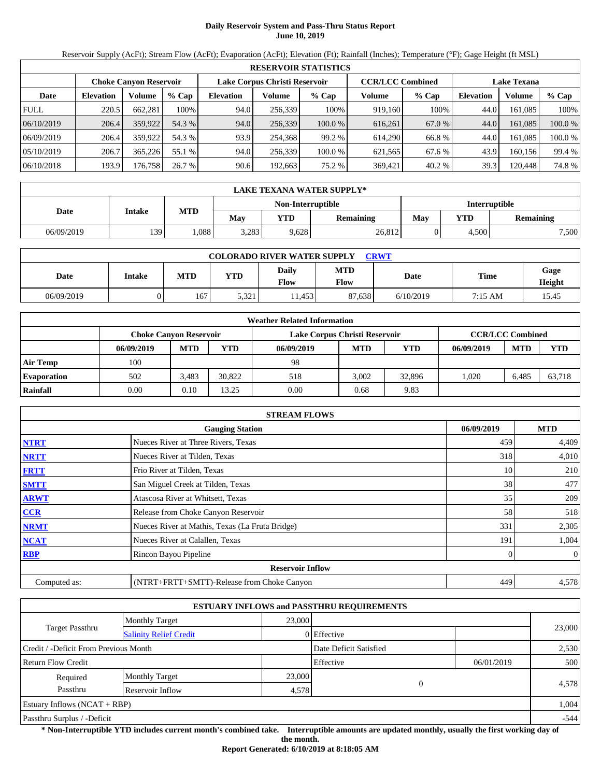# **Daily Reservoir System and Pass-Thru Status Report June 10, 2019**

Reservoir Supply (AcFt); Stream Flow (AcFt); Evaporation (AcFt); Elevation (Ft); Rainfall (Inches); Temperature (°F); Gage Height (ft MSL)

|             | <b>RESERVOIR STATISTICS</b> |                               |         |                               |         |         |                         |        |                    |         |         |  |
|-------------|-----------------------------|-------------------------------|---------|-------------------------------|---------|---------|-------------------------|--------|--------------------|---------|---------|--|
|             |                             | <b>Choke Canvon Reservoir</b> |         | Lake Corpus Christi Reservoir |         |         | <b>CCR/LCC Combined</b> |        | <b>Lake Texana</b> |         |         |  |
| Date        | <b>Elevation</b>            | Volume                        | $%$ Cap | <b>Elevation</b>              | Volume  | $%$ Cap | Volume                  | % Cap  | <b>Elevation</b>   | Volume  | $%$ Cap |  |
| <b>FULL</b> | 220.5                       | 662.281                       | 100%    | 94.0                          | 256,339 | 100%    | 919,160                 | 100%   | 44.0               | 161.085 | 100%    |  |
| 06/10/2019  | 206.4                       | 359,922                       | 54.3 %  | 94.0                          | 256,339 | 100.0 % | 616,261                 | 67.0 % | 44.0               | 161.085 | 100.0 % |  |
| 06/09/2019  | 206.4                       | 359,922                       | 54.3 %  | 93.9                          | 254.368 | 99.2 %  | 614,290                 | 66.8 % | 44.0               | 161.085 | 100.0 % |  |
| 05/10/2019  | 206.7                       | 365,226                       | 55.1 %  | 94.0                          | 256,339 | 100.0 % | 621.565                 | 67.6 % | 43.9               | 160.156 | 99.4 %  |  |
| 06/10/2018  | 193.9                       | 176,758                       | 26.7 %  | 90.6                          | 192,663 | 75.2 %  | 369,421                 | 40.2%  | 39.3               | 120,448 | 74.8%   |  |

|            | <b>LAKE TEXANA WATER SUPPLY*</b> |                   |       |                   |                  |               |       |           |  |  |  |
|------------|----------------------------------|-------------------|-------|-------------------|------------------|---------------|-------|-----------|--|--|--|
|            |                                  |                   |       | Non-Interruptible |                  | Interruptible |       |           |  |  |  |
| Date       | Intake                           | <b>MTD</b>        | Mav   | YTD               | <b>Remaining</b> | Mav           | YTD   | Remaining |  |  |  |
| 06/09/2019 | 139                              | .088 <sup>1</sup> | 3.283 | 9,628             | 26,812           |               | 4.500 | 7,500     |  |  |  |

| <b>COLORADO RIVER WATER SUPPLY</b><br><b>CRWT</b> |        |            |            |                      |                           |           |         |                |  |  |  |
|---------------------------------------------------|--------|------------|------------|----------------------|---------------------------|-----------|---------|----------------|--|--|--|
| Date                                              | Intake | <b>MTD</b> | <b>YTD</b> | Daily<br><b>Flow</b> | <b>MTD</b><br><b>Flow</b> | Date      | Time    | Gage<br>Height |  |  |  |
| 06/09/2019                                        |        | 167        | 5,321      | 1.453                | 87,638                    | 6/10/2019 | 7:15 AM | 15.45          |  |  |  |

|                    |                               |            |            | <b>Weather Related Information</b> |                         |        |            |            |            |
|--------------------|-------------------------------|------------|------------|------------------------------------|-------------------------|--------|------------|------------|------------|
|                    | <b>Choke Canvon Reservoir</b> |            |            | Lake Corpus Christi Reservoir      | <b>CCR/LCC Combined</b> |        |            |            |            |
|                    | 06/09/2019                    | <b>MTD</b> | <b>YTD</b> | 06/09/2019                         | <b>MTD</b>              | YTD    | 06/09/2019 | <b>MTD</b> | <b>YTD</b> |
| <b>Air Temp</b>    | 100                           |            |            | 98                                 |                         |        |            |            |            |
| <b>Evaporation</b> | 502                           | 3.483      | 30.822     | 518                                | 3.002                   | 32,896 | 1.020      | 6.485      | 63.718     |
| Rainfall           | 0.00                          | 0.10       | 13.25      | 0.00                               | 0.68                    | 9.83   |            |            |            |

|              | <b>STREAM FLOWS</b>                             |            |                |
|--------------|-------------------------------------------------|------------|----------------|
|              | <b>Gauging Station</b>                          | 06/09/2019 | <b>MTD</b>     |
| <b>NTRT</b>  | Nueces River at Three Rivers, Texas             | 459        | 4,409          |
| <b>NRTT</b>  | Nueces River at Tilden, Texas                   | 318        | 4,010          |
| <b>FRTT</b>  | Frio River at Tilden, Texas                     | 10         | 210            |
| <b>SMTT</b>  | San Miguel Creek at Tilden, Texas               | 38         | 477            |
| <b>ARWT</b>  | Atascosa River at Whitsett, Texas               | 35         | 209            |
| <b>CCR</b>   | Release from Choke Canyon Reservoir             | 58         | 518            |
| <b>NRMT</b>  | Nueces River at Mathis, Texas (La Fruta Bridge) | 331        | 2,305          |
| <b>NCAT</b>  | Nueces River at Calallen, Texas                 | 191        | 1,004          |
| <b>RBP</b>   | Rincon Bayou Pipeline                           |            | $\overline{0}$ |
|              | <b>Reservoir Inflow</b>                         |            |                |
| Computed as: | (NTRT+FRTT+SMTT)-Release from Choke Canyon      | 449        | 4,578          |

|                                       |                               |        | <b>ESTUARY INFLOWS and PASSTHRU REQUIREMENTS</b> |            |        |
|---------------------------------------|-------------------------------|--------|--------------------------------------------------|------------|--------|
|                                       | <b>Monthly Target</b>         | 23,000 |                                                  |            |        |
| Target Passthru                       | <b>Salinity Relief Credit</b> |        | 0 Effective                                      |            | 23,000 |
| Credit / -Deficit From Previous Month |                               |        | Date Deficit Satisfied                           |            | 2,530  |
| <b>Return Flow Credit</b>             |                               |        | Effective                                        | 06/01/2019 | 500    |
| Required                              | <b>Monthly Target</b>         | 23,000 |                                                  |            |        |
| Passthru                              | Reservoir Inflow              | 4,578  | $\Omega$                                         |            | 4,578  |
| Estuary Inflows $(NCAT + RBP)$        |                               |        |                                                  |            | 1,004  |
| Passthru Surplus / -Deficit           |                               |        |                                                  |            | $-544$ |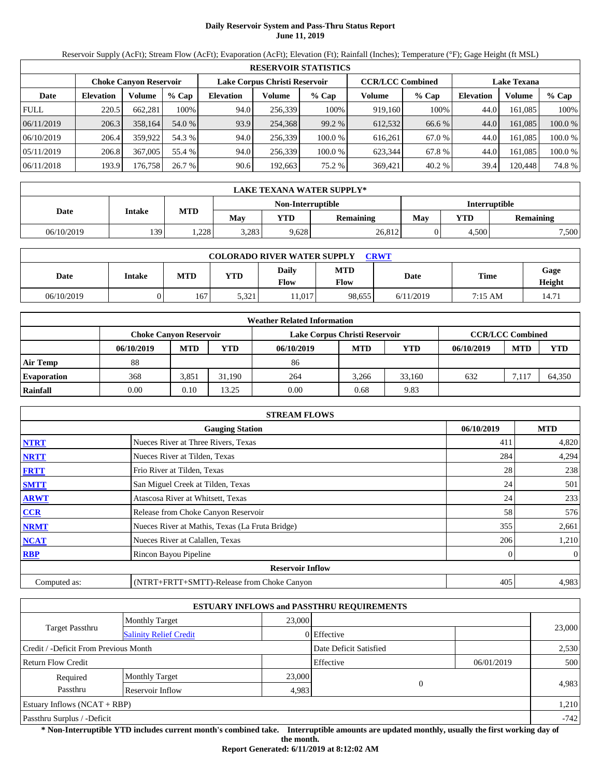# **Daily Reservoir System and Pass-Thru Status Report June 11, 2019**

Reservoir Supply (AcFt); Stream Flow (AcFt); Evaporation (AcFt); Elevation (Ft); Rainfall (Inches); Temperature (°F); Gage Height (ft MSL)

|             | <b>RESERVOIR STATISTICS</b> |                               |         |                  |                               |         |                         |         |                    |         |         |  |  |
|-------------|-----------------------------|-------------------------------|---------|------------------|-------------------------------|---------|-------------------------|---------|--------------------|---------|---------|--|--|
|             |                             | <b>Choke Canvon Reservoir</b> |         |                  | Lake Corpus Christi Reservoir |         | <b>CCR/LCC Combined</b> |         | <b>Lake Texana</b> |         |         |  |  |
| Date        | <b>Elevation</b>            | Volume                        | $%$ Cap | <b>Elevation</b> | Volume                        | $%$ Cap | Volume                  | $%$ Cap | <b>Elevation</b>   | Volume  | % Cap   |  |  |
| <b>FULL</b> | 220.5                       | 662.281                       | 100%    | 94.0             | 256,339                       | 100%    | 919.160                 | 100%    | 44.0               | 161.085 | 100%    |  |  |
| 06/11/2019  | 206.3                       | 358,164                       | 54.0 %  | 93.9             | 254,368                       | 99.2 %  | 612,532                 | 66.6 %  | 44.0               | 161.085 | 100.0 % |  |  |
| 06/10/2019  | 206.4                       | 359,922                       | 54.3 %  | 94.0             | 256,339                       | 100.0 % | 616.261                 | 67.0 %  | 44.0               | 161.085 | 100.0 % |  |  |
| 05/11/2019  | 206.8                       | 367,005                       | 55.4 %  | 94.0             | 256,339                       | 100.0 % | 623,344                 | 67.8 %  | 44.0               | 161.085 | 100.0 % |  |  |
| 06/11/2018  | 193.9                       | 176,7581                      | 26.7%   | 90.6             | 192,663                       | 75.2 %  | 369,421                 | 40.2%   | 39.4               | 120,448 | 74.8%   |  |  |

|            | LAKE TEXANA WATER SUPPLY* |            |       |                   |                  |                      |       |           |  |  |  |
|------------|---------------------------|------------|-------|-------------------|------------------|----------------------|-------|-----------|--|--|--|
|            | Intake                    |            |       | Non-Interruptible |                  | <b>Interruptible</b> |       |           |  |  |  |
| Date       |                           | <b>MTD</b> | May   | <b>YTD</b>        | <b>Remaining</b> | May                  | YTD   | Remaining |  |  |  |
| 06/10/2019 | 139                       | .228       | 3,283 | 9,628             | 26,812           |                      | 4.500 | 7,500     |  |  |  |

| <b>COLORADO RIVER WATER SUPPLY</b><br><b>CRWT</b> |        |            |            |               |                    |           |         |                |  |  |  |
|---------------------------------------------------|--------|------------|------------|---------------|--------------------|-----------|---------|----------------|--|--|--|
| Date                                              | Intake | <b>MTD</b> | <b>YTD</b> | Daily<br>Flow | <b>MTD</b><br>Flow | Date      | Time    | Gage<br>Height |  |  |  |
| 06/10/2019                                        |        | 167        | 5,321      | 1.017         | 98.655             | 6/11/2019 | 7:15 AM | 14.71          |  |  |  |

|                    |                               |                               |                         | <b>Weather Related Information</b> |            |        |            |            |            |
|--------------------|-------------------------------|-------------------------------|-------------------------|------------------------------------|------------|--------|------------|------------|------------|
|                    | <b>Choke Canvon Reservoir</b> | Lake Corpus Christi Reservoir | <b>CCR/LCC Combined</b> |                                    |            |        |            |            |            |
|                    | 06/10/2019                    | <b>MTD</b>                    | <b>YTD</b>              | 06/10/2019                         | <b>MTD</b> | YTD    | 06/10/2019 | <b>MTD</b> | <b>YTD</b> |
| <b>Air Temp</b>    | 88                            |                               |                         | 86                                 |            |        |            |            |            |
| <b>Evaporation</b> | 368                           | 3.851                         | 31.190                  | 264                                | 3.266      | 33.160 | 632        | 7.117      | 64.350     |
| Rainfall           | 0.00                          | 0.10                          | 13.25                   | 0.00                               | 0.68       | 9.83   |            |            |            |

|              | <b>STREAM FLOWS</b>                             |            |                |
|--------------|-------------------------------------------------|------------|----------------|
|              | <b>Gauging Station</b>                          | 06/10/2019 | <b>MTD</b>     |
| <b>NTRT</b>  | Nueces River at Three Rivers, Texas             | 41         | 4,820          |
| <b>NRTT</b>  | Nueces River at Tilden, Texas                   | 284        | 4,294          |
| <b>FRTT</b>  | Frio River at Tilden, Texas                     | 28         | 238            |
| <b>SMTT</b>  | San Miguel Creek at Tilden, Texas               | 24         | 501            |
| <b>ARWT</b>  | Atascosa River at Whitsett, Texas               | 24         | 233            |
| <b>CCR</b>   | Release from Choke Canyon Reservoir             | 58         | 576            |
| <b>NRMT</b>  | Nueces River at Mathis, Texas (La Fruta Bridge) | 355        | 2,661          |
| <b>NCAT</b>  | Nueces River at Calallen, Texas                 | 206        | 1,210          |
| <b>RBP</b>   | Rincon Bayou Pipeline                           |            | $\overline{0}$ |
|              | <b>Reservoir Inflow</b>                         |            |                |
| Computed as: | (NTRT+FRTT+SMTT)-Release from Choke Canyon      | 405        | 4,983          |

|                                       |                               |                        | <b>ESTUARY INFLOWS and PASSTHRU REQUIREMENTS</b> |            |        |  |
|---------------------------------------|-------------------------------|------------------------|--------------------------------------------------|------------|--------|--|
|                                       | <b>Monthly Target</b>         | 23,000                 |                                                  |            |        |  |
| Target Passthru                       | <b>Salinity Relief Credit</b> |                        | 0 Effective                                      |            | 23,000 |  |
| Credit / -Deficit From Previous Month |                               | Date Deficit Satisfied |                                                  | 2,530      |        |  |
| <b>Return Flow Credit</b>             |                               |                        | Effective                                        | 06/01/2019 | 500    |  |
| Required                              | <b>Monthly Target</b>         | 23,000                 |                                                  |            |        |  |
| Passthru                              | Reservoir Inflow              | 4,983                  | $\theta$                                         |            | 4,983  |  |
| Estuary Inflows (NCAT + RBP)          |                               |                        |                                                  |            | 1,210  |  |
| Passthru Surplus / -Deficit           |                               |                        |                                                  |            |        |  |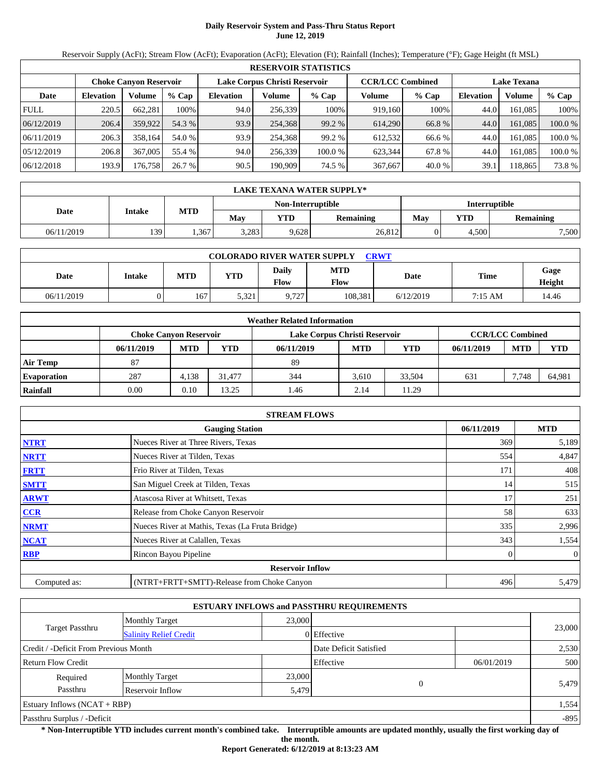# **Daily Reservoir System and Pass-Thru Status Report June 12, 2019**

Reservoir Supply (AcFt); Stream Flow (AcFt); Evaporation (AcFt); Elevation (Ft); Rainfall (Inches); Temperature (°F); Gage Height (ft MSL)

|             | <b>RESERVOIR STATISTICS</b> |                               |         |                               |         |         |                         |        |                    |         |         |  |  |
|-------------|-----------------------------|-------------------------------|---------|-------------------------------|---------|---------|-------------------------|--------|--------------------|---------|---------|--|--|
|             |                             | <b>Choke Canvon Reservoir</b> |         | Lake Corpus Christi Reservoir |         |         | <b>CCR/LCC Combined</b> |        | <b>Lake Texana</b> |         |         |  |  |
| Date        | <b>Elevation</b>            | Volume                        | $%$ Cap | <b>Elevation</b>              | Volume  | $%$ Cap | Volume                  | % Cap  | <b>Elevation</b>   | Volume  | $%$ Cap |  |  |
| <b>FULL</b> | 220.5                       | 662.281                       | 100%    | 94.0                          | 256,339 | 100%    | 919,160                 | 100%   | 44.0               | 161.085 | 100%    |  |  |
| 06/12/2019  | 206.4                       | 359,922                       | 54.3 %  | 93.9                          | 254,368 | 99.2 %  | 614.290                 | 66.8 % | 44.0               | 161.085 | 100.0 % |  |  |
| 06/11/2019  | 206.3                       | 358,164                       | 54.0 %  | 93.9                          | 254.368 | 99.2 %  | 612.532                 | 66.6 % | 44.0               | 161.085 | 100.0 % |  |  |
| 05/12/2019  | 206.8                       | 367,005                       | 55.4 %  | 94.0                          | 256,339 | 100.0 % | 623.344                 | 67.8 % | 44.0               | 161.085 | 100.0 % |  |  |
| 06/12/2018  | 193.9                       | 176,758                       | 26.7 %  | 90.5                          | 190.909 | 74.5 %  | 367,667                 | 40.0%  | 39.1               | 118.865 | 73.8 %  |  |  |

|            | <b>LAKE TEXANA WATER SUPPLY*</b> |            |       |                   |                  |               |       |           |  |  |  |
|------------|----------------------------------|------------|-------|-------------------|------------------|---------------|-------|-----------|--|--|--|
|            |                                  |            |       | Non-Interruptible |                  | Interruptible |       |           |  |  |  |
| Date       | Intake                           | <b>MTD</b> | May   | YTD               | <b>Remaining</b> | May           | YTD   | Remaining |  |  |  |
| 06/11/2019 | 139                              | .367       | 3.283 | 9,628             | 26,812           |               | 4.500 | 7,500     |  |  |  |

| <b>COLORADO RIVER WATER SUPPLY</b><br><b>CRWT</b> |        |            |            |               |             |           |         |                |  |  |  |
|---------------------------------------------------|--------|------------|------------|---------------|-------------|-----------|---------|----------------|--|--|--|
| Date                                              | Intake | <b>MTD</b> | <b>YTD</b> | Daily<br>Flow | MTD<br>Flow | Date      | Time    | Gage<br>Height |  |  |  |
| 06/11/2019                                        |        | 167        | 5.321      | 9.727         | 108.381     | 6/12/2019 | 7:15 AM | 14.46          |  |  |  |

|                    | <b>Weather Related Information</b> |                                                                                           |            |            |            |        |            |            |            |  |  |
|--------------------|------------------------------------|-------------------------------------------------------------------------------------------|------------|------------|------------|--------|------------|------------|------------|--|--|
|                    |                                    | <b>CCR/LCC Combined</b><br>Lake Corpus Christi Reservoir<br><b>Choke Canyon Reservoir</b> |            |            |            |        |            |            |            |  |  |
|                    | 06/11/2019                         | <b>MTD</b>                                                                                | <b>YTD</b> | 06/11/2019 | <b>MTD</b> | YTD    | 06/11/2019 | <b>MTD</b> | <b>YTD</b> |  |  |
| <b>Air Temp</b>    | 87                                 |                                                                                           |            | 89         |            |        |            |            |            |  |  |
| <b>Evaporation</b> | 287                                | 4.138                                                                                     | 31,477     | 344        | 3.610      | 33.504 | 631        | 7.748      | 64,981     |  |  |
| Rainfall           | 0.00                               | 0.10                                                                                      | 13.25      | 1.46       | 2.14       | 11.29  |            |            |            |  |  |

|              | <b>STREAM FLOWS</b>                             |            |                |
|--------------|-------------------------------------------------|------------|----------------|
|              | <b>Gauging Station</b>                          | 06/11/2019 | <b>MTD</b>     |
| <b>NTRT</b>  | Nueces River at Three Rivers, Texas             | 369        | 5,189          |
| <b>NRTT</b>  | Nueces River at Tilden, Texas                   | 554        | 4,847          |
| <b>FRTT</b>  | Frio River at Tilden, Texas                     | 171        | 408            |
| <b>SMTT</b>  | San Miguel Creek at Tilden, Texas               | 14         | 515            |
| <b>ARWT</b>  | Atascosa River at Whitsett, Texas               | 17         | 251            |
| <b>CCR</b>   | Release from Choke Canyon Reservoir             | 58         | 633            |
| <b>NRMT</b>  | Nueces River at Mathis, Texas (La Fruta Bridge) | 335        | 2,996          |
| <b>NCAT</b>  | Nueces River at Calallen, Texas                 | 343        | 1,554          |
| <b>RBP</b>   | Rincon Bayou Pipeline                           |            | $\overline{0}$ |
|              | <b>Reservoir Inflow</b>                         |            |                |
| Computed as: | (NTRT+FRTT+SMTT)-Release from Choke Canyon      | 496        | 5,479          |

|                                       |                               |        | <b>ESTUARY INFLOWS and PASSTHRU REQUIREMENTS</b> |            |        |  |
|---------------------------------------|-------------------------------|--------|--------------------------------------------------|------------|--------|--|
|                                       | <b>Monthly Target</b>         | 23,000 |                                                  |            |        |  |
| Target Passthru                       | <b>Salinity Relief Credit</b> |        | 0 Effective                                      |            | 23,000 |  |
| Credit / -Deficit From Previous Month |                               |        | Date Deficit Satisfied                           |            | 2,530  |  |
| <b>Return Flow Credit</b>             |                               |        | Effective                                        | 06/01/2019 | 500    |  |
| Required                              | <b>Monthly Target</b>         | 23,000 |                                                  |            |        |  |
| Passthru<br>Reservoir Inflow<br>5,479 |                               |        |                                                  | $\Omega$   | 5.479  |  |
| Estuary Inflows $(NCAT + RBP)$        |                               |        |                                                  |            | 1,554  |  |
| Passthru Surplus / -Deficit           |                               |        |                                                  |            | $-895$ |  |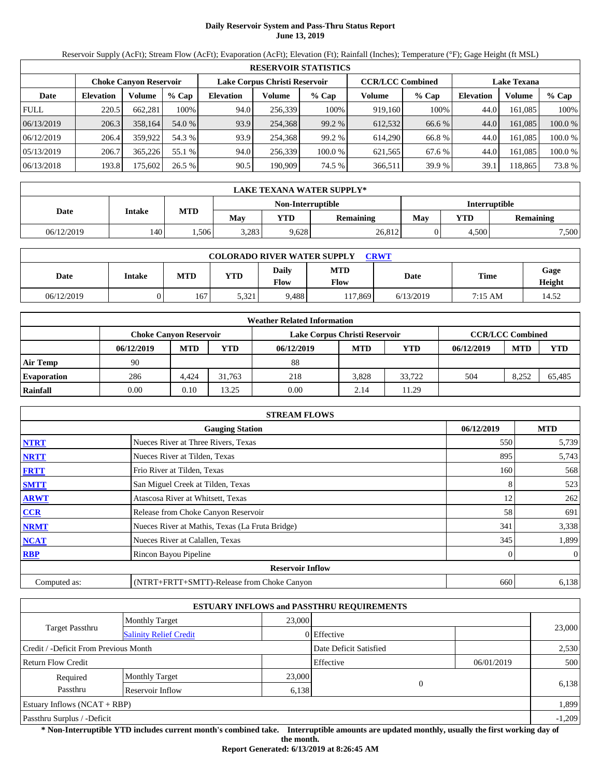# **Daily Reservoir System and Pass-Thru Status Report June 13, 2019**

Reservoir Supply (AcFt); Stream Flow (AcFt); Evaporation (AcFt); Elevation (Ft); Rainfall (Inches); Temperature (°F); Gage Height (ft MSL)

|             | <b>RESERVOIR STATISTICS</b> |                               |         |                  |                               |         |                         |         |                    |         |         |  |  |
|-------------|-----------------------------|-------------------------------|---------|------------------|-------------------------------|---------|-------------------------|---------|--------------------|---------|---------|--|--|
|             |                             | <b>Choke Canvon Reservoir</b> |         |                  | Lake Corpus Christi Reservoir |         | <b>CCR/LCC Combined</b> |         | <b>Lake Texana</b> |         |         |  |  |
| Date        | <b>Elevation</b>            | Volume                        | $%$ Cap | <b>Elevation</b> | Volume                        | $%$ Cap | Volume                  | $%$ Cap | <b>Elevation</b>   | Volume  | % Cap   |  |  |
| <b>FULL</b> | 220.5                       | 662.281                       | 100%    | 94.0             | 256,339                       | 100%    | 919,160                 | 100%    | 44.0               | 161.085 | 100%    |  |  |
| 06/13/2019  | 206.3                       | 358,164                       | 54.0 %  | 93.9             | 254.368                       | 99.2 %  | 612,532                 | 66.6 %  | 44.0               | 161.085 | 100.0 % |  |  |
| 06/12/2019  | 206.4                       | 359,922                       | 54.3 %  | 93.9             | 254.368                       | 99.2 %  | 614.290                 | 66.8%   | 44.0               | 161.085 | 100.0%  |  |  |
| 05/13/2019  | 206.7                       | 365.226                       | 55.1 %  | 94.0             | 256.339                       | 100.0%  | 621,565                 | 67.6 %  | 44.0               | 161.085 | 100.0%  |  |  |
| 06/13/2018  | 193.8                       | 175,602                       | 26.5%   | 90.5             | 190,909                       | 74.5 %  | 366,511                 | 39.9 %  | 39.1               | 118,865 | 73.8 %  |  |  |

|            | <b>LAKE TEXANA WATER SUPPLY*</b> |            |       |                   |                  |               |       |                  |  |  |  |
|------------|----------------------------------|------------|-------|-------------------|------------------|---------------|-------|------------------|--|--|--|
|            | Intake                           |            |       | Non-Interruptible |                  | Interruptible |       |                  |  |  |  |
| Date       |                                  | <b>MTD</b> | Mav   | YTD               | <b>Remaining</b> | May           | VTD   | <b>Remaining</b> |  |  |  |
| 06/12/2019 | 140                              | .506       | 3,283 | 9,628             | 26,812           |               | 4,500 | 7,500            |  |  |  |

| <b>COLORADO RIVER WATER SUPPLY</b><br><b>CRWT</b> |        |            |            |               |                    |           |         |                |  |  |  |
|---------------------------------------------------|--------|------------|------------|---------------|--------------------|-----------|---------|----------------|--|--|--|
| Date                                              | Intake | <b>MTD</b> | <b>YTD</b> | Daily<br>Flow | MTD<br><b>Flow</b> | Date      | Time    | Gage<br>Height |  |  |  |
| 06/12/2019                                        |        | 167        | 5.321      | 9.488         | 17.869             | 6/13/2019 | 7:15 AM | 14.52          |  |  |  |

|                    |            |                        |            | <b>Weather Related Information</b> |            |            |            |                         |            |
|--------------------|------------|------------------------|------------|------------------------------------|------------|------------|------------|-------------------------|------------|
|                    |            | Choke Canvon Reservoir |            | Lake Corpus Christi Reservoir      |            |            |            | <b>CCR/LCC Combined</b> |            |
|                    | 06/12/2019 | <b>MTD</b>             | <b>YTD</b> | 06/12/2019                         | <b>MTD</b> | <b>YTD</b> | 06/12/2019 | <b>MTD</b>              | <b>YTD</b> |
| <b>Air Temp</b>    | 90         |                        |            | 88                                 |            |            |            |                         |            |
| <b>Evaporation</b> | 286        | 4.424                  | 31.763     | 218                                | 3.828      | 33.722     | 504        | 8.252                   | 65,485     |
| Rainfall           | 0.00       | 0.10                   | 13.25      | 0.00                               | 2.14       | 11.29      |            |                         |            |

|              | <b>STREAM FLOWS</b>                             |            |                |
|--------------|-------------------------------------------------|------------|----------------|
|              | <b>Gauging Station</b>                          | 06/12/2019 | <b>MTD</b>     |
| <b>NTRT</b>  | Nueces River at Three Rivers, Texas             | 550        | 5,739          |
| <b>NRTT</b>  | Nueces River at Tilden, Texas                   | 895        | 5,743          |
| <b>FRTT</b>  | Frio River at Tilden, Texas                     | 160        | 568            |
| <b>SMTT</b>  | San Miguel Creek at Tilden, Texas               | 8          | 523            |
| <b>ARWT</b>  | Atascosa River at Whitsett, Texas               | 12         | 262            |
| <b>CCR</b>   | Release from Choke Canyon Reservoir             | 58         | 691            |
| <b>NRMT</b>  | Nueces River at Mathis, Texas (La Fruta Bridge) | 341        | 3,338          |
| <b>NCAT</b>  | Nueces River at Calallen, Texas                 | 345        | 1,899          |
| <b>RBP</b>   | Rincon Bayou Pipeline                           |            | $\overline{0}$ |
|              | <b>Reservoir Inflow</b>                         |            |                |
| Computed as: | (NTRT+FRTT+SMTT)-Release from Choke Canyon      | 660        | 6,138          |

|                                                  |                       |        | <b>ESTUARY INFLOWS and PASSTHRU REQUIREMENTS</b> |            |          |
|--------------------------------------------------|-----------------------|--------|--------------------------------------------------|------------|----------|
|                                                  | <b>Monthly Target</b> | 23,000 |                                                  |            |          |
| Target Passthru<br><b>Salinity Relief Credit</b> |                       |        | 0 Effective                                      |            | 23,000   |
| Credit / -Deficit From Previous Month            |                       |        | Date Deficit Satisfied                           |            | 2,530    |
| Return Flow Credit                               |                       |        | Effective                                        | 06/01/2019 | 500      |
| Required                                         | <b>Monthly Target</b> | 23,000 |                                                  |            |          |
| Passthru<br>Reservoir Inflow                     |                       |        | $\Omega$<br>6,138                                |            | 6,138    |
| <b>Estuary Inflows (NCAT + RBP)</b>              |                       |        |                                                  |            | 1,899    |
| Passthru Surplus / -Deficit                      |                       |        |                                                  |            | $-1,209$ |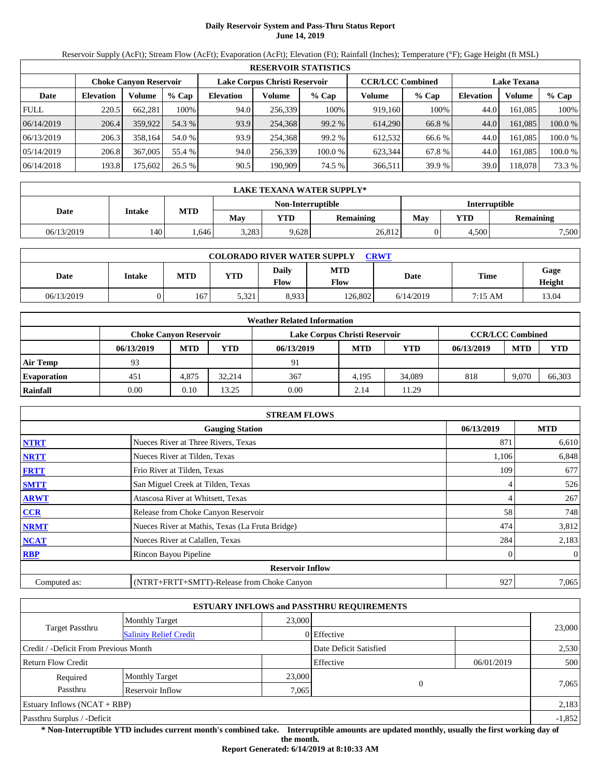# **Daily Reservoir System and Pass-Thru Status Report June 14, 2019**

Reservoir Supply (AcFt); Stream Flow (AcFt); Evaporation (AcFt); Elevation (Ft); Rainfall (Inches); Temperature (°F); Gage Height (ft MSL)

|             | <b>RESERVOIR STATISTICS</b> |                               |         |                  |                               |         |                         |         |                    |         |         |  |
|-------------|-----------------------------|-------------------------------|---------|------------------|-------------------------------|---------|-------------------------|---------|--------------------|---------|---------|--|
|             |                             | <b>Choke Canvon Reservoir</b> |         |                  | Lake Corpus Christi Reservoir |         | <b>CCR/LCC Combined</b> |         | <b>Lake Texana</b> |         |         |  |
| Date        | <b>Elevation</b>            | Volume                        | $%$ Cap | <b>Elevation</b> | Volume                        | $%$ Cap | Volume                  | $%$ Cap | <b>Elevation</b>   | Volume  | % Cap   |  |
| <b>FULL</b> | 220.5                       | 662.281                       | 100%    | 94.0             | 256,339                       | 100%    | 919.160                 | 100%    | 44.0               | 161.085 | 100%    |  |
| 06/14/2019  | 206.4                       | 359,922                       | 54.3 %  | 93.9             | 254,368                       | 99.2 %  | 614.290                 | 66.8 %  | 44.0               | 161.085 | 100.0 % |  |
| 06/13/2019  | 206.3                       | 358.164                       | 54.0 %  | 93.9             | 254,368                       | 99.2 %  | 612.532                 | 66.6 %  | 44.0               | 161.085 | 100.0 % |  |
| 05/14/2019  | 206.8                       | 367,005                       | 55.4 %  | 94.0             | 256,339                       | 100.0 % | 623,344                 | 67.8 %  | 44.0               | 161.085 | 100.0 % |  |
| 06/14/2018  | 193.8                       | 175,602                       | 26.5 %  | 90.5             | 190,909                       | 74.5 %  | 366.511                 | 39.9 %  | 39.0               | 118.078 | 73.3 %  |  |

|            | <b>LAKE TEXANA WATER SUPPLY*</b> |            |       |                   |                  |               |       |           |  |  |  |
|------------|----------------------------------|------------|-------|-------------------|------------------|---------------|-------|-----------|--|--|--|
|            | Intake                           |            |       | Non-Interruptible |                  | Interruptible |       |           |  |  |  |
| Date       |                                  | <b>MTD</b> | Mav   | YTD               | <b>Remaining</b> | May           | YTD   | Remaining |  |  |  |
| 06/13/2019 | 140                              | .646       | 3,283 | 9,628             | 26,812           |               | 4,500 | 7,500     |  |  |  |

| <b>COLORADO RIVER WATER SUPPLY</b><br><b>CRWT</b> |        |            |            |               |                    |           |         |                |  |  |  |
|---------------------------------------------------|--------|------------|------------|---------------|--------------------|-----------|---------|----------------|--|--|--|
| Date                                              | Intake | <b>MTD</b> | <b>YTD</b> | Daily<br>Flow | <b>MTD</b><br>Flow | Date      | Time    | Gage<br>Height |  |  |  |
| 06/13/2019                                        | v      | 167        | 5,321      | 8,933         | 126.802            | 6/14/2019 | 7:15 AM | 13.04          |  |  |  |

|                    |                               |            |            | <b>Weather Related Information</b> |            |        |            |                         |            |
|--------------------|-------------------------------|------------|------------|------------------------------------|------------|--------|------------|-------------------------|------------|
|                    | <b>Choke Canvon Reservoir</b> |            |            | Lake Corpus Christi Reservoir      |            |        |            | <b>CCR/LCC Combined</b> |            |
|                    | 06/13/2019                    | <b>MTD</b> | <b>YTD</b> | 06/13/2019                         | <b>MTD</b> | YTD    | 06/13/2019 | <b>MTD</b>              | <b>YTD</b> |
| <b>Air Temp</b>    | 93                            |            |            | 91                                 |            |        |            |                         |            |
| <b>Evaporation</b> | 451                           | 4.875      | 32.214     | 367                                | 4.195      | 34,089 | 818        | 9.070                   | 66,303     |
| Rainfall           | 0.00                          | 0.10       | 13.25      | 0.00                               | 2.14       | 11.29  |            |                         |            |

|              | <b>STREAM FLOWS</b>                             |            |                |
|--------------|-------------------------------------------------|------------|----------------|
|              | <b>Gauging Station</b>                          | 06/13/2019 | <b>MTD</b>     |
| <b>NTRT</b>  | Nueces River at Three Rivers, Texas             | 87         | 6,610          |
| <b>NRTT</b>  | Nueces River at Tilden, Texas                   | 1,106      | 6,848          |
| <b>FRTT</b>  | Frio River at Tilden, Texas                     | 109        | 677            |
| <b>SMTT</b>  | San Miguel Creek at Tilden, Texas               | 4          | 526            |
| <b>ARWT</b>  | Atascosa River at Whitsett, Texas               |            | 267            |
| <b>CCR</b>   | Release from Choke Canyon Reservoir             | 58         | 748            |
| <b>NRMT</b>  | Nueces River at Mathis, Texas (La Fruta Bridge) | 474        | 3,812          |
| <b>NCAT</b>  | Nueces River at Calallen, Texas                 | 284        | 2,183          |
| <b>RBP</b>   | Rincon Bayou Pipeline                           |            | $\overline{0}$ |
|              | <b>Reservoir Inflow</b>                         |            |                |
| Computed as: | (NTRT+FRTT+SMTT)-Release from Choke Canyon      | 927        | 7,065          |

|                                                  |                       |        | <b>ESTUARY INFLOWS and PASSTHRU REQUIREMENTS</b> |            |          |
|--------------------------------------------------|-----------------------|--------|--------------------------------------------------|------------|----------|
|                                                  | <b>Monthly Target</b> | 23,000 |                                                  |            |          |
| Target Passthru<br><b>Salinity Relief Credit</b> |                       |        | 0 Effective                                      |            | 23,000   |
| Credit / -Deficit From Previous Month            |                       |        | Date Deficit Satisfied                           |            | 2,530    |
| Return Flow Credit                               |                       |        | Effective                                        | 06/01/2019 | 500      |
| Required                                         | <b>Monthly Target</b> | 23,000 |                                                  |            |          |
| Passthru<br>Reservoir Inflow                     |                       |        | $\Omega$<br>7,065                                |            | 7,065    |
| <b>Estuary Inflows (NCAT + RBP)</b>              |                       |        |                                                  |            | 2,183    |
| Passthru Surplus / -Deficit                      |                       |        |                                                  |            | $-1,852$ |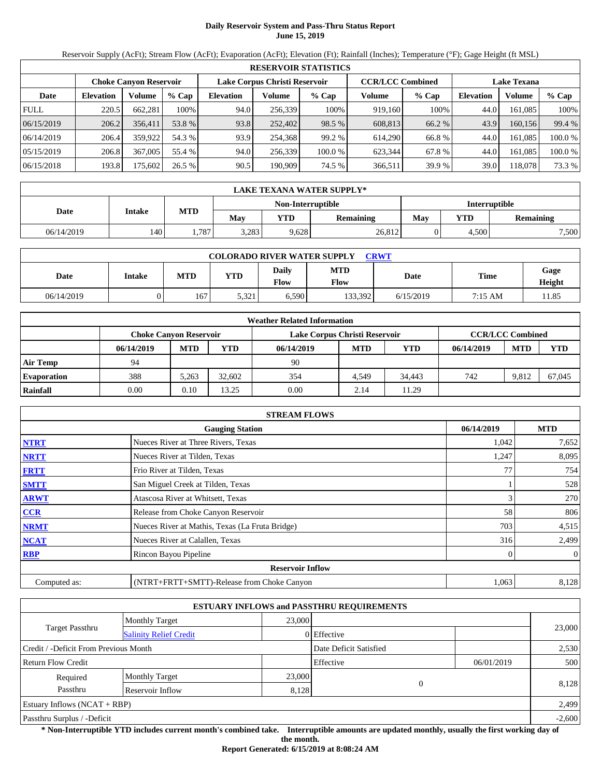# **Daily Reservoir System and Pass-Thru Status Report June 15, 2019**

Reservoir Supply (AcFt); Stream Flow (AcFt); Evaporation (AcFt); Elevation (Ft); Rainfall (Inches); Temperature (°F); Gage Height (ft MSL)

|             | <b>RESERVOIR STATISTICS</b> |                               |         |                  |                               |         |                         |         |                    |         |         |  |
|-------------|-----------------------------|-------------------------------|---------|------------------|-------------------------------|---------|-------------------------|---------|--------------------|---------|---------|--|
|             |                             | <b>Choke Canvon Reservoir</b> |         |                  | Lake Corpus Christi Reservoir |         | <b>CCR/LCC Combined</b> |         | <b>Lake Texana</b> |         |         |  |
| Date        | <b>Elevation</b>            | Volume                        | $%$ Cap | <b>Elevation</b> | Volume                        | $%$ Cap | Volume                  | $%$ Cap | <b>Elevation</b>   | Volume  | % Cap   |  |
| <b>FULL</b> | 220.5                       | 662.281                       | 100%    | 94.0             | 256,339                       | 100%    | 919.160                 | 100%    | 44.0               | 161.085 | 100%    |  |
| 06/15/2019  | 206.2                       | 356.411                       | 53.8 %  | 93.8             | 252,402                       | 98.5 %  | 608.813                 | 66.2 %  | 43.9               | 160.156 | 99.4 %  |  |
| 06/14/2019  | 206.4                       | 359,922                       | 54.3 %  | 93.9             | 254,368                       | 99.2 %  | 614,290                 | 66.8 %  | 44.0               | 161.085 | 100.0 % |  |
| 05/15/2019  | 206.8                       | 367,005                       | 55.4 %  | 94.0             | 256,339                       | 100.0 % | 623,344                 | 67.8 %  | 44.0               | 161.085 | 100.0 % |  |
| 06/15/2018  | 193.8                       | 175,602                       | 26.5 %  | 90.5             | 190,909                       | 74.5 %  | 366.511                 | 39.9 %  | 39.0               | 118.078 | 73.3 %  |  |

|            | LAKE TEXANA WATER SUPPLY* |            |       |                   |                  |               |       |           |  |  |  |
|------------|---------------------------|------------|-------|-------------------|------------------|---------------|-------|-----------|--|--|--|
|            | Intake                    |            |       | Non-Interruptible |                  | Interruptible |       |           |  |  |  |
| Date       |                           | <b>MTD</b> | Mav   | YTD               | <b>Remaining</b> | May           | VTD   | Remaining |  |  |  |
| 06/14/2019 | 140                       | .787       | 3,283 | 9,628             | 26,812           |               | 4,500 | 7,500     |  |  |  |

| <b>COLORADO RIVER WATER SUPPLY</b><br><b>CRWT</b> |        |            |            |               |                    |           |         |                |  |  |  |
|---------------------------------------------------|--------|------------|------------|---------------|--------------------|-----------|---------|----------------|--|--|--|
| Date                                              | Intake | <b>MTD</b> | <b>YTD</b> | Daily<br>Flow | <b>MTD</b><br>Flow | Date      | Time    | Gage<br>Height |  |  |  |
| 06/14/2019                                        | v      | 167        | 5,321      | 6,590         | 133,392            | 6/15/2019 | 7:15 AM | 11.85          |  |  |  |

|                    |                               |            |            | <b>Weather Related Information</b> |                         |            |            |            |        |
|--------------------|-------------------------------|------------|------------|------------------------------------|-------------------------|------------|------------|------------|--------|
|                    | <b>Choke Canvon Reservoir</b> |            |            | Lake Corpus Christi Reservoir      | <b>CCR/LCC Combined</b> |            |            |            |        |
|                    | 06/14/2019                    | <b>MTD</b> | <b>YTD</b> | 06/14/2019                         | <b>MTD</b>              | <b>YTD</b> | 06/14/2019 | <b>MTD</b> | YTD    |
| <b>Air Temp</b>    | 94                            |            |            | 90                                 |                         |            |            |            |        |
| <b>Evaporation</b> | 388                           | 5.263      | 32.602     | 354                                | 4.549                   | 34.443     | 742        | 9,812      | 67,045 |
| Rainfall           | 0.00                          | 0.10       | 13.25      | 0.00                               | 2.14                    | 11.29      |            |            |        |

|              | <b>STREAM FLOWS</b>                             |            |                |
|--------------|-------------------------------------------------|------------|----------------|
|              | <b>Gauging Station</b>                          | 06/14/2019 | <b>MTD</b>     |
| <b>NTRT</b>  | Nueces River at Three Rivers, Texas             | 1,042      | 7,652          |
| <b>NRTT</b>  | Nueces River at Tilden, Texas                   | 1,247      | 8,095          |
| <b>FRTT</b>  | Frio River at Tilden, Texas                     |            | 754            |
| <b>SMTT</b>  | San Miguel Creek at Tilden, Texas               |            | 528            |
| <b>ARWT</b>  | Atascosa River at Whitsett, Texas               | 3          | 270            |
| <b>CCR</b>   | Release from Choke Canyon Reservoir             | 58         | 806            |
| <b>NRMT</b>  | Nueces River at Mathis, Texas (La Fruta Bridge) | 703        | 4,515          |
| <b>NCAT</b>  | Nueces River at Calallen, Texas                 | 316        | 2,499          |
| <b>RBP</b>   | Rincon Bayou Pipeline                           |            | $\overline{0}$ |
|              | <b>Reservoir Inflow</b>                         |            |                |
| Computed as: | (NTRT+FRTT+SMTT)-Release from Choke Canyon      | 1,063      | 8,128          |

|                                       |                               |        | <b>ESTUARY INFLOWS and PASSTHRU REQUIREMENTS</b> |            |        |  |
|---------------------------------------|-------------------------------|--------|--------------------------------------------------|------------|--------|--|
|                                       | <b>Monthly Target</b>         | 23,000 |                                                  |            |        |  |
| Target Passthru                       | <b>Salinity Relief Credit</b> |        | 0 Effective                                      |            | 23,000 |  |
| Credit / -Deficit From Previous Month |                               |        | Date Deficit Satisfied                           |            | 2,530  |  |
| Return Flow Credit                    |                               |        | Effective                                        | 06/01/2019 | 500    |  |
| Required                              | <b>Monthly Target</b>         | 23,000 |                                                  |            |        |  |
| Passthru<br>Reservoir Inflow          |                               |        | $\Omega$<br>8,128                                |            | 8,128  |  |
| <b>Estuary Inflows (NCAT + RBP)</b>   |                               |        |                                                  |            | 2,499  |  |
| Passthru Surplus / -Deficit           |                               |        |                                                  |            |        |  |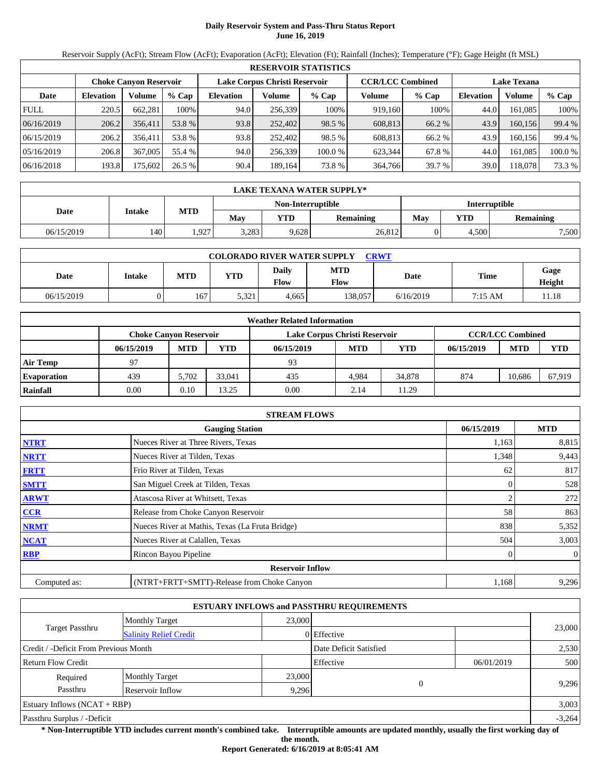# **Daily Reservoir System and Pass-Thru Status Report June 16, 2019**

Reservoir Supply (AcFt); Stream Flow (AcFt); Evaporation (AcFt); Elevation (Ft); Rainfall (Inches); Temperature (°F); Gage Height (ft MSL)

|             | <b>RESERVOIR STATISTICS</b>                                    |         |         |                  |         |         |                         |        |                    |         |         |  |  |
|-------------|----------------------------------------------------------------|---------|---------|------------------|---------|---------|-------------------------|--------|--------------------|---------|---------|--|--|
|             | Lake Corpus Christi Reservoir<br><b>Choke Canvon Reservoir</b> |         |         |                  |         |         | <b>CCR/LCC Combined</b> |        | <b>Lake Texana</b> |         |         |  |  |
| Date        | <b>Elevation</b>                                               | Volume  | $%$ Cap | <b>Elevation</b> | Volume  | $%$ Cap | Volume                  | % Cap  | <b>Elevation</b>   | Volume  | $%$ Cap |  |  |
| <b>FULL</b> | 220.5                                                          | 662.281 | 100%    | 94.0             | 256,339 | 100%    | 919,160                 | 100%   | 44.0               | 161.085 | 100%    |  |  |
| 06/16/2019  | 206.2                                                          | 356,411 | 53.8 %  | 93.8             | 252,402 | 98.5 %  | 608.813                 | 66.2 % | 43.9               | 160,156 | 99.4 %  |  |  |
| 06/15/2019  | 206.2                                                          | 356.411 | 53.8 %  | 93.8             | 252,402 | 98.5 %  | 608.813                 | 66.2 % | 43.9               | 160.156 | 99.4 %  |  |  |
| 05/16/2019  | 206.8                                                          | 367,005 | 55.4 %  | 94.0             | 256,339 | 100.0 % | 623.344                 | 67.8 % | 44.0               | 161.085 | 100.0 % |  |  |
| 06/16/2018  | 193.8                                                          | 75,602  | 26.5 %  | 90.4             | 189,164 | 73.8%   | 364,766                 | 39.7 % | 39.0               | 118.078 | 73.3 %  |  |  |

|            | <b>LAKE TEXANA WATER SUPPLY*</b> |            |       |                   |                  |               |       |                  |  |  |  |
|------------|----------------------------------|------------|-------|-------------------|------------------|---------------|-------|------------------|--|--|--|
|            | Intake                           | <b>MTD</b> |       | Non-Interruptible |                  | Interruptible |       |                  |  |  |  |
| Date       |                                  |            | Mav   | YTD               | <b>Remaining</b> | May           | VTD   | <b>Remaining</b> |  |  |  |
| 06/15/2019 | 140                              | .927       | 3,283 | 9,628             | 26,812           |               | 4,500 | 7,500            |  |  |  |

| <b>COLORADO RIVER WATER SUPPLY</b><br>CRWT |               |            |            |               |                    |           |         |                |  |  |  |
|--------------------------------------------|---------------|------------|------------|---------------|--------------------|-----------|---------|----------------|--|--|--|
| Date                                       | <b>Intake</b> | <b>MTD</b> | <b>YTD</b> | Daily<br>Flow | <b>MTD</b><br>Flow | Date      | Time    | Gage<br>Height |  |  |  |
| 06/15/2019                                 |               | 167        | 5,321      | 4.665         | 38.057             | 6/16/2019 | 7:15 AM | 11.18          |  |  |  |

|                    | <b>Weather Related Information</b> |                                                                                           |        |            |            |        |            |            |            |  |  |  |
|--------------------|------------------------------------|-------------------------------------------------------------------------------------------|--------|------------|------------|--------|------------|------------|------------|--|--|--|
|                    |                                    | <b>CCR/LCC Combined</b><br><b>Choke Canvon Reservoir</b><br>Lake Corpus Christi Reservoir |        |            |            |        |            |            |            |  |  |  |
|                    | 06/15/2019                         | <b>MTD</b>                                                                                | YTD    | 06/15/2019 | <b>MTD</b> | YTD    | 06/15/2019 | <b>MTD</b> | <b>YTD</b> |  |  |  |
| <b>Air Temp</b>    | 97                                 |                                                                                           |        | 93         |            |        |            |            |            |  |  |  |
| <b>Evaporation</b> | 439                                | 5.702                                                                                     | 33,041 | 435        | 4.984      | 34,878 | 874        | 10.686     | 67,919     |  |  |  |
| Rainfall           | 0.00                               | 0.10                                                                                      | 3.25   | 0.00       | 2.14       | 11.29  |            |            |            |  |  |  |

|              | <b>STREAM FLOWS</b>                             |            |                |
|--------------|-------------------------------------------------|------------|----------------|
|              | <b>Gauging Station</b>                          | 06/15/2019 | <b>MTD</b>     |
| <b>NTRT</b>  | Nueces River at Three Rivers, Texas             | 1,163      | 8,815          |
| <b>NRTT</b>  | Nueces River at Tilden, Texas                   | 1,348      | 9,443          |
| <b>FRTT</b>  | Frio River at Tilden, Texas                     | 62         | 817            |
| <b>SMTT</b>  | San Miguel Creek at Tilden, Texas               |            | 528            |
| <b>ARWT</b>  | Atascosa River at Whitsett, Texas               |            | 272            |
| <b>CCR</b>   | Release from Choke Canyon Reservoir             | 58         | 863            |
| <b>NRMT</b>  | Nueces River at Mathis, Texas (La Fruta Bridge) | 838        | 5,352          |
| <b>NCAT</b>  | Nueces River at Calallen, Texas                 | 504        | 3,003          |
| <b>RBP</b>   | Rincon Bayou Pipeline                           |            | $\overline{0}$ |
|              | <b>Reservoir Inflow</b>                         |            |                |
| Computed as: | (NTRT+FRTT+SMTT)-Release from Choke Canyon      | 1,168      | 9,296          |

|                                       |                               |        | <b>ESTUARY INFLOWS and PASSTHRU REQUIREMENTS</b> |            |          |
|---------------------------------------|-------------------------------|--------|--------------------------------------------------|------------|----------|
|                                       | <b>Monthly Target</b>         | 23,000 |                                                  |            |          |
| <b>Target Passthru</b>                | <b>Salinity Relief Credit</b> |        | 0 Effective                                      |            | 23,000   |
| Credit / -Deficit From Previous Month |                               |        | Date Deficit Satisfied                           |            | 2,530    |
| Return Flow Credit                    |                               |        | Effective                                        | 06/01/2019 | 500      |
| Required                              | <b>Monthly Target</b>         | 23,000 | $\theta$                                         |            |          |
| Passthru                              | Reservoir Inflow<br>9,296     |        |                                                  |            | 9,296    |
| Estuary Inflows $(NCAT + RBP)$        |                               |        |                                                  |            | 3,003    |
| Passthru Surplus / -Deficit           |                               |        |                                                  |            | $-3,264$ |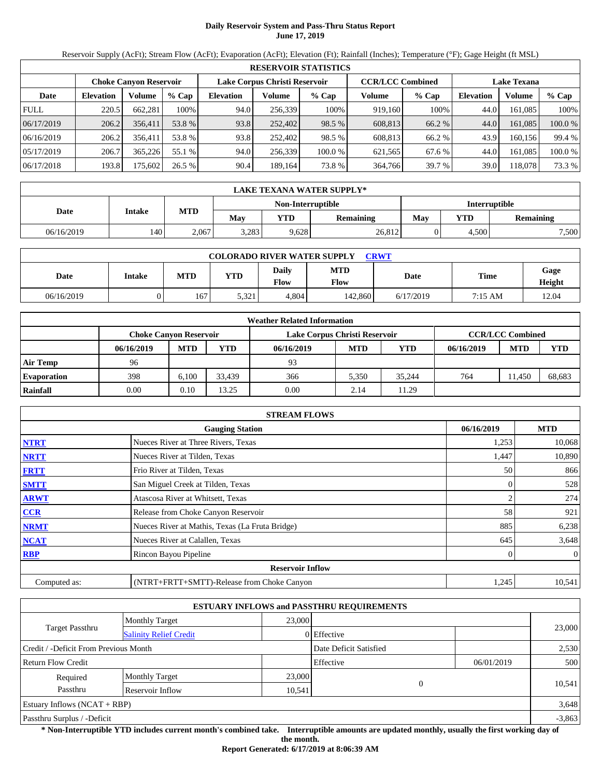# **Daily Reservoir System and Pass-Thru Status Report June 17, 2019**

Reservoir Supply (AcFt); Stream Flow (AcFt); Evaporation (AcFt); Elevation (Ft); Rainfall (Inches); Temperature (°F); Gage Height (ft MSL)

|             | <b>RESERVOIR STATISTICS</b> |                        |         |           |                               |         |                         |         |                    |         |         |  |  |
|-------------|-----------------------------|------------------------|---------|-----------|-------------------------------|---------|-------------------------|---------|--------------------|---------|---------|--|--|
|             |                             | Choke Canvon Reservoir |         |           | Lake Corpus Christi Reservoir |         | <b>CCR/LCC Combined</b> |         | <b>Lake Texana</b> |         |         |  |  |
| Date        | <b>Elevation</b>            | Volume                 | $%$ Cap | Elevation | Volume                        | $%$ Cap | Volume                  | $%$ Cap | <b>Elevation</b>   | Volume  | $%$ Cap |  |  |
| <b>FULL</b> | 220.5                       | 662.281                | 100%    | 94.0      | 256.339                       | 100%    | 919.160                 | 100%    | 44.0               | 161.085 | 100%    |  |  |
| 06/17/2019  | 206.2                       | 356,411                | 53.8 %  | 93.8      | 252,402                       | 98.5 %  | 608,813                 | 66.2 %  | 44.0               | 161.085 | 100.0 % |  |  |
| 06/16/2019  | 206.2                       | 356.411                | 53.8 %  | 93.8      | 252,402                       | 98.5 %  | 608.813                 | 66.2 %  | 43.9               | 160.156 | 99.4 %  |  |  |
| 05/17/2019  | 206.7                       | 365.226                | 55.1 %  | 94.0      | 256,339                       | 100.0 % | 621,565                 | 67.6 %  | 44.0               | 161.085 | 100.0 % |  |  |
| 06/17/2018  | 193.8                       | 175,602                | 26.5 %  | 90.4      | 189,164                       | 73.8%   | 364,766                 | 39.7 %  | 39.0               | 118,078 | 73.3 %  |  |  |

|            | <b>LAKE TEXANA WATER SUPPLY*</b> |            |       |                   |                  |               |       |           |  |  |  |
|------------|----------------------------------|------------|-------|-------------------|------------------|---------------|-------|-----------|--|--|--|
|            | Intake                           |            |       | Non-Interruptible |                  | Interruptible |       |           |  |  |  |
| Date       |                                  | <b>MTD</b> | Mav   | YTD               | <b>Remaining</b> | May           | YTD   | Remaining |  |  |  |
| 06/16/2019 | 140                              | 2.067      | 3.283 | 9,628             | 26,812           |               | 4.500 | 7,500     |  |  |  |

|            | <b>COLORADO RIVER WATER SUPPLY</b><br>CRWT |            |            |               |                    |           |         |                |  |  |  |  |
|------------|--------------------------------------------|------------|------------|---------------|--------------------|-----------|---------|----------------|--|--|--|--|
| Date       | <b>Intake</b>                              | <b>MTD</b> | <b>YTD</b> | Daily<br>Flow | <b>MTD</b><br>Flow | Date      | Time    | Gage<br>Height |  |  |  |  |
| 06/16/2019 |                                            | 167        | 5.321      | 4.804         | 142,860            | 6/17/2019 | 7:15 AM | 12.04          |  |  |  |  |

|                    | <b>Weather Related Information</b> |            |        |                               |            |        |            |                         |            |  |  |
|--------------------|------------------------------------|------------|--------|-------------------------------|------------|--------|------------|-------------------------|------------|--|--|
|                    | <b>Choke Canvon Reservoir</b>      |            |        | Lake Corpus Christi Reservoir |            |        |            | <b>CCR/LCC Combined</b> |            |  |  |
|                    | 06/16/2019                         | <b>MTD</b> | YTD    | 06/16/2019                    | <b>MTD</b> | YTD    | 06/16/2019 | <b>MTD</b>              | <b>YTD</b> |  |  |
| <b>Air Temp</b>    | 96                                 |            |        | 93                            |            |        |            |                         |            |  |  |
| <b>Evaporation</b> | 398                                | 6.100      | 33.439 | 366                           | 5.350      | 35.244 | 764        | 11.450                  | 68,683     |  |  |
| Rainfall           | 0.00                               | 0.10       | 3.25   | 0.00                          | 2.14       | 11.29  |            |                         |            |  |  |

|              | <b>STREAM FLOWS</b>                             |            |                |
|--------------|-------------------------------------------------|------------|----------------|
|              | <b>Gauging Station</b>                          | 06/16/2019 | <b>MTD</b>     |
| <b>NTRT</b>  | Nueces River at Three Rivers, Texas             | 1,253      | 10,068         |
| <b>NRTT</b>  | Nueces River at Tilden, Texas                   | 1,447      | 10,890         |
| <b>FRTT</b>  | Frio River at Tilden, Texas                     | 50         | 866            |
| <b>SMTT</b>  | San Miguel Creek at Tilden, Texas               |            | 528            |
| <b>ARWT</b>  | Atascosa River at Whitsett, Texas               |            | 274            |
| <b>CCR</b>   | Release from Choke Canyon Reservoir             | 58         | 921            |
| <b>NRMT</b>  | Nueces River at Mathis, Texas (La Fruta Bridge) | 885        | 6,238          |
| <b>NCAT</b>  | Nueces River at Calallen, Texas                 | 645        | 3,648          |
| <b>RBP</b>   | Rincon Bayou Pipeline                           |            | $\overline{0}$ |
|              | <b>Reservoir Inflow</b>                         |            |                |
| Computed as: | (NTRT+FRTT+SMTT)-Release from Choke Canyon      | 1,245      | 10,541         |

|                                       |                               |        | <b>ESTUARY INFLOWS and PASSTHRU REQUIREMENTS</b> |            |          |
|---------------------------------------|-------------------------------|--------|--------------------------------------------------|------------|----------|
|                                       | <b>Monthly Target</b>         | 23,000 |                                                  |            |          |
| <b>Target Passthru</b>                | <b>Salinity Relief Credit</b> |        | 0 Effective                                      |            | 23,000   |
| Credit / -Deficit From Previous Month |                               |        | Date Deficit Satisfied                           |            | 2,530    |
| Return Flow Credit                    |                               |        | Effective                                        | 06/01/2019 | 500      |
| Required                              | <b>Monthly Target</b>         | 23,000 | $\theta$                                         |            |          |
| Passthru                              | Reservoir Inflow<br>10,541    |        |                                                  |            | 10,541   |
| Estuary Inflows $(NCAT + RBP)$        |                               |        |                                                  |            | 3,648    |
| Passthru Surplus / -Deficit           |                               |        |                                                  |            | $-3,863$ |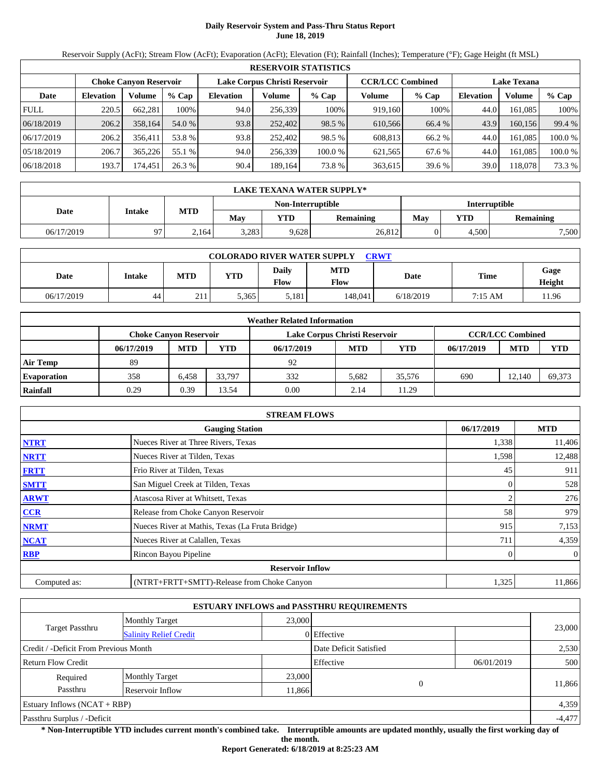# **Daily Reservoir System and Pass-Thru Status Report June 18, 2019**

Reservoir Supply (AcFt); Stream Flow (AcFt); Evaporation (AcFt); Elevation (Ft); Rainfall (Inches); Temperature (°F); Gage Height (ft MSL)

|             | <b>RESERVOIR STATISTICS</b> |                               |         |                  |                               |         |                         |         |                    |         |         |  |
|-------------|-----------------------------|-------------------------------|---------|------------------|-------------------------------|---------|-------------------------|---------|--------------------|---------|---------|--|
|             |                             | <b>Choke Canvon Reservoir</b> |         |                  | Lake Corpus Christi Reservoir |         | <b>CCR/LCC Combined</b> |         | <b>Lake Texana</b> |         |         |  |
| Date        | <b>Elevation</b>            | Volume                        | $%$ Cap | <b>Elevation</b> | Volume                        | $%$ Cap | Volume                  | $%$ Cap | <b>Elevation</b>   | Volume  | % Cap   |  |
| <b>FULL</b> | 220.5                       | 662.281                       | 100%    | 94.0             | 256,339                       | 100%    | 919.160                 | 100%    | 44.0               | 161.085 | 100%    |  |
| 06/18/2019  | 206.2                       | 358,164                       | 54.0 %  | 93.8             | 252,402                       | 98.5 %  | 610.566                 | 66.4 %  | 43.9               | 160.156 | 99.4 %  |  |
| 06/17/2019  | 206.2                       | 356.411                       | 53.8 %  | 93.8             | 252,402                       | 98.5 %  | 608.813                 | 66.2 %  | 44.0               | 161.085 | 100.0 % |  |
| 05/18/2019  | 206.7                       | 365.226                       | 55.1 %  | 94.0             | 256,339                       | 100.0 % | 621,565                 | 67.6 %  | 44.0               | 161.085 | 100.0 % |  |
| 06/18/2018  | 193.7                       | 174.451                       | 26.3 %  | 90.4             | 189,164                       | 73.8 %  | 363,615                 | 39.6 %  | 39.0               | 118.078 | 73.3 %  |  |

|            | <b>LAKE TEXANA WATER SUPPLY*</b> |            |       |                   |                  |               |       |           |  |  |  |
|------------|----------------------------------|------------|-------|-------------------|------------------|---------------|-------|-----------|--|--|--|
|            | Intake                           |            |       | Non-Interruptible |                  | Interruptible |       |           |  |  |  |
| Date       |                                  | <b>MTD</b> | Mav   | YTD               | <b>Remaining</b> | May           | VTD   | Remaining |  |  |  |
| 06/17/2019 | 97                               | 2,164      | 3,283 | 9,628             | 26,812           |               | 4,500 | 7,500     |  |  |  |

|            | <b>COLORADO RIVER WATER SUPPLY</b><br><b>CRWT</b> |            |            |               |             |           |         |                |  |  |  |  |
|------------|---------------------------------------------------|------------|------------|---------------|-------------|-----------|---------|----------------|--|--|--|--|
| Date       | Intake                                            | <b>MTD</b> | <b>YTD</b> | Daily<br>Flow | MTD<br>Flow | Date      | Time    | Gage<br>Height |  |  |  |  |
| 06/17/2019 | 44                                                | 211        | 5.365      | 5,181         | 148.041     | 6/18/2019 | 7:15 AM | 11.96          |  |  |  |  |

|                    | <b>Weather Related Information</b> |            |        |                               |            |        |            |                         |            |  |  |
|--------------------|------------------------------------|------------|--------|-------------------------------|------------|--------|------------|-------------------------|------------|--|--|
|                    | <b>Choke Canvon Reservoir</b>      |            |        | Lake Corpus Christi Reservoir |            |        |            | <b>CCR/LCC Combined</b> |            |  |  |
|                    | 06/17/2019                         | <b>MTD</b> | YTD    | 06/17/2019                    | <b>MTD</b> | YTD    | 06/17/2019 | <b>MTD</b>              | <b>YTD</b> |  |  |
| <b>Air Temp</b>    | 89                                 |            |        | 92                            |            |        |            |                         |            |  |  |
| <b>Evaporation</b> | 358                                | 6.458      | 33.797 | 332                           | 5.682      | 35.576 | 690        | 12.140                  | 69,373     |  |  |
| Rainfall           | 0.29                               | 0.39       | 13.54  | 0.00                          | 2.14       | 11.29  |            |                         |            |  |  |

|              | <b>STREAM FLOWS</b>                             |            |                |
|--------------|-------------------------------------------------|------------|----------------|
|              | <b>Gauging Station</b>                          | 06/17/2019 | <b>MTD</b>     |
| <b>NTRT</b>  | Nueces River at Three Rivers, Texas             | 1,338      | 11,406         |
| <b>NRTT</b>  | Nueces River at Tilden, Texas                   | 1,598      | 12,488         |
| <b>FRTT</b>  | Frio River at Tilden, Texas                     | 45         | 911            |
| <b>SMTT</b>  | San Miguel Creek at Tilden, Texas               |            | 528            |
| <b>ARWT</b>  | Atascosa River at Whitsett, Texas               |            | 276            |
| <b>CCR</b>   | Release from Choke Canyon Reservoir             | 58         | 979            |
| <b>NRMT</b>  | Nueces River at Mathis, Texas (La Fruta Bridge) | 915        | 7,153          |
| <b>NCAT</b>  | Nueces River at Calallen, Texas                 | 711        | 4,359          |
| <b>RBP</b>   | Rincon Bayou Pipeline                           |            | $\overline{0}$ |
|              | <b>Reservoir Inflow</b>                         |            |                |
| Computed as: | (NTRT+FRTT+SMTT)-Release from Choke Canyon      | 1,325      | 11,866         |

|                                       |                               |        | <b>ESTUARY INFLOWS and PASSTHRU REQUIREMENTS</b> |            |          |
|---------------------------------------|-------------------------------|--------|--------------------------------------------------|------------|----------|
|                                       | <b>Monthly Target</b>         | 23,000 |                                                  |            |          |
| <b>Target Passthru</b>                | <b>Salinity Relief Credit</b> |        | 0 Effective                                      |            | 23,000   |
| Credit / -Deficit From Previous Month |                               |        | Date Deficit Satisfied                           |            | 2,530    |
| Return Flow Credit                    |                               |        | Effective                                        | 06/01/2019 | 500      |
| Required                              | <b>Monthly Target</b>         | 23,000 |                                                  |            |          |
| Passthru<br>Reservoir Inflow          |                               |        | $\theta$<br>11,866                               |            | 11,866   |
| Estuary Inflows $(NCAT + RBP)$        |                               |        |                                                  |            | 4,359    |
| Passthru Surplus / -Deficit           |                               |        |                                                  |            | $-4,477$ |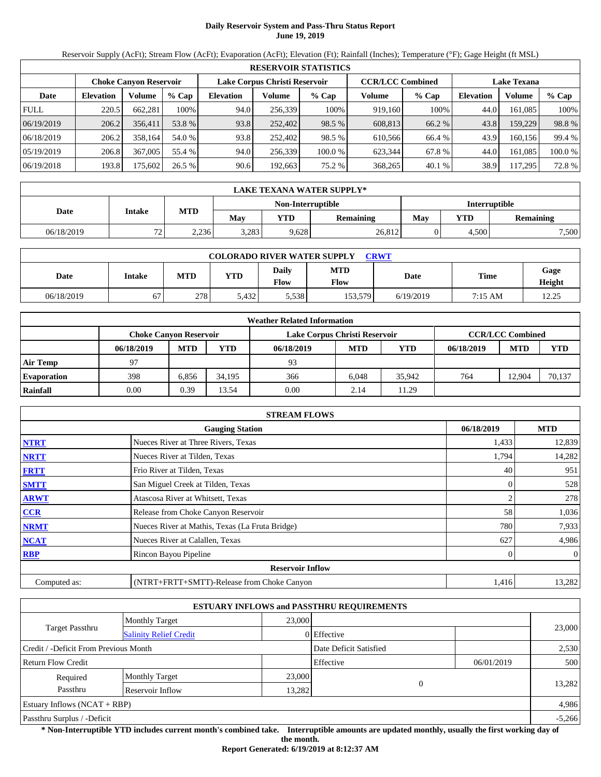# **Daily Reservoir System and Pass-Thru Status Report June 19, 2019**

Reservoir Supply (AcFt); Stream Flow (AcFt); Evaporation (AcFt); Elevation (Ft); Rainfall (Inches); Temperature (°F); Gage Height (ft MSL)

|             | <b>RESERVOIR STATISTICS</b> |                               |         |                  |                               |         |                         |        |                    |         |         |  |
|-------------|-----------------------------|-------------------------------|---------|------------------|-------------------------------|---------|-------------------------|--------|--------------------|---------|---------|--|
|             |                             | <b>Choke Canvon Reservoir</b> |         |                  | Lake Corpus Christi Reservoir |         | <b>CCR/LCC Combined</b> |        | <b>Lake Texana</b> |         |         |  |
| Date        | <b>Elevation</b>            | Volume                        | $%$ Cap | <b>Elevation</b> | Volume                        | $%$ Cap | Volume                  | % Cap  | <b>Elevation</b>   | Volume  | $%$ Cap |  |
| <b>FULL</b> | 220.5                       | 662.281                       | 100%    | 94.0             | 256,339                       | 100%    | 919,160                 | 100%   | 44.0               | 161.085 | 100%    |  |
| 06/19/2019  | 206.2                       | 356,411                       | 53.8 %  | 93.8             | 252,402                       | 98.5 %  | 608.813                 | 66.2 % | 43.8               | 159,229 | 98.8%   |  |
| 06/18/2019  | 206.2                       | 358,164                       | 54.0 %  | 93.8             | 252,402                       | 98.5 %  | 610.566                 | 66.4 % | 43.9               | 160.156 | 99.4 %  |  |
| 05/19/2019  | 206.8                       | 367,005                       | 55.4 %  | 94.0             | 256,339                       | 100.0 % | 623.344                 | 67.8 % | 44.0               | 161.085 | 100.0 % |  |
| 06/19/2018  | 193.8                       | 75,602                        | 26.5 %  | 90.6             | 192,663                       | 75.2 %  | 368,265                 | 40.1%  | 38.9               | 117.295 | 72.8 %  |  |

|            | <b>LAKE TEXANA WATER SUPPLY*</b> |            |       |                   |                  |               |       |           |  |  |
|------------|----------------------------------|------------|-------|-------------------|------------------|---------------|-------|-----------|--|--|
|            |                                  |            |       | Non-Interruptible |                  | Interruptible |       |           |  |  |
| Date       | Intake                           | <b>MTD</b> | Mav   | YTD               | <b>Remaining</b> | May           | YTD   | Remaining |  |  |
| 06/18/2019 | 72<br>ے ا                        | 2.236      | 3.283 | 9,628             | 26,812           |               | 4.500 | 7,500     |  |  |

|            | <b>COLORADO RIVER WATER SUPPLY</b><br>CRWT |            |            |               |             |           |         |                |  |  |  |  |
|------------|--------------------------------------------|------------|------------|---------------|-------------|-----------|---------|----------------|--|--|--|--|
| Date       | Intake                                     | <b>MTD</b> | <b>YTD</b> | Daily<br>Flow | MTD<br>Flow | Date      | Time    | Gage<br>Height |  |  |  |  |
| 06/18/2019 | 67                                         | 278        | 5.432      | 5,538         | 153,579     | 6/19/2019 | 7:15 AM | 12.25          |  |  |  |  |

|                    |                               |            |        | <b>Weather Related Information</b> |            |        |            |                         |            |
|--------------------|-------------------------------|------------|--------|------------------------------------|------------|--------|------------|-------------------------|------------|
|                    | <b>Choke Canvon Reservoir</b> |            |        | Lake Corpus Christi Reservoir      |            |        |            | <b>CCR/LCC Combined</b> |            |
|                    | 06/18/2019                    | <b>MTD</b> | YTD    | 06/18/2019                         | <b>MTD</b> | YTD    | 06/18/2019 | <b>MTD</b>              | <b>YTD</b> |
| <b>Air Temp</b>    | 97                            |            |        | 93                                 |            |        |            |                         |            |
| <b>Evaporation</b> | 398                           | 6.856      | 34.195 | 366                                | 6.048      | 35.942 | 764        | 12.904                  | 70,137     |
| Rainfall           | 0.00                          | 0.39       | 13.54  | 0.00                               | 2.14       | 11.29  |            |                         |            |

|              | <b>STREAM FLOWS</b>                             |            |                |
|--------------|-------------------------------------------------|------------|----------------|
|              | <b>Gauging Station</b>                          | 06/18/2019 | <b>MTD</b>     |
| <b>NTRT</b>  | Nueces River at Three Rivers, Texas             | 1,433      | 12,839         |
| <b>NRTT</b>  | Nueces River at Tilden, Texas                   | 1,794      | 14,282         |
| <b>FRTT</b>  | Frio River at Tilden, Texas                     | 40         | 951            |
| <b>SMTT</b>  | San Miguel Creek at Tilden, Texas               | 0          | 528            |
| <b>ARWT</b>  | Atascosa River at Whitsett, Texas               |            | 278            |
| <b>CCR</b>   | Release from Choke Canyon Reservoir             | 58         | 1,036          |
| <b>NRMT</b>  | Nueces River at Mathis, Texas (La Fruta Bridge) | 780        | 7,933          |
| <b>NCAT</b>  | Nueces River at Calallen, Texas                 | 627        | 4,986          |
| <b>RBP</b>   | Rincon Bayou Pipeline                           |            | $\overline{0}$ |
|              | <b>Reservoir Inflow</b>                         |            |                |
| Computed as: | (NTRT+FRTT+SMTT)-Release from Choke Canyon      | 1,416      | 13,282         |

|                                       |                               |        | <b>ESTUARY INFLOWS and PASSTHRU REQUIREMENTS</b> |            |          |
|---------------------------------------|-------------------------------|--------|--------------------------------------------------|------------|----------|
|                                       | <b>Monthly Target</b>         | 23,000 |                                                  |            |          |
| Target Passthru                       | <b>Salinity Relief Credit</b> |        | 0 Effective                                      |            | 23,000   |
| Credit / -Deficit From Previous Month |                               |        | Date Deficit Satisfied                           |            | 2,530    |
| <b>Return Flow Credit</b>             |                               |        | Effective                                        | 06/01/2019 | 500      |
| Required                              | <b>Monthly Target</b>         | 23,000 |                                                  |            |          |
| Passthru                              | Reservoir Inflow              | 13,282 |                                                  | $\Omega$   | 13,282   |
| Estuary Inflows $(NCAT + RBP)$        |                               |        |                                                  |            | 4,986    |
| Passthru Surplus / -Deficit           |                               |        |                                                  |            | $-5,266$ |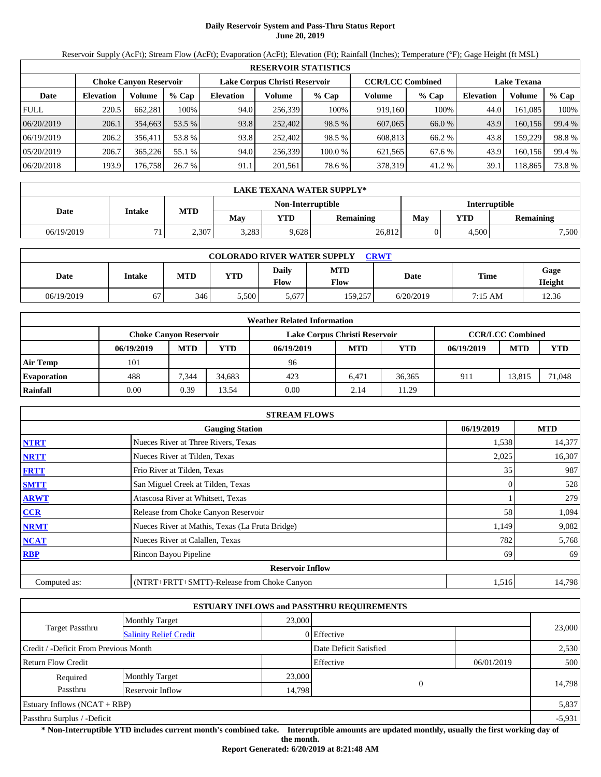# **Daily Reservoir System and Pass-Thru Status Report June 20, 2019**

Reservoir Supply (AcFt); Stream Flow (AcFt); Evaporation (AcFt); Elevation (Ft); Rainfall (Inches); Temperature (°F); Gage Height (ft MSL)

|             | <b>RESERVOIR STATISTICS</b> |                               |         |                               |         |         |                         |         |                    |         |        |
|-------------|-----------------------------|-------------------------------|---------|-------------------------------|---------|---------|-------------------------|---------|--------------------|---------|--------|
|             |                             | <b>Choke Canyon Reservoir</b> |         | Lake Corpus Christi Reservoir |         |         | <b>CCR/LCC Combined</b> |         | <b>Lake Texana</b> |         |        |
| Date        | <b>Elevation</b>            | Volume                        | $%$ Cap | <b>Elevation</b>              | Volume  | $%$ Cap | Volume                  | $%$ Cap | Elevation          | Volume  | % Cap  |
| <b>FULL</b> | 220.5                       | 662,281                       | 100%    | 94.0                          | 256,339 | 100%    | 919.160                 | 100%    | 44.0               | 161,085 | 100%   |
| 06/20/2019  | 206.1                       | 354,663                       | 53.5 %  | 93.8                          | 252,402 | 98.5 %  | 607,065                 | 66.0 %  | 43.9               | 160,156 | 99.4 % |
| 06/19/2019  | 206.2                       | 356.411                       | 53.8 %  | 93.8                          | 252,402 | 98.5 %  | 608.813                 | 66.2 %  | 43.8               | 159,229 | 98.8%  |
| 05/20/2019  | 206.7                       | 365,226                       | 55.1 %  | 94.0                          | 256,339 | 100.0 % | 621,565                 | 67.6 %  | 43.9               | 160,156 | 99.4 % |
| 06/20/2018  | 193.9                       | 176,758                       | 26.7 %  | 91.1                          | 201,561 | 78.6 %  | 378,319                 | 41.2 %  | 39.1               | 118,865 | 73.8 % |

|            | <b>LAKE TEXANA WATER SUPPLY*</b> |            |       |                   |                  |                      |       |           |  |  |
|------------|----------------------------------|------------|-------|-------------------|------------------|----------------------|-------|-----------|--|--|
|            |                                  |            |       | Non-Interruptible |                  | <b>Interruptible</b> |       |           |  |  |
| Date       | Intake                           | <b>MTD</b> | Mav   | YTD               | <b>Remaining</b> | YTD<br>May           |       | Remaining |  |  |
| 06/19/2019 | 71                               | 2,307      | 3,283 | 9,628             | 26,812           |                      | 4,500 | 7,500     |  |  |

|            | <b>COLORADO RIVER WATER SUPPLY</b><br>CRWT |            |            |               |                    |           |         |                |  |  |  |  |
|------------|--------------------------------------------|------------|------------|---------------|--------------------|-----------|---------|----------------|--|--|--|--|
| Date       | Intake                                     | <b>MTD</b> | <b>YTD</b> | Daily<br>Flow | <b>MTD</b><br>Flow | Date      | Time    | Gage<br>Height |  |  |  |  |
| 06/19/2019 | 67                                         | 346        | 5,500      | 5,677         | 159.257            | 6/20/2019 | 7:15 AM | 12.36          |  |  |  |  |

|                    |                               |            |        | <b>Weather Related Information</b> |            |            |            |                         |            |
|--------------------|-------------------------------|------------|--------|------------------------------------|------------|------------|------------|-------------------------|------------|
|                    | <b>Choke Canvon Reservoir</b> |            |        | Lake Corpus Christi Reservoir      |            |            |            | <b>CCR/LCC Combined</b> |            |
|                    | 06/19/2019                    | <b>MTD</b> | YTD    | 06/19/2019                         | <b>MTD</b> | <b>YTD</b> | 06/19/2019 | <b>MTD</b>              | <b>YTD</b> |
| <b>Air Temp</b>    | 101                           |            |        | 96                                 |            |            |            |                         |            |
| <b>Evaporation</b> | 488                           | 7.344      | 34.683 | 423                                | 6.471      | 36.365     | 911        | 13.815                  | 71,048     |
| Rainfall           | 0.00                          | 0.39       | 13.54  | 0.00                               | 2.14       | 11.29      |            |                         |            |

|              | <b>STREAM FLOWS</b>                             |            |            |
|--------------|-------------------------------------------------|------------|------------|
|              | <b>Gauging Station</b>                          | 06/19/2019 | <b>MTD</b> |
| <b>NTRT</b>  | Nueces River at Three Rivers, Texas             | 1,538      | 14,377     |
| <b>NRTT</b>  | Nueces River at Tilden, Texas                   | 2,025      | 16,307     |
| <b>FRTT</b>  | Frio River at Tilden, Texas                     | 35         | 987        |
| <b>SMTT</b>  | San Miguel Creek at Tilden, Texas               | 0          | 528        |
| <b>ARWT</b>  | Atascosa River at Whitsett, Texas               |            | 279        |
| CCR          | Release from Choke Canyon Reservoir             | 58         | 1,094      |
| <b>NRMT</b>  | Nueces River at Mathis, Texas (La Fruta Bridge) | 1,149      | 9,082      |
| <b>NCAT</b>  | Nueces River at Calallen, Texas                 | 782        | 5,768      |
| <b>RBP</b>   | Rincon Bayou Pipeline                           | 69         | 69         |
|              | <b>Reservoir Inflow</b>                         |            |            |
| Computed as: | (NTRT+FRTT+SMTT)-Release from Choke Canyon      | 1,516      | 14,798     |

|                                       |                               |        | <b>ESTUARY INFLOWS and PASSTHRU REQUIREMENTS</b> |          |            |          |
|---------------------------------------|-------------------------------|--------|--------------------------------------------------|----------|------------|----------|
|                                       | <b>Monthly Target</b>         | 23,000 |                                                  |          |            |          |
| Target Passthru                       | <b>Salinity Relief Credit</b> |        | 0 Effective                                      |          |            | 23,000   |
| Credit / -Deficit From Previous Month |                               |        | Date Deficit Satisfied                           |          |            | 2,530    |
| <b>Return Flow Credit</b>             |                               |        | Effective                                        |          | 06/01/2019 | 500      |
| Required                              | <b>Monthly Target</b>         | 23,000 |                                                  |          |            |          |
| Passthru                              | Reservoir Inflow              | 14,798 |                                                  | $\Omega$ |            | 14,798   |
| Estuary Inflows $(NCAT + RBP)$        |                               |        |                                                  |          |            | 5,837    |
| Passthru Surplus / -Deficit           |                               |        |                                                  |          |            | $-5,931$ |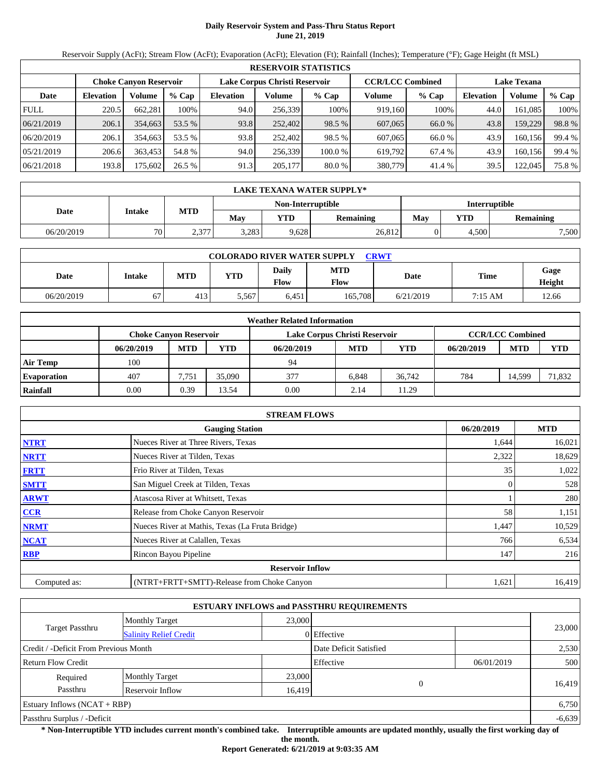# **Daily Reservoir System and Pass-Thru Status Report June 21, 2019**

Reservoir Supply (AcFt); Stream Flow (AcFt); Evaporation (AcFt); Elevation (Ft); Rainfall (Inches); Temperature (°F); Gage Height (ft MSL)

|             | <b>RESERVOIR STATISTICS</b> |                               |         |                               |         |         |                         |         |                    |         |        |  |
|-------------|-----------------------------|-------------------------------|---------|-------------------------------|---------|---------|-------------------------|---------|--------------------|---------|--------|--|
|             |                             | <b>Choke Canyon Reservoir</b> |         | Lake Corpus Christi Reservoir |         |         | <b>CCR/LCC Combined</b> |         | <b>Lake Texana</b> |         |        |  |
| Date        | <b>Elevation</b>            | Volume                        | $%$ Cap | <b>Elevation</b>              | Volume  | $%$ Cap | Volume                  | $%$ Cap | <b>Elevation</b>   | Volume  | % Cap  |  |
| <b>FULL</b> | 220.5                       | 662,281                       | 100%    | 94.0                          | 256,339 | 100%    | 919.160                 | 100%    | 44.0               | 161,085 | 100%   |  |
| 06/21/2019  | 206.1                       | 354,663                       | 53.5 %  | 93.8                          | 252,402 | 98.5 %  | 607,065                 | 66.0 %  | 43.8               | 159,229 | 98.8%  |  |
| 06/20/2019  | 206.1                       | 354,663                       | 53.5 %  | 93.8                          | 252.402 | 98.5 %  | 607,065                 | 66.0%   | 43.9               | 160.156 | 99.4 % |  |
| 05/21/2019  | 206.6                       | 363,453                       | 54.8 %  | 94.0                          | 256,339 | 100.0 % | 619.792                 | 67.4%   | 43.9               | 160.156 | 99.4 % |  |
| 06/21/2018  | 193.8                       | 175,602                       | 26.5%   | 91.3                          | 205,177 | 80.0 %  | 380,779                 | 41.4 %  | 39.5               | 122,045 | 75.8%  |  |

|            | LAKE TEXANA WATER SUPPLY* |            |       |                   |                  |                      |            |           |  |  |  |
|------------|---------------------------|------------|-------|-------------------|------------------|----------------------|------------|-----------|--|--|--|
|            | Intake                    |            |       | Non-Interruptible |                  | <b>Interruptible</b> |            |           |  |  |  |
| Date       |                           | <b>MTD</b> | Mav   | YTD               | <b>Remaining</b> | May                  | <b>VTD</b> | Remaining |  |  |  |
| 06/20/2019 | 70                        | 2,377      | 3,283 | 9,628             | 26,812           |                      | 4,500      | 7,500     |  |  |  |

| <b>COLORADO RIVER WATER SUPPLY</b><br>CRWT |        |            |            |               |                    |           |         |                |  |  |  |
|--------------------------------------------|--------|------------|------------|---------------|--------------------|-----------|---------|----------------|--|--|--|
| Date                                       | Intake | <b>MTD</b> | <b>YTD</b> | Daily<br>Flow | <b>MTD</b><br>Flow | Date      | Time    | Gage<br>Height |  |  |  |
| 06/20/2019                                 | 67     | 413        | 5,567      | 6,451         | 165.708            | 6/21/2019 | 7:15 AM | 12.66          |  |  |  |

|                    |                               |            |        | <b>Weather Related Information</b> |            |        |            |                         |            |
|--------------------|-------------------------------|------------|--------|------------------------------------|------------|--------|------------|-------------------------|------------|
|                    | <b>Choke Canvon Reservoir</b> |            |        | Lake Corpus Christi Reservoir      |            |        |            | <b>CCR/LCC Combined</b> |            |
|                    | 06/20/2019                    | <b>MTD</b> | YTD    | 06/20/2019                         | <b>MTD</b> | YTD    | 06/20/2019 | <b>MTD</b>              | <b>YTD</b> |
| <b>Air Temp</b>    | 100                           |            |        | 94                                 |            |        |            |                         |            |
| <b>Evaporation</b> | 407                           | 7.751      | 35,090 | 377                                | 6.848      | 36.742 | 784        | 14.599                  | 71,832     |
| Rainfall           | 0.00                          | 0.39       | 13.54  | 0.00                               | 2.14       | 11.29  |            |                         |            |

|              | <b>STREAM FLOWS</b>                             |            |            |
|--------------|-------------------------------------------------|------------|------------|
|              | <b>Gauging Station</b>                          | 06/20/2019 | <b>MTD</b> |
| <b>NTRT</b>  | Nueces River at Three Rivers, Texas             | 1,644      | 16,021     |
| <b>NRTT</b>  | Nueces River at Tilden, Texas                   | 2,322      | 18,629     |
| <b>FRTT</b>  | Frio River at Tilden, Texas                     | 35         | 1,022      |
| <b>SMTT</b>  | San Miguel Creek at Tilden, Texas               |            | 528        |
| <b>ARWT</b>  | Atascosa River at Whitsett, Texas               |            | 280        |
| <b>CCR</b>   | Release from Choke Canyon Reservoir             | 58         | 1,151      |
| <b>NRMT</b>  | Nueces River at Mathis, Texas (La Fruta Bridge) | 1,447      | 10,529     |
| <b>NCAT</b>  | Nueces River at Calallen, Texas                 | 766        | 6,534      |
| <b>RBP</b>   | Rincon Bayou Pipeline                           | 147        | 216        |
|              | <b>Reservoir Inflow</b>                         |            |            |
| Computed as: | (NTRT+FRTT+SMTT)-Release from Choke Canyon      | 1,621      | 16,419     |

|                                       |                               |        | <b>ESTUARY INFLOWS and PASSTHRU REQUIREMENTS</b> |            |          |  |
|---------------------------------------|-------------------------------|--------|--------------------------------------------------|------------|----------|--|
|                                       | <b>Monthly Target</b>         | 23,000 |                                                  |            |          |  |
| <b>Target Passthru</b>                | <b>Salinity Relief Credit</b> |        | 0 Effective                                      |            | 23,000   |  |
| Credit / -Deficit From Previous Month |                               |        | Date Deficit Satisfied                           |            | 2,530    |  |
| Return Flow Credit                    |                               |        | Effective                                        | 06/01/2019 | 500      |  |
| Required                              | <b>Monthly Target</b>         | 23,000 |                                                  |            |          |  |
| Passthru                              | Reservoir Inflow              | 16,419 | $\theta$                                         |            | 16,419   |  |
| Estuary Inflows $(NCAT + RBP)$        |                               |        |                                                  |            | 6,750    |  |
| Passthru Surplus / -Deficit           |                               |        |                                                  |            | $-6,639$ |  |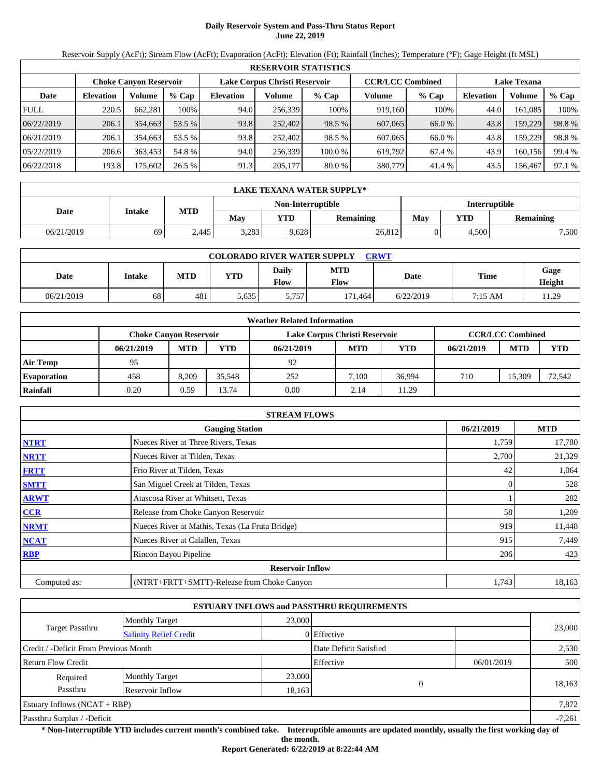# **Daily Reservoir System and Pass-Thru Status Report June 22, 2019**

Reservoir Supply (AcFt); Stream Flow (AcFt); Evaporation (AcFt); Elevation (Ft); Rainfall (Inches); Temperature (°F); Gage Height (ft MSL)

|             | <b>RESERVOIR STATISTICS</b> |                               |         |                               |         |         |                         |         |                    |         |        |  |
|-------------|-----------------------------|-------------------------------|---------|-------------------------------|---------|---------|-------------------------|---------|--------------------|---------|--------|--|
|             |                             | <b>Choke Canyon Reservoir</b> |         | Lake Corpus Christi Reservoir |         |         | <b>CCR/LCC Combined</b> |         | <b>Lake Texana</b> |         |        |  |
| Date        | <b>Elevation</b>            | Volume                        | $%$ Cap | <b>Elevation</b>              | Volume  | $%$ Cap | Volume                  | $%$ Cap | <b>Elevation</b>   | Volume  | % Cap  |  |
| <b>FULL</b> | 220.5                       | 662,281                       | 100%    | 94.0                          | 256,339 | 100%    | 919.160                 | 100%    | 44.0               | 161,085 | 100%   |  |
| 06/22/2019  | 206.1                       | 354,663                       | 53.5 %  | 93.8                          | 252,402 | 98.5 %  | 607,065                 | 66.0 %  | 43.8               | 159,229 | 98.8%  |  |
| 06/21/2019  | 206.1                       | 354,663                       | 53.5 %  | 93.8                          | 252,402 | 98.5 %  | 607,065                 | 66.0%   | 43.8               | 159,229 | 98.8%  |  |
| 05/22/2019  | 206.6                       | 363,453                       | 54.8 %  | 94.0                          | 256,339 | 100.0 % | 619,792                 | 67.4 %  | 43.9               | 160,156 | 99.4 % |  |
| 06/22/2018  | 193.8                       | 175,602                       | 26.5%   | 91.3                          | 205,177 | 80.0 %  | 380,779                 | 41.4 %  | 43.5               | 156,467 | 97.1 % |  |

|            | LAKE TEXANA WATER SUPPLY* |            |       |                          |                  |                      |       |                  |  |  |  |
|------------|---------------------------|------------|-------|--------------------------|------------------|----------------------|-------|------------------|--|--|--|
|            | Intake                    |            |       | <b>Non-Interruptible</b> |                  | <b>Interruptible</b> |       |                  |  |  |  |
| Date       |                           | <b>MTD</b> | Mav   | YTD                      | <b>Remaining</b> | Mav                  | VTD   | <b>Remaining</b> |  |  |  |
| 06/21/2019 | 69                        | 2.445      | 3.283 | 9,628                    | 26,812           |                      | 4.500 | 7,500            |  |  |  |

| <b>COLORADO RIVER WATER SUPPLY</b><br>CRWT |               |            |            |               |             |           |         |                |  |  |  |
|--------------------------------------------|---------------|------------|------------|---------------|-------------|-----------|---------|----------------|--|--|--|
| Date                                       | <b>Intake</b> | <b>MTD</b> | <b>YTD</b> | Daily<br>Flow | MTD<br>Flow | Date      | Time    | Gage<br>Height |  |  |  |
| 06/21/2019                                 | 68            | 481        | 5.635      | 5,757         | 171.464     | 6/22/2019 | 7:15 AM | 11.29          |  |  |  |

|                    |                               |            |        | <b>Weather Related Information</b> |            |            |            |                         |            |
|--------------------|-------------------------------|------------|--------|------------------------------------|------------|------------|------------|-------------------------|------------|
|                    | <b>Choke Canvon Reservoir</b> |            |        | Lake Corpus Christi Reservoir      |            |            |            | <b>CCR/LCC Combined</b> |            |
|                    | 06/21/2019                    | <b>MTD</b> | YTD    | 06/21/2019                         | <b>MTD</b> | <b>YTD</b> | 06/21/2019 | <b>MTD</b>              | <b>YTD</b> |
| <b>Air Temp</b>    | 95                            |            |        | 92                                 |            |            |            |                         |            |
| <b>Evaporation</b> | 458                           | 8.209      | 35.548 | 252                                | 7.100      | 36.994     | 710        | 15.309                  | 72,542     |
| Rainfall           | 0.20                          | 0.59       | 13.74  | 0.00                               | 2.14       | 11.29      |            |                         |            |

|              | <b>STREAM FLOWS</b>                             |            |            |
|--------------|-------------------------------------------------|------------|------------|
|              | <b>Gauging Station</b>                          | 06/21/2019 | <b>MTD</b> |
| <b>NTRT</b>  | Nueces River at Three Rivers, Texas             | 1,759      | 17,780     |
| <b>NRTT</b>  | Nueces River at Tilden, Texas                   | 2,700      | 21,329     |
| <b>FRTT</b>  | Frio River at Tilden, Texas                     | 42         | 1,064      |
| <b>SMTT</b>  | San Miguel Creek at Tilden, Texas               | 0          | 528        |
| <b>ARWT</b>  | Atascosa River at Whitsett, Texas               |            | 282        |
| <b>CCR</b>   | Release from Choke Canyon Reservoir             | 58         | 1,209      |
| <b>NRMT</b>  | Nueces River at Mathis, Texas (La Fruta Bridge) | 919        | 11,448     |
| <b>NCAT</b>  | Nueces River at Calallen, Texas                 | 915        | 7,449      |
| <b>RBP</b>   | Rincon Bayou Pipeline                           | 206        | 423        |
|              | <b>Reservoir Inflow</b>                         |            |            |
| Computed as: | (NTRT+FRTT+SMTT)-Release from Choke Canyon      | 1,743      | 18,163     |

|                                                  |                       |        | <b>ESTUARY INFLOWS and PASSTHRU REQUIREMENTS</b> |          |            |          |  |
|--------------------------------------------------|-----------------------|--------|--------------------------------------------------|----------|------------|----------|--|
|                                                  | <b>Monthly Target</b> | 23,000 |                                                  |          |            | 23,000   |  |
| Target Passthru<br><b>Salinity Relief Credit</b> |                       |        | 0 Effective                                      |          |            |          |  |
| Credit / -Deficit From Previous Month            |                       |        | Date Deficit Satisfied                           |          |            | 2,530    |  |
| <b>Return Flow Credit</b>                        |                       |        | Effective                                        |          | 06/01/2019 | 500      |  |
| Required                                         | <b>Monthly Target</b> | 23,000 |                                                  |          |            |          |  |
| Passthru<br>Reservoir Inflow                     |                       |        | 18,163                                           | $\Omega$ |            | 18,163   |  |
| Estuary Inflows $(NCAT + RBP)$                   |                       |        |                                                  |          |            | 7,872    |  |
| Passthru Surplus / -Deficit                      |                       |        |                                                  |          |            | $-7,261$ |  |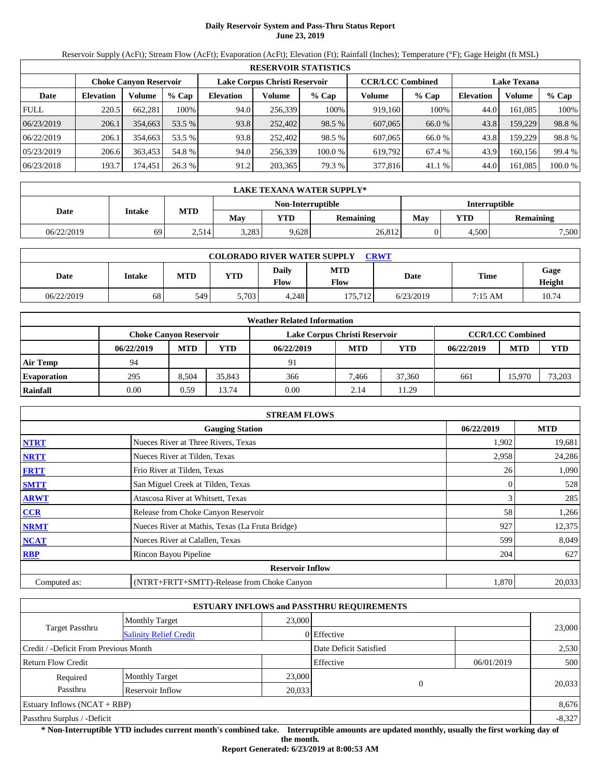# **Daily Reservoir System and Pass-Thru Status Report June 23, 2019**

Reservoir Supply (AcFt); Stream Flow (AcFt); Evaporation (AcFt); Elevation (Ft); Rainfall (Inches); Temperature (°F); Gage Height (ft MSL)

|             | <b>RESERVOIR STATISTICS</b> |                               |         |                  |                               |         |                         |         |                    |         |         |  |
|-------------|-----------------------------|-------------------------------|---------|------------------|-------------------------------|---------|-------------------------|---------|--------------------|---------|---------|--|
|             |                             | <b>Choke Canvon Reservoir</b> |         |                  | Lake Corpus Christi Reservoir |         | <b>CCR/LCC Combined</b> |         | <b>Lake Texana</b> |         |         |  |
| Date        | <b>Elevation</b>            | Volume                        | $%$ Cap | <b>Elevation</b> | Volume                        | $%$ Cap | Volume                  | $%$ Cap | <b>Elevation</b>   | Volume  | % Cap   |  |
| <b>FULL</b> | 220.5                       | 662.281                       | 100%    | 94.0             | 256.339                       | 100%    | 919.160                 | 100%    | 44.0               | 161.085 | 100%    |  |
| 06/23/2019  | 206.1                       | 354,663                       | 53.5 %  | 93.8             | 252,402                       | 98.5 %  | 607,065                 | 66.0 %  | 43.8               | 159.229 | 98.8%   |  |
| 06/22/2019  | 206.1                       | 354.663                       | 53.5 %  | 93.8             | 252,402                       | 98.5 %  | 607,065                 | 66.0 %  | 43.8               | 159.229 | 98.8%   |  |
| 05/23/2019  | 206.6                       | 363.453                       | 54.8 %  | 94.0             | 256,339                       | 100.0 % | 619.792                 | 67.4 %  | 43.9               | 160.156 | 99.4 %  |  |
| 06/23/2018  | 193.7                       | 174,451                       | 26.3 %  | 91.2             | 203,365                       | 79.3 %  | 377,816                 | 41.1 %  | 44.0               | 161,085 | 100.0 % |  |

|            | LAKE TEXANA WATER SUPPLY* |            |       |                   |                  |                      |       |           |  |  |  |
|------------|---------------------------|------------|-------|-------------------|------------------|----------------------|-------|-----------|--|--|--|
|            | Intake                    |            |       | Non-Interruptible |                  | <b>Interruptible</b> |       |           |  |  |  |
| Date       |                           | <b>MTD</b> | May   | YTD               | <b>Remaining</b> | May                  | YTD   | Remaining |  |  |  |
| 06/22/2019 | 69                        | 2,514      | 3,283 | 9,628             | 26,812           |                      | 4.500 | 7,500     |  |  |  |

| <b>COLORADO RIVER WATER SUPPLY</b><br><b>CRWT</b> |        |            |            |               |                    |           |         |                |  |  |  |
|---------------------------------------------------|--------|------------|------------|---------------|--------------------|-----------|---------|----------------|--|--|--|
| Date                                              | Intake | <b>MTD</b> | <b>YTD</b> | Daily<br>Flow | <b>MTD</b><br>Flow | Date      | Time    | Gage<br>Height |  |  |  |
| 06/22/2019                                        | 68     | 549        | 5.703      | 4.248         | 175,712            | 6/23/2019 | 7:15 AM | 10.74          |  |  |  |

|                    |                               |            |        | <b>Weather Related Information</b> |            |            |            |                         |            |
|--------------------|-------------------------------|------------|--------|------------------------------------|------------|------------|------------|-------------------------|------------|
|                    | <b>Choke Canyon Reservoir</b> |            |        | Lake Corpus Christi Reservoir      |            |            |            | <b>CCR/LCC Combined</b> |            |
|                    | 06/22/2019                    | <b>MTD</b> | YTD    | 06/22/2019                         | <b>MTD</b> | <b>YTD</b> | 06/22/2019 | <b>MTD</b>              | <b>YTD</b> |
| <b>Air Temp</b>    | 94                            |            |        | 91                                 |            |            |            |                         |            |
| <b>Evaporation</b> | 295                           | 8.504      | 35.843 | 366                                | 7.466      | 37,360     | 661        | 15.970                  | 73.203     |
| Rainfall           | 0.00                          | 0.59       | 13.74  | 0.00                               | 2.14       | 11.29      |            |                         |            |

|              | <b>STREAM FLOWS</b>                             |            |            |
|--------------|-------------------------------------------------|------------|------------|
|              | <b>Gauging Station</b>                          | 06/22/2019 | <b>MTD</b> |
| <b>NTRT</b>  | Nueces River at Three Rivers, Texas             | 1,902      | 19,681     |
| <b>NRTT</b>  | Nueces River at Tilden, Texas                   | 2,958      | 24,286     |
| <b>FRTT</b>  | Frio River at Tilden, Texas                     | 26         | 1,090      |
| <b>SMTT</b>  | San Miguel Creek at Tilden, Texas               | 0          | 528        |
| <b>ARWT</b>  | Atascosa River at Whitsett, Texas               |            | 285        |
| <b>CCR</b>   | Release from Choke Canyon Reservoir             | 58         | 1,266      |
| <b>NRMT</b>  | Nueces River at Mathis, Texas (La Fruta Bridge) | 927        | 12,375     |
| <b>NCAT</b>  | Nueces River at Calallen, Texas                 | 599        | 8,049      |
| <b>RBP</b>   | Rincon Bayou Pipeline                           | 204        | 627        |
|              | <b>Reservoir Inflow</b>                         |            |            |
| Computed as: | (NTRT+FRTT+SMTT)-Release from Choke Canyon      | 1,870      | 20,033     |

|                                       |                               |                        | <b>ESTUARY INFLOWS and PASSTHRU REQUIREMENTS</b> |            |        |  |  |
|---------------------------------------|-------------------------------|------------------------|--------------------------------------------------|------------|--------|--|--|
|                                       | <b>Monthly Target</b>         | 23,000                 |                                                  |            |        |  |  |
| Target Passthru                       | <b>Salinity Relief Credit</b> |                        | 0 Effective                                      |            | 23,000 |  |  |
| Credit / -Deficit From Previous Month |                               | Date Deficit Satisfied |                                                  | 2,530      |        |  |  |
| <b>Return Flow Credit</b>             |                               |                        | Effective                                        | 06/01/2019 | 500    |  |  |
| Required                              | <b>Monthly Target</b>         | 23,000                 |                                                  |            |        |  |  |
| Passthru                              | Reservoir Inflow              | $\theta$<br>20,033     |                                                  | 20,033     |        |  |  |
| Estuary Inflows $(NCAT + RBP)$        |                               |                        |                                                  |            | 8,676  |  |  |
| Passthru Surplus / -Deficit           |                               |                        |                                                  |            |        |  |  |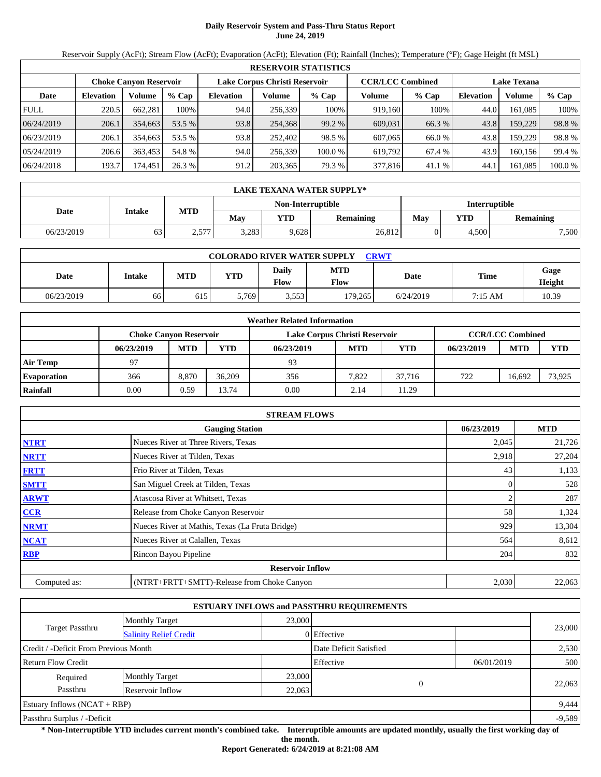# **Daily Reservoir System and Pass-Thru Status Report June 24, 2019**

Reservoir Supply (AcFt); Stream Flow (AcFt); Evaporation (AcFt); Elevation (Ft); Rainfall (Inches); Temperature (°F); Gage Height (ft MSL)

|             | <b>RESERVOIR STATISTICS</b> |                               |         |                  |                               |         |                         |         |                    |         |         |  |
|-------------|-----------------------------|-------------------------------|---------|------------------|-------------------------------|---------|-------------------------|---------|--------------------|---------|---------|--|
|             |                             | <b>Choke Canvon Reservoir</b> |         |                  | Lake Corpus Christi Reservoir |         | <b>CCR/LCC Combined</b> |         | <b>Lake Texana</b> |         |         |  |
| Date        | <b>Elevation</b>            | Volume                        | $%$ Cap | <b>Elevation</b> | Volume                        | $%$ Cap | Volume                  | $%$ Cap | <b>Elevation</b>   | Volume  | $%$ Cap |  |
| <b>FULL</b> | 220.5                       | 662.281                       | 100%    | 94.0             | 256,339                       | 100%    | 919.160                 | 100%    | 44.0               | 161.085 | 100%    |  |
| 06/24/2019  | 206.1                       | 354,663                       | 53.5 %  | 93.8             | 254,368                       | 99.2 %  | 609,031                 | 66.3 %  | 43.8               | 159.229 | 98.8%   |  |
| 06/23/2019  | 206.1                       | 354,663                       | 53.5 %  | 93.8             | 252,402                       | 98.5 %  | 607,065                 | 66.0 %  | 43.8               | 159.229 | 98.8%   |  |
| 05/24/2019  | 206.6                       | 363,453                       | 54.8 %  | 94.0             | 256.339                       | 100.0 % | 619.792                 | 67.4 %  | 43.9               | 160.156 | 99.4 %  |  |
| 06/24/2018  | 193.7                       | 174.451                       | 26.3 %  | 91.2             | 203,365                       | 79.3 %  | 377,816                 | 41.1 %  | 44.1               | 161,085 | 100.0 % |  |

|            | LAKE TEXANA WATER SUPPLY* |            |       |                   |                  |                      |       |           |  |  |  |
|------------|---------------------------|------------|-------|-------------------|------------------|----------------------|-------|-----------|--|--|--|
|            | Intake                    |            |       | Non-Interruptible |                  | <b>Interruptible</b> |       |           |  |  |  |
| Date       |                           | <b>MTD</b> | May   | <b>YTD</b>        | <b>Remaining</b> | May                  | YTD   | Remaining |  |  |  |
| 06/23/2019 | 63                        | 2,577      | 3,283 | 9,628             | 26,812           |                      | 4.500 | 7,500     |  |  |  |

| <b>COLORADO RIVER WATER SUPPLY</b><br><b>CRWT</b> |        |            |            |               |                    |           |         |                |  |  |  |
|---------------------------------------------------|--------|------------|------------|---------------|--------------------|-----------|---------|----------------|--|--|--|
| Date                                              | Intake | <b>MTD</b> | <b>YTD</b> | Daily<br>Flow | <b>MTD</b><br>Flow | Date      | Time    | Gage<br>Height |  |  |  |
| 06/23/2019                                        | 66     | 615        | 5.769      | 3,553         | 179.265            | 6/24/2019 | 7:15 AM | 10.39          |  |  |  |

|                    |                               |            |        | <b>Weather Related Information</b> |            |        |            |                         |            |
|--------------------|-------------------------------|------------|--------|------------------------------------|------------|--------|------------|-------------------------|------------|
|                    | <b>Choke Canvon Reservoir</b> |            |        | Lake Corpus Christi Reservoir      |            |        |            | <b>CCR/LCC Combined</b> |            |
|                    | 06/23/2019                    | <b>MTD</b> | YTD    | 06/23/2019                         | <b>MTD</b> | YTD    | 06/23/2019 | <b>MTD</b>              | <b>YTD</b> |
| <b>Air Temp</b>    | 97                            |            |        | 93                                 |            |        |            |                         |            |
| <b>Evaporation</b> | 366                           | 8.870      | 36,209 | 356                                | 7.822      | 37.716 | 722        | 16.692                  | 73,925     |
| Rainfall           | 0.00                          | 0.59       | 13.74  | 0.00                               | 2.14       | 11.29  |            |                         |            |

|              | <b>STREAM FLOWS</b>                             |            |        |
|--------------|-------------------------------------------------|------------|--------|
|              | 06/23/2019                                      | <b>MTD</b> |        |
| <b>NTRT</b>  | Nueces River at Three Rivers, Texas             | 2,045      | 21,726 |
| <b>NRTT</b>  | Nueces River at Tilden, Texas                   | 2,918      | 27,204 |
| <b>FRTT</b>  | Frio River at Tilden, Texas                     | 43         | 1,133  |
| <b>SMTT</b>  | San Miguel Creek at Tilden, Texas               | $\Omega$   | 528    |
| <b>ARWT</b>  | Atascosa River at Whitsett, Texas               |            | 287    |
| <b>CCR</b>   | Release from Choke Canyon Reservoir             | 58         | 1,324  |
| <b>NRMT</b>  | Nueces River at Mathis, Texas (La Fruta Bridge) | 929        | 13,304 |
| <b>NCAT</b>  | Nueces River at Calallen, Texas                 | 564        | 8,612  |
| <b>RBP</b>   | Rincon Bayou Pipeline                           | 204        | 832    |
|              | <b>Reservoir Inflow</b>                         |            |        |
| Computed as: | (NTRT+FRTT+SMTT)-Release from Choke Canyon      | 2,030      | 22,063 |

|                                        |                               |                        | <b>ESTUARY INFLOWS and PASSTHRU REQUIREMENTS</b> |            |        |  |
|----------------------------------------|-------------------------------|------------------------|--------------------------------------------------|------------|--------|--|
|                                        | <b>Monthly Target</b>         | 23,000                 |                                                  |            |        |  |
| Target Passthru                        | <b>Salinity Relief Credit</b> |                        | 0 Effective                                      |            | 23,000 |  |
| Credit / -Deficit From Previous Month  |                               | Date Deficit Satisfied |                                                  | 2,530      |        |  |
| <b>Return Flow Credit</b>              |                               |                        | Effective                                        | 06/01/2019 | 500    |  |
| Required                               | <b>Monthly Target</b>         | 23,000                 |                                                  |            |        |  |
| Passthru<br>Reservoir Inflow<br>22,063 |                               |                        | $\theta$                                         |            | 22,063 |  |
| Estuary Inflows $(NCAT + RBP)$         |                               |                        |                                                  |            | 9,444  |  |
| Passthru Surplus / -Deficit            |                               |                        |                                                  | $-9,589$   |        |  |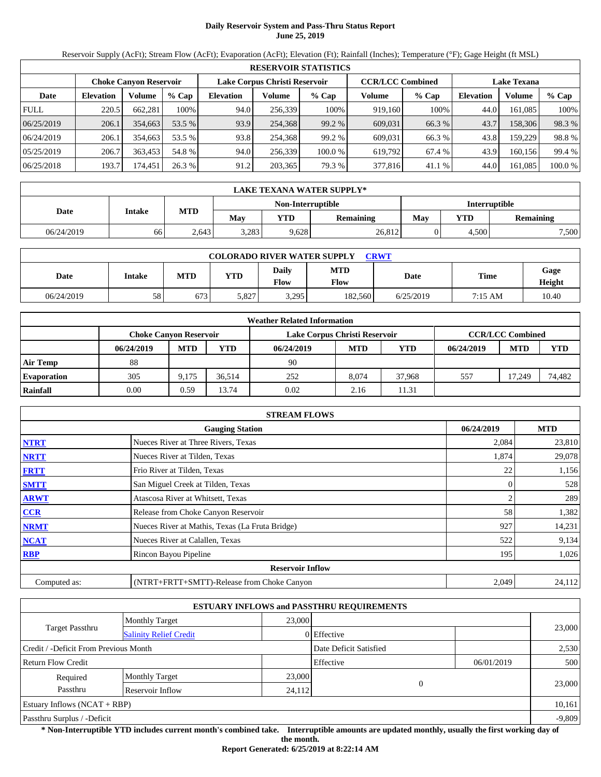# **Daily Reservoir System and Pass-Thru Status Report June 25, 2019**

Reservoir Supply (AcFt); Stream Flow (AcFt); Evaporation (AcFt); Elevation (Ft); Rainfall (Inches); Temperature (°F); Gage Height (ft MSL)

|             | <b>RESERVOIR STATISTICS</b> |                               |         |                  |                               |         |                         |         |                    |         |         |  |  |
|-------------|-----------------------------|-------------------------------|---------|------------------|-------------------------------|---------|-------------------------|---------|--------------------|---------|---------|--|--|
|             |                             | <b>Choke Canvon Reservoir</b> |         |                  | Lake Corpus Christi Reservoir |         | <b>CCR/LCC Combined</b> |         | <b>Lake Texana</b> |         |         |  |  |
| Date        | <b>Elevation</b>            | Volume                        | $%$ Cap | <b>Elevation</b> | Volume                        | $%$ Cap | Volume                  | $%$ Cap | <b>Elevation</b>   | Volume  | % Cap   |  |  |
| <b>FULL</b> | 220.5                       | 662.281                       | 100%    | 94.0             | 256,339                       | 100%    | 919.160                 | 100%    | 44.0               | 161.085 | 100%    |  |  |
| 06/25/2019  | 206.1                       | 354,663                       | 53.5 %  | 93.9             | 254,368                       | 99.2 %  | 609,031                 | 66.3 %  | 43.7               | 158,306 | 98.3 %  |  |  |
| 06/24/2019  | 206.1                       | 354,663                       | 53.5 %  | 93.8             | 254,368                       | 99.2 %  | 609.031                 | 66.3 %  | 43.8               | 159.229 | 98.8%   |  |  |
| 05/25/2019  | 206.7                       | 363.453                       | 54.8%   | 94.0             | 256,339                       | 100.0 % | 619.792                 | 67.4 %  | 43.9               | 160.156 | 99.4 %  |  |  |
| 06/25/2018  | 193.7                       | 174.451                       | 26.3 %  | 91.2             | 203,365                       | 79.3 %  | 377,816                 | 41.1 %  | 44.0               | 161.085 | 100.0 % |  |  |

|            | <b>LAKE TEXANA WATER SUPPLY*</b> |            |       |                   |                  |                      |       |           |  |  |  |
|------------|----------------------------------|------------|-------|-------------------|------------------|----------------------|-------|-----------|--|--|--|
|            | Intake                           |            |       | Non-Interruptible |                  | <b>Interruptible</b> |       |           |  |  |  |
| Date       |                                  | <b>MTD</b> | May   | YTD               | <b>Remaining</b> | May                  | YTD   | Remaining |  |  |  |
| 06/24/2019 | 66                               | 2.643      | 3,283 | 9,628             | 26,812           |                      | 4,500 | 7,500     |  |  |  |

| <b>COLORADO RIVER WATER SUPPLY</b><br><b>CRWT</b> |        |            |            |               |                    |           |         |                |  |  |  |
|---------------------------------------------------|--------|------------|------------|---------------|--------------------|-----------|---------|----------------|--|--|--|
| Date                                              | Intake | <b>MTD</b> | <b>YTD</b> | Daily<br>Flow | <b>MTD</b><br>Flow | Date      | Time    | Gage<br>Height |  |  |  |
| 06/24/2019                                        | 58     | 673        | 5.827      | 3,295         | 182.560            | 6/25/2019 | 7:15 AM | 10.40          |  |  |  |

|                    |                               |            |        | <b>Weather Related Information</b> |            |        |            |                         |            |
|--------------------|-------------------------------|------------|--------|------------------------------------|------------|--------|------------|-------------------------|------------|
|                    | <b>Choke Canyon Reservoir</b> |            |        | Lake Corpus Christi Reservoir      |            |        |            | <b>CCR/LCC Combined</b> |            |
|                    | 06/24/2019                    | <b>MTD</b> | YTD    | 06/24/2019                         | <b>MTD</b> | YTD    | 06/24/2019 | <b>MTD</b>              | <b>YTD</b> |
| <b>Air Temp</b>    | 88                            |            |        | 90                                 |            |        |            |                         |            |
| <b>Evaporation</b> | 305                           | 9.175      | 36.514 | 252                                | 8.074      | 37.968 | 557        | 17.249                  | 74.482     |
| Rainfall           | 0.00                          | 0.59       | 13.74  | 0.02                               | 2.16       | 11.31  |            |                         |            |

|              | <b>STREAM FLOWS</b>                             |            |            |
|--------------|-------------------------------------------------|------------|------------|
|              | <b>Gauging Station</b>                          | 06/24/2019 | <b>MTD</b> |
| <b>NTRT</b>  | Nueces River at Three Rivers, Texas             | 2,084      | 23,810     |
| <b>NRTT</b>  | Nueces River at Tilden, Texas                   | 1,874      | 29,078     |
| <b>FRTT</b>  | Frio River at Tilden, Texas                     | 22         | 1,156      |
| <b>SMTT</b>  | San Miguel Creek at Tilden, Texas               |            | 528        |
| <b>ARWT</b>  | Atascosa River at Whitsett, Texas               |            | 289        |
| <b>CCR</b>   | Release from Choke Canyon Reservoir             | 58         | 1,382      |
| <b>NRMT</b>  | Nueces River at Mathis, Texas (La Fruta Bridge) | 927        | 14,231     |
| <b>NCAT</b>  | Nueces River at Calallen, Texas                 | 522        | 9,134      |
| <b>RBP</b>   | Rincon Bayou Pipeline                           | 195        | 1,026      |
|              | <b>Reservoir Inflow</b>                         |            |            |
| Computed as: | (NTRT+FRTT+SMTT)-Release from Choke Canyon      | 2,049      | 24,112     |

|                                                  |                       |        | <b>ESTUARY INFLOWS and PASSTHRU REQUIREMENTS</b> |            |          |
|--------------------------------------------------|-----------------------|--------|--------------------------------------------------|------------|----------|
|                                                  | <b>Monthly Target</b> | 23,000 |                                                  |            |          |
| Target Passthru<br><b>Salinity Relief Credit</b> |                       |        | 0 Effective                                      |            | 23,000   |
| Credit / -Deficit From Previous Month            |                       |        | Date Deficit Satisfied                           |            | 2,530    |
| <b>Return Flow Credit</b>                        |                       |        | Effective                                        | 06/01/2019 | 500      |
| Required                                         | <b>Monthly Target</b> | 23,000 |                                                  |            |          |
| Passthru                                         | Reservoir Inflow      | 24,112 |                                                  | $\Omega$   | 23,000   |
| Estuary Inflows $(NCAT + RBP)$                   |                       |        |                                                  |            | 10,161   |
| Passthru Surplus / -Deficit                      |                       |        |                                                  |            | $-9,809$ |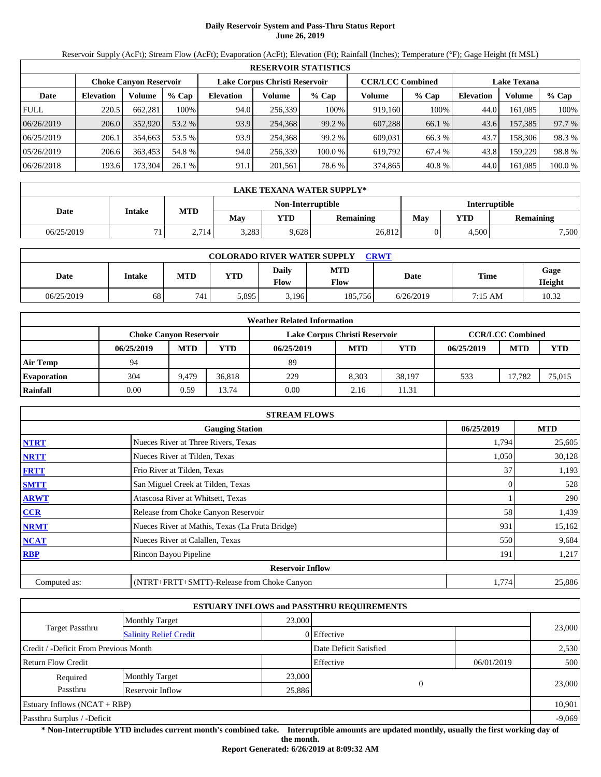# **Daily Reservoir System and Pass-Thru Status Report June 26, 2019**

Reservoir Supply (AcFt); Stream Flow (AcFt); Evaporation (AcFt); Elevation (Ft); Rainfall (Inches); Temperature (°F); Gage Height (ft MSL)

|             | <b>RESERVOIR STATISTICS</b> |                               |         |                  |                               |         |                         |         |                    |               |         |  |
|-------------|-----------------------------|-------------------------------|---------|------------------|-------------------------------|---------|-------------------------|---------|--------------------|---------------|---------|--|
|             |                             | <b>Choke Canvon Reservoir</b> |         |                  | Lake Corpus Christi Reservoir |         | <b>CCR/LCC Combined</b> |         | <b>Lake Texana</b> |               |         |  |
| Date        | <b>Elevation</b>            | Volume                        | $%$ Cap | <b>Elevation</b> | Volume                        | $%$ Cap | Volume                  | $%$ Cap | <b>Elevation</b>   | <b>Volume</b> | % Cap   |  |
| <b>FULL</b> | 220.5                       | 662.281                       | 100%    | 94.0             | 256,339                       | 100%    | 919.160                 | 100%    | 44.0               | 161.085       | 100%    |  |
| 06/26/2019  | 206.0                       | 352,920                       | 53.2 %  | 93.9             | 254,368                       | 99.2 %  | 607.288                 | 66.1 %  | 43.6               | 157.385       | 97.7 %  |  |
| 06/25/2019  | 206.1                       | 354.663                       | 53.5 %  | 93.9             | 254,368                       | 99.2 %  | 609.031                 | 66.3 %  | 43.7               | 158.306       | 98.3%   |  |
| 05/26/2019  | 206.6                       | 363.453                       | 54.8 %  | 94.0             | 256.339                       | 100.0 % | 619.792                 | 67.4 %  | 43.8               | 159.229       | 98.8%   |  |
| 06/26/2018  | 193.6                       | 173,304                       | 26.1%   | 91.1             | 201,561                       | 78.6 %  | 374,865                 | 40.8 %  | 44.0               | 161.085       | 100.0 % |  |

|            | LAKE TEXANA WATER SUPPLY* |            |       |                   |                  |                      |       |                  |  |  |  |
|------------|---------------------------|------------|-------|-------------------|------------------|----------------------|-------|------------------|--|--|--|
|            | Intake                    |            |       | Non-Interruptible |                  | <b>Interruptible</b> |       |                  |  |  |  |
| Date       |                           | <b>MTD</b> | May   | YTD               | <b>Remaining</b> | Mav                  | VTD   | <b>Remaining</b> |  |  |  |
| 06/25/2019 | 71                        | 2.714      | 3,283 | 9,628             | 26,812           |                      | 4.500 | 7,500            |  |  |  |

| <b>COLORADO RIVER WATER SUPPLY</b><br><b>CRWT</b> |        |            |            |               |                    |           |         |                |  |  |  |
|---------------------------------------------------|--------|------------|------------|---------------|--------------------|-----------|---------|----------------|--|--|--|
| Date                                              | Intake | <b>MTD</b> | <b>YTD</b> | Daily<br>Flow | <b>MTD</b><br>Flow | Date      | Time    | Gage<br>Height |  |  |  |
| 06/25/2019                                        | 68     | 741        | 5,895      | 3,196         | 185,756            | 6/26/2019 | 7:15 AM | 10.32          |  |  |  |

|                    |                               |            |        | <b>Weather Related Information</b> |            |            |            |                         |            |
|--------------------|-------------------------------|------------|--------|------------------------------------|------------|------------|------------|-------------------------|------------|
|                    | <b>Choke Canvon Reservoir</b> |            |        | Lake Corpus Christi Reservoir      |            |            |            | <b>CCR/LCC Combined</b> |            |
|                    | 06/25/2019                    | <b>MTD</b> | YTD    | 06/25/2019                         | <b>MTD</b> | <b>YTD</b> | 06/25/2019 | <b>MTD</b>              | <b>YTD</b> |
| <b>Air Temp</b>    | 94                            |            |        | 89                                 |            |            |            |                         |            |
| <b>Evaporation</b> | 304                           | 9.479      | 36.818 | 229                                | 8.303      | 38.197     | 533        | 17.782                  | 75,015     |
| Rainfall           | 0.00                          | 0.59       | 13.74  | 0.00                               | 2.16       | 11.31      |            |                         |            |

|              | <b>STREAM FLOWS</b>                             |            |            |
|--------------|-------------------------------------------------|------------|------------|
|              | <b>Gauging Station</b>                          | 06/25/2019 | <b>MTD</b> |
| <b>NTRT</b>  | Nueces River at Three Rivers, Texas             | 1,794      | 25,605     |
| <b>NRTT</b>  | Nueces River at Tilden, Texas                   | 1,050      | 30,128     |
| <b>FRTT</b>  | Frio River at Tilden, Texas                     | 37         | 1,193      |
| <b>SMTT</b>  | San Miguel Creek at Tilden, Texas               | $\theta$   | 528        |
| <b>ARWT</b>  | Atascosa River at Whitsett, Texas               |            | 290        |
| <b>CCR</b>   | Release from Choke Canyon Reservoir             | 58         | 1,439      |
| <b>NRMT</b>  | Nueces River at Mathis, Texas (La Fruta Bridge) | 931        | 15,162     |
| <b>NCAT</b>  | Nueces River at Calallen, Texas                 | 550        | 9,684      |
| <b>RBP</b>   | Rincon Bayou Pipeline                           | 191        | 1,217      |
|              | <b>Reservoir Inflow</b>                         |            |            |
| Computed as: | (NTRT+FRTT+SMTT)-Release from Choke Canyon      | 1,774      | 25,886     |

|                                                  |                       |                        | <b>ESTUARY INFLOWS and PASSTHRU REQUIREMENTS</b> |            |          |
|--------------------------------------------------|-----------------------|------------------------|--------------------------------------------------|------------|----------|
|                                                  | <b>Monthly Target</b> | 23,000                 |                                                  |            |          |
| Target Passthru<br><b>Salinity Relief Credit</b> |                       |                        | 0 Effective                                      |            | 23,000   |
| Credit / -Deficit From Previous Month            |                       | Date Deficit Satisfied |                                                  | 2,530      |          |
| <b>Return Flow Credit</b>                        |                       |                        | Effective                                        | 06/01/2019 | 500      |
| Required                                         | <b>Monthly Target</b> | 23,000                 |                                                  |            |          |
| Passthru<br>Reservoir Inflow                     |                       |                        | $\theta$<br>25,886                               |            | 23,000   |
| Estuary Inflows $(NCAT + RBP)$                   |                       |                        |                                                  | 10,901     |          |
| Passthru Surplus / -Deficit                      |                       |                        |                                                  |            | $-9,069$ |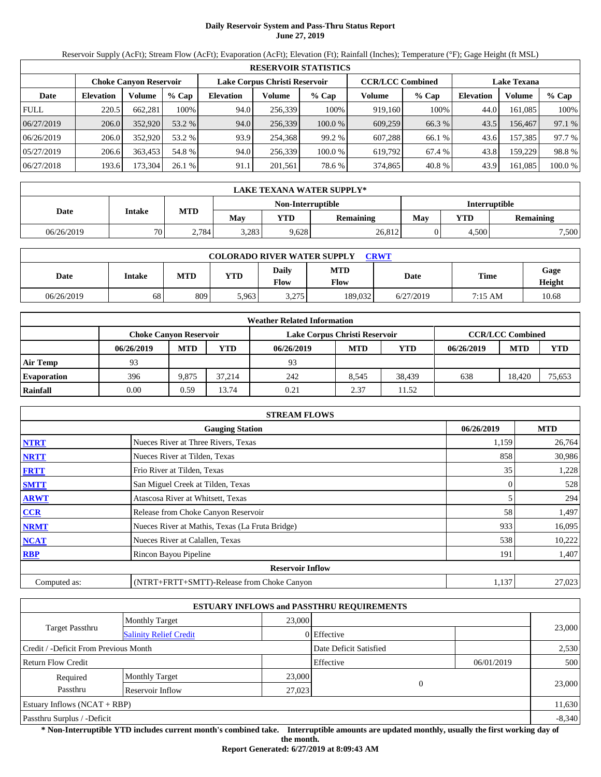# **Daily Reservoir System and Pass-Thru Status Report June 27, 2019**

Reservoir Supply (AcFt); Stream Flow (AcFt); Evaporation (AcFt); Elevation (Ft); Rainfall (Inches); Temperature (°F); Gage Height (ft MSL)

|             | <b>RESERVOIR STATISTICS</b> |                               |         |                  |                               |         |                         |         |                    |         |         |  |
|-------------|-----------------------------|-------------------------------|---------|------------------|-------------------------------|---------|-------------------------|---------|--------------------|---------|---------|--|
|             |                             | <b>Choke Canvon Reservoir</b> |         |                  | Lake Corpus Christi Reservoir |         | <b>CCR/LCC Combined</b> |         | <b>Lake Texana</b> |         |         |  |
| Date        | <b>Elevation</b>            | Volume                        | $%$ Cap | <b>Elevation</b> | Volume                        | $%$ Cap | Volume                  | $%$ Cap | <b>Elevation</b>   | Volume  | $%$ Cap |  |
| <b>FULL</b> | 220.5                       | 662.281                       | 100%    | 94.0             | 256,339                       | 100%    | 919.160                 | 100%    | 44.0               | 161.085 | 100%    |  |
| 06/27/2019  | 206.0                       | 352,920                       | 53.2 %  | 94.0             | 256,339                       | 100.0%  | 609,259                 | 66.3 %  | 43.5               | 156,467 | 97.1 %  |  |
| 06/26/2019  | 206.0                       | 352,920                       | 53.2 %  | 93.9             | 254,368                       | 99.2 %  | 607.288                 | 66.1 %  | 43.6               | 157.385 | 97.7 %  |  |
| 05/27/2019  | 206.6                       | 363.453                       | 54.8 %  | 94.0             | 256.339                       | 100.0 % | 619.792                 | 67.4 %  | 43.8               | 159.229 | 98.8%   |  |
| 06/27/2018  | 193.6                       | 173,304                       | 26.1%   | 91.1             | 201,561                       | 78.6 %  | 374,865                 | 40.8 %  | 43.9               | 161,085 | 100.0 % |  |

|            | LAKE TEXANA WATER SUPPLY* |            |       |                   |                  |                      |       |                  |  |  |  |
|------------|---------------------------|------------|-------|-------------------|------------------|----------------------|-------|------------------|--|--|--|
|            | Intake                    |            |       | Non-Interruptible |                  | <b>Interruptible</b> |       |                  |  |  |  |
| Date       |                           | <b>MTD</b> | May   | VTD               | <b>Remaining</b> | May                  | VTD   | <b>Remaining</b> |  |  |  |
| 06/26/2019 | 70                        | 2.784      | 3,283 | 9,628             | 26,812           |                      | 4.500 | 7,500            |  |  |  |

| <b>COLORADO RIVER WATER SUPPLY</b><br><b>CRWT</b> |        |            |            |                |                    |           |         |                |  |  |  |
|---------------------------------------------------|--------|------------|------------|----------------|--------------------|-----------|---------|----------------|--|--|--|
| Date                                              | Intake | <b>MTD</b> | <b>YTD</b> | Daily<br>Flow  | <b>MTD</b><br>Flow | Date      | Time    | Gage<br>Height |  |  |  |
| 06/26/2019                                        | 68     | 809        | 5.963      | 275<br>ل ا ∠,د | 189,032            | 6/27/2019 | 7:15 AM | 10.68          |  |  |  |

|                    |                               |            |        | <b>Weather Related Information</b> |            |        |            |                         |            |
|--------------------|-------------------------------|------------|--------|------------------------------------|------------|--------|------------|-------------------------|------------|
|                    | <b>Choke Canyon Reservoir</b> |            |        | Lake Corpus Christi Reservoir      |            |        |            | <b>CCR/LCC Combined</b> |            |
|                    | 06/26/2019                    | <b>MTD</b> | YTD    | 06/26/2019                         | <b>MTD</b> | YTD    | 06/26/2019 | <b>MTD</b>              | <b>YTD</b> |
| <b>Air Temp</b>    | 93                            |            |        | 93                                 |            |        |            |                         |            |
| <b>Evaporation</b> | 396                           | 9.875      | 37.214 | 242                                | 8.545      | 38.439 | 638        | 18.420                  | 75.653     |
| Rainfall           | 0.00                          | 0.59       | 13.74  | 0.21                               | 2.37       | 11.52  |            |                         |            |

|              | <b>STREAM FLOWS</b>                             |            |            |
|--------------|-------------------------------------------------|------------|------------|
|              | <b>Gauging Station</b>                          | 06/26/2019 | <b>MTD</b> |
| <b>NTRT</b>  | Nueces River at Three Rivers, Texas             | 1,159      | 26,764     |
| <b>NRTT</b>  | Nueces River at Tilden, Texas                   | 858        | 30,986     |
| <b>FRTT</b>  | Frio River at Tilden, Texas                     | 35         | 1,228      |
| <b>SMTT</b>  | San Miguel Creek at Tilden, Texas               | 0          | 528        |
| <b>ARWT</b>  | Atascosa River at Whitsett, Texas               |            | 294        |
| <b>CCR</b>   | Release from Choke Canyon Reservoir             | 58         | 1,497      |
| <b>NRMT</b>  | Nueces River at Mathis, Texas (La Fruta Bridge) | 933        | 16,095     |
| <b>NCAT</b>  | Nueces River at Calallen, Texas                 | 538        | 10,222     |
| <b>RBP</b>   | Rincon Bayou Pipeline                           | 191        | 1,407      |
|              | <b>Reservoir Inflow</b>                         |            |            |
| Computed as: | (NTRT+FRTT+SMTT)-Release from Choke Canyon      | 1,137      | 27,023     |

|                                        |                               |        | <b>ESTUARY INFLOWS and PASSTHRU REQUIREMENTS</b> |          |            |          |  |
|----------------------------------------|-------------------------------|--------|--------------------------------------------------|----------|------------|----------|--|
|                                        | <b>Monthly Target</b>         | 23,000 |                                                  |          |            | 23,000   |  |
| Target Passthru                        | <b>Salinity Relief Credit</b> |        | 0 Effective                                      |          |            |          |  |
| Credit / -Deficit From Previous Month  |                               |        | Date Deficit Satisfied                           |          |            | 2,530    |  |
| <b>Return Flow Credit</b>              |                               |        | Effective                                        |          | 06/01/2019 | 500      |  |
| Required                               | <b>Monthly Target</b>         | 23,000 |                                                  |          |            |          |  |
| Passthru<br>Reservoir Inflow<br>27,023 |                               |        |                                                  | $\Omega$ |            | 23,000   |  |
| Estuary Inflows $(NCAT + RBP)$         |                               |        |                                                  |          |            | 11,630   |  |
| Passthru Surplus / -Deficit            |                               |        |                                                  |          |            | $-8,340$ |  |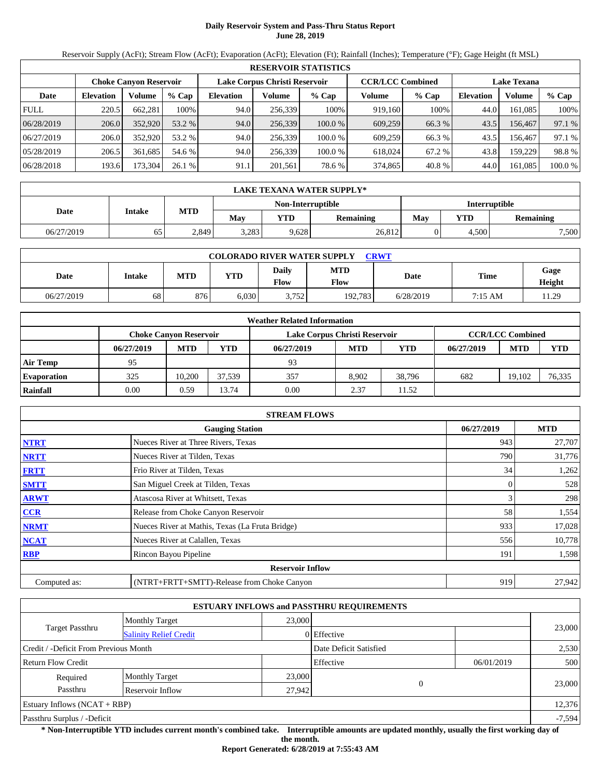# **Daily Reservoir System and Pass-Thru Status Report June 28, 2019**

Reservoir Supply (AcFt); Stream Flow (AcFt); Evaporation (AcFt); Elevation (Ft); Rainfall (Inches); Temperature (°F); Gage Height (ft MSL)

|             | <b>RESERVOIR STATISTICS</b> |                               |         |                  |                               |         |                         |         |                    |         |         |  |
|-------------|-----------------------------|-------------------------------|---------|------------------|-------------------------------|---------|-------------------------|---------|--------------------|---------|---------|--|
|             |                             | <b>Choke Canvon Reservoir</b> |         |                  | Lake Corpus Christi Reservoir |         | <b>CCR/LCC Combined</b> |         | <b>Lake Texana</b> |         |         |  |
| Date        | <b>Elevation</b>            | Volume                        | $%$ Cap | <b>Elevation</b> | Volume                        | $%$ Cap | Volume                  | $%$ Cap | <b>Elevation</b>   | Volume  | $%$ Cap |  |
| <b>FULL</b> | 220.5                       | 662.281                       | 100%    | 94.0             | 256,339                       | 100%    | 919.160                 | 100%    | 44.0               | 161.085 | 100%    |  |
| 06/28/2019  | 206.0                       | 352,920                       | 53.2 %  | 94.0             | 256,339                       | 100.0%  | 609,259                 | 66.3 %  | 43.5               | 156,467 | 97.1 %  |  |
| 06/27/2019  | 206.0                       | 352,920                       | 53.2 %  | 94.0             | 256,339                       | 100.0 % | 609.259                 | 66.3%   | 43.5               | 156.467 | 97.1 %  |  |
| 05/28/2019  | 206.5                       | 361.685                       | 54.6 %  | 94.0             | 256.339                       | 100.0 % | 618,024                 | 67.2 %  | 43.8               | 159.229 | 98.8%   |  |
| 06/28/2018  | 193.6                       | 173,304                       | 26.1%   | 91.1             | 201,561                       | 78.6 %  | 374,865                 | 40.8 %  | 44.0               | 161,085 | 100.0 % |  |

|            | LAKE TEXANA WATER SUPPLY* |            |       |                   |                  |                      |       |           |  |  |  |
|------------|---------------------------|------------|-------|-------------------|------------------|----------------------|-------|-----------|--|--|--|
|            | Intake                    |            |       | Non-Interruptible |                  | <b>Interruptible</b> |       |           |  |  |  |
| Date       |                           | <b>MTD</b> | May   | YTD               | <b>Remaining</b> | May                  | YTD   | Remaining |  |  |  |
| 06/27/2019 | 65                        | 2,849      | 3,283 | 9,628             | 26,812           |                      | 4.500 | 7,500     |  |  |  |

| <b>COLORADO RIVER WATER SUPPLY</b><br><b>CRWT</b> |        |            |            |               |                    |           |         |                |  |  |  |
|---------------------------------------------------|--------|------------|------------|---------------|--------------------|-----------|---------|----------------|--|--|--|
| Date                                              | Intake | <b>MTD</b> | <b>YTD</b> | Daily<br>Flow | <b>MTD</b><br>Flow | Date      | Time    | Gage<br>Height |  |  |  |
| 06/27/2019                                        | 68     | 876        | 6,030      | 3.752         | 192.783            | 6/28/2019 | 7:15 AM | 11.29          |  |  |  |

|                    |            |                               |            | <b>Weather Related Information</b> |            |        |            |                         |            |
|--------------------|------------|-------------------------------|------------|------------------------------------|------------|--------|------------|-------------------------|------------|
|                    |            | <b>Choke Canvon Reservoir</b> |            | Lake Corpus Christi Reservoir      |            |        |            | <b>CCR/LCC Combined</b> |            |
|                    | 06/27/2019 | <b>MTD</b>                    | <b>YTD</b> | 06/27/2019                         | <b>MTD</b> | YTD    | 06/27/2019 | <b>MTD</b>              | <b>YTD</b> |
| <b>Air Temp</b>    | 95         |                               |            | 93                                 |            |        |            |                         |            |
| <b>Evaporation</b> | 325        | 10.200                        | 37.539     | 357                                | 8.902      | 38.796 | 682        | 19.102                  | 76,335     |
| Rainfall           | 0.00       | 0.59                          | 13.74      | 0.00                               | 2.37       | 11.52  |            |                         |            |

|              | <b>STREAM FLOWS</b>                             |            |            |
|--------------|-------------------------------------------------|------------|------------|
|              | <b>Gauging Station</b>                          | 06/27/2019 | <b>MTD</b> |
| <b>NTRT</b>  | Nueces River at Three Rivers, Texas             | 943        | 27,707     |
| <b>NRTT</b>  | Nueces River at Tilden, Texas                   | 790        | 31,776     |
| <b>FRTT</b>  | Frio River at Tilden, Texas                     | 34         | 1,262      |
| <b>SMTT</b>  | San Miguel Creek at Tilden, Texas               |            | 528        |
| <b>ARWT</b>  | Atascosa River at Whitsett, Texas               |            | 298        |
| CCR          | Release from Choke Canyon Reservoir             | 58         | 1,554      |
| <b>NRMT</b>  | Nueces River at Mathis, Texas (La Fruta Bridge) | 933        | 17,028     |
| <b>NCAT</b>  | Nueces River at Calallen, Texas                 | 556        | 10,778     |
| <b>RBP</b>   | Rincon Bayou Pipeline                           | 191        | 1,598      |
|              | <b>Reservoir Inflow</b>                         |            |            |
| Computed as: | (NTRT+FRTT+SMTT)-Release from Choke Canyon      | 919        | 27,942     |

|                                       |                               |        | <b>ESTUARY INFLOWS and PASSTHRU REQUIREMENTS</b> |            |          |  |
|---------------------------------------|-------------------------------|--------|--------------------------------------------------|------------|----------|--|
|                                       | <b>Monthly Target</b>         | 23,000 |                                                  |            |          |  |
| Target Passthru                       | <b>Salinity Relief Credit</b> |        | 0 Effective                                      |            | 23,000   |  |
| Credit / -Deficit From Previous Month |                               |        | Date Deficit Satisfied                           |            | 2,530    |  |
| <b>Return Flow Credit</b>             |                               |        | Effective                                        | 06/01/2019 | 500      |  |
| Required                              | <b>Monthly Target</b>         | 23,000 |                                                  |            |          |  |
| Passthru                              | Reservoir Inflow              | 27,942 | $\Omega$                                         |            | 23,000   |  |
| Estuary Inflows $(NCAT + RBP)$        |                               |        |                                                  |            | 12,376   |  |
| Passthru Surplus / -Deficit           |                               |        |                                                  |            | $-7,594$ |  |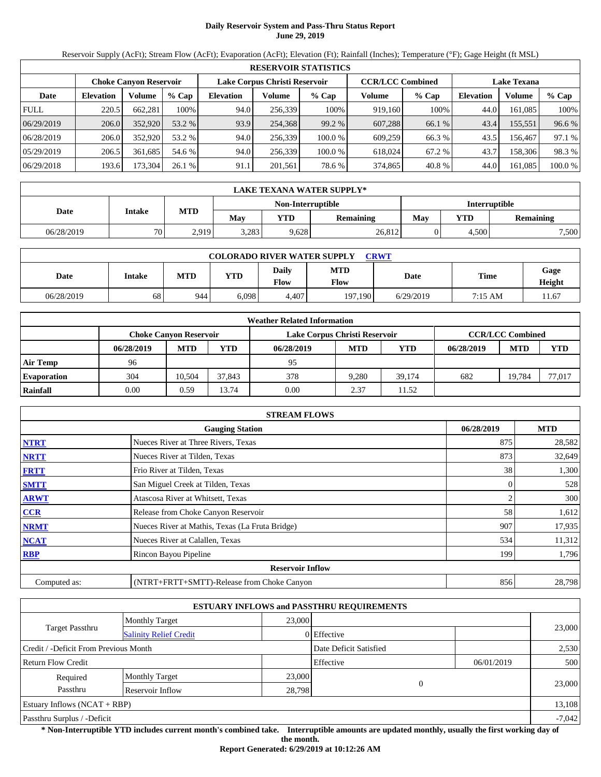# **Daily Reservoir System and Pass-Thru Status Report June 29, 2019**

Reservoir Supply (AcFt); Stream Flow (AcFt); Evaporation (AcFt); Elevation (Ft); Rainfall (Inches); Temperature (°F); Gage Height (ft MSL)

|             | <b>RESERVOIR STATISTICS</b> |                               |         |                  |                               |         |                         |         |                    |         |         |  |  |
|-------------|-----------------------------|-------------------------------|---------|------------------|-------------------------------|---------|-------------------------|---------|--------------------|---------|---------|--|--|
|             |                             | <b>Choke Canvon Reservoir</b> |         |                  | Lake Corpus Christi Reservoir |         | <b>CCR/LCC Combined</b> |         | <b>Lake Texana</b> |         |         |  |  |
| Date        | <b>Elevation</b>            | Volume                        | $%$ Cap | <b>Elevation</b> | Volume                        | $%$ Cap | Volume                  | $%$ Cap | <b>Elevation</b>   | Volume  | $%$ Cap |  |  |
| <b>FULL</b> | 220.5                       | 662.281                       | 100%    | 94.0             | 256,339                       | 100%    | 919.160                 | 100%    | 44.0               | 161.085 | 100%    |  |  |
| 06/29/2019  | 206.0                       | 352,920                       | 53.2 %  | 93.9             | 254.368                       | 99.2 %  | 607,288                 | 66.1 %  | 43.4               | 155,551 | 96.6 %  |  |  |
| 06/28/2019  | 206.0                       | 352,920                       | 53.2 %  | 94.0             | 256,339                       | 100.0 % | 609.259                 | 66.3%   | 43.5               | 156.467 | 97.1 %  |  |  |
| 05/29/2019  | 206.5                       | 361.685                       | 54.6 %  | 94.0             | 256.339                       | 100.0 % | 618,024                 | 67.2 %  | 43.7               | 158,306 | 98.3 %  |  |  |
| 06/29/2018  | 193.6                       | 173,304                       | 26.1%   | 91.1             | 201,561                       | 78.6 %  | 374,865                 | 40.8%   | 44.0               | 161,085 | 100.0 % |  |  |

|            | LAKE TEXANA WATER SUPPLY* |            |       |                   |                  |                      |       |           |  |  |  |
|------------|---------------------------|------------|-------|-------------------|------------------|----------------------|-------|-----------|--|--|--|
|            | Intake                    |            |       | Non-Interruptible |                  | <b>Interruptible</b> |       |           |  |  |  |
| Date       |                           | <b>MTD</b> | May   | <b>YTD</b>        | <b>Remaining</b> | May                  | YTD   | Remaining |  |  |  |
| 06/28/2019 | 70                        | 2,919      | 3,283 | 9,628             | 26,812           |                      | 4.500 | 7,500     |  |  |  |

| <b>COLORADO RIVER WATER SUPPLY</b><br><b>CRWT</b> |                 |            |            |               |                    |           |         |                |  |  |  |
|---------------------------------------------------|-----------------|------------|------------|---------------|--------------------|-----------|---------|----------------|--|--|--|
| Date                                              | Intake          | <b>MTD</b> | <b>YTD</b> | Daily<br>Flow | <b>MTD</b><br>Flow | Date      | Time    | Gage<br>Height |  |  |  |
| 06/28/2019                                        | 68 <sup>1</sup> | 944        | 6,098      | 4,407         | 197.190            | 6/29/2019 | 7:15 AM | 1.67           |  |  |  |

|                    |            |                                                                                           |            | <b>Weather Related Information</b> |            |        |            |            |            |
|--------------------|------------|-------------------------------------------------------------------------------------------|------------|------------------------------------|------------|--------|------------|------------|------------|
|                    |            | <b>CCR/LCC Combined</b><br>Lake Corpus Christi Reservoir<br><b>Choke Canvon Reservoir</b> |            |                                    |            |        |            |            |            |
|                    | 06/28/2019 | <b>MTD</b>                                                                                | <b>YTD</b> | 06/28/2019                         | <b>MTD</b> | YTD    | 06/28/2019 | <b>MTD</b> | <b>YTD</b> |
| <b>Air Temp</b>    | 96         |                                                                                           |            | 95                                 |            |        |            |            |            |
| <b>Evaporation</b> | 304        | 10.504                                                                                    | 37.843     | 378                                | 9.280      | 39.174 | 682        | 19.784     | 77,017     |
| Rainfall           | 0.00       | 0.59                                                                                      | 13.74      | 0.00                               | 2.37       | 11.52  |            |            |            |

|              | <b>STREAM FLOWS</b>                             |                |            |
|--------------|-------------------------------------------------|----------------|------------|
|              | <b>Gauging Station</b>                          | 06/28/2019     | <b>MTD</b> |
| <b>NTRT</b>  | Nueces River at Three Rivers, Texas             | 875            | 28,582     |
| <b>NRTT</b>  | Nueces River at Tilden, Texas                   | 873            | 32,649     |
| <b>FRTT</b>  | Frio River at Tilden, Texas                     | 38             | 1,300      |
| <b>SMTT</b>  | San Miguel Creek at Tilden, Texas               | $\overline{0}$ | 528        |
| <b>ARWT</b>  | Atascosa River at Whitsett, Texas               |                | 300        |
| <b>CCR</b>   | Release from Choke Canyon Reservoir             | 58             | 1,612      |
| <b>NRMT</b>  | Nueces River at Mathis, Texas (La Fruta Bridge) | 907            | 17,935     |
| <b>NCAT</b>  | Nueces River at Calallen, Texas                 | 534            | 11,312     |
| <b>RBP</b>   | Rincon Bayou Pipeline                           | 199            | 1,796      |
|              | <b>Reservoir Inflow</b>                         |                |            |
| Computed as: | (NTRT+FRTT+SMTT)-Release from Choke Canyon      | 856            | 28,798     |

|                                       |                               |                        | <b>ESTUARY INFLOWS and PASSTHRU REQUIREMENTS</b> |            |          |
|---------------------------------------|-------------------------------|------------------------|--------------------------------------------------|------------|----------|
|                                       | <b>Monthly Target</b>         | 23,000                 |                                                  |            |          |
| Target Passthru                       | <b>Salinity Relief Credit</b> |                        | 0 Effective                                      |            | 23,000   |
| Credit / -Deficit From Previous Month |                               | Date Deficit Satisfied |                                                  | 2,530      |          |
| <b>Return Flow Credit</b>             |                               |                        | Effective                                        | 06/01/2019 | 500      |
| Required                              | <b>Monthly Target</b>         | 23,000                 |                                                  |            |          |
| Passthru<br>Reservoir Inflow          |                               |                        | $\theta$<br>28,798                               |            | 23,000   |
| Estuary Inflows $(NCAT + RBP)$        |                               |                        |                                                  |            | 13,108   |
| Passthru Surplus / -Deficit           |                               |                        |                                                  |            | $-7,042$ |